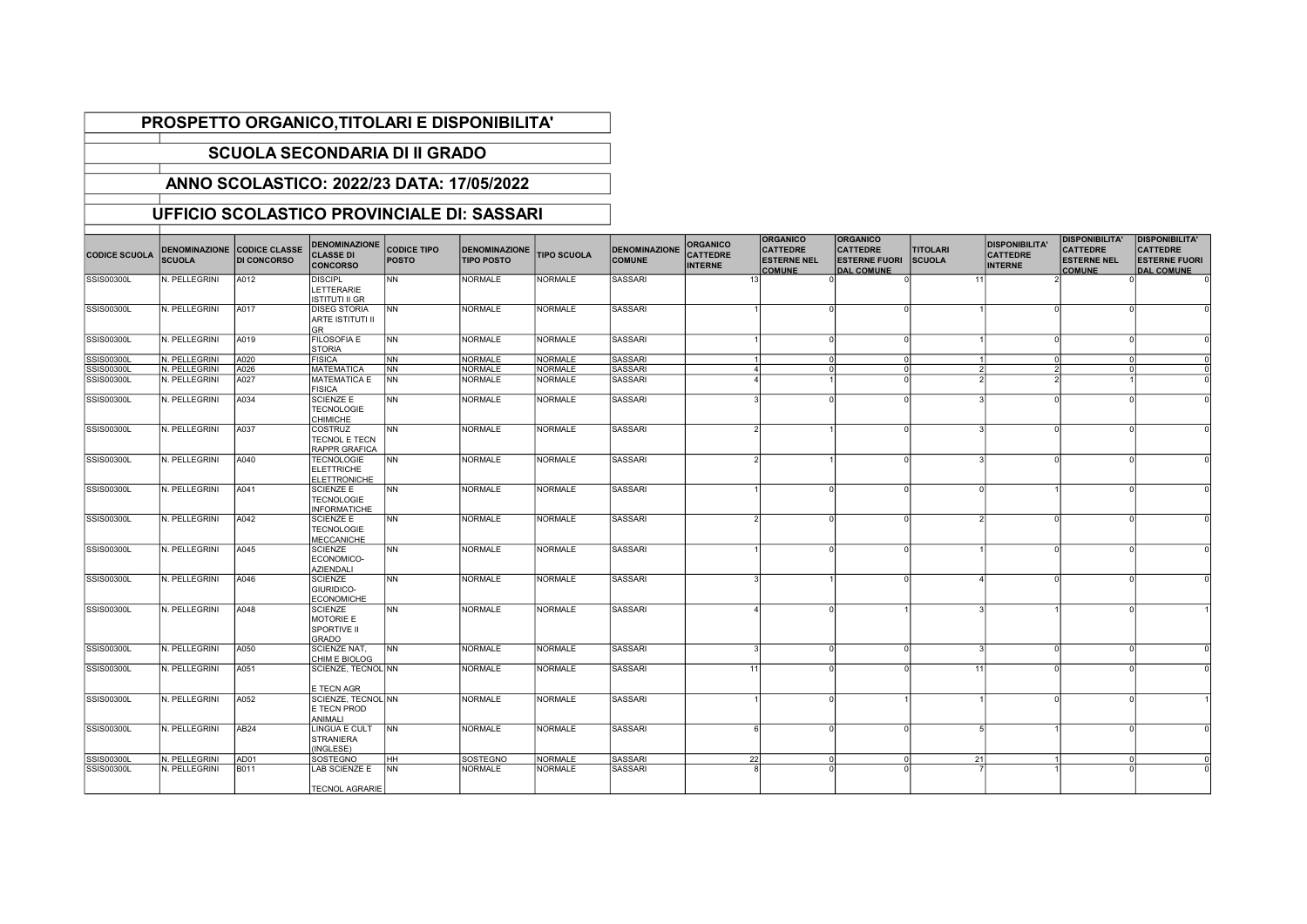## PROSPETTO ORGANICO,TITOLARI E DISPONIBILITA'

## SCUOLA SECONDARIA DI II GRADO

## ANNO SCOLASTICO: 2022/23 DATA: 17/05/2022

## UFFICIO SCOLASTICO PROVINCIALE DI: SASSARI

| <b>CODICE SCUOLA</b> | <b>SCUOLA</b> | DENOMINAZIONE CODICE CLASSE<br><b>DI CONCORSO</b> | <b>DENOMINAZIONE</b><br><b>CLASSE DI</b><br><b>CONCORSO</b>   | <b>CODICE TIPO</b><br><b>POSTO</b> | <b>DENOMINAZIONE</b><br><b>TIPO POSTO</b> | <b>TIPO SCUOLA</b> | <b>DENOMINAZIONE</b><br><b>COMUNE</b> | <b>ORGANICO</b><br><b>CATTEDRE</b><br><b>INTERNE</b> | <b>ORGANICO</b><br><b>CATTEDRE</b><br><b>ESTERNE NEL</b><br><b>COMUNE</b> | <b>ORGANICO</b><br><b>CATTEDRE</b><br><b>ESTERNE FUORI</b><br><b>DAL COMUNE</b> | <b>TITOLARI</b><br><b>SCUOLA</b> | <b>DISPONIBILITA'</b><br><b>CATTEDRE</b><br><b>INTERNE</b> | <b>DISPONIBILITA'</b><br><b>CATTEDRE</b><br><b>ESTERNE NEL</b><br><b>COMUNE</b> | <b>DISPONIBILITA'</b><br><b>CATTEDRE</b><br><b>ESTERNE FUORI</b><br><b>DAL COMUNE</b> |
|----------------------|---------------|---------------------------------------------------|---------------------------------------------------------------|------------------------------------|-------------------------------------------|--------------------|---------------------------------------|------------------------------------------------------|---------------------------------------------------------------------------|---------------------------------------------------------------------------------|----------------------------------|------------------------------------------------------------|---------------------------------------------------------------------------------|---------------------------------------------------------------------------------------|
| <b>SSIS00300L</b>    | N. PELLEGRINI | A012                                              | <b>DISCIPL</b><br>LETTERARIE<br><b>ISTITUTI II GR</b>         | <b>NN</b>                          | <b>NORMALE</b>                            | NORMALE            | SASSARI                               | 13                                                   |                                                                           |                                                                                 | 11                               |                                                            |                                                                                 |                                                                                       |
| SSIS00300L           | N. PELLEGRINI | A017                                              | <b>DISEG STORIA</b><br><b>ARTE ISTITUTI II</b><br><b>GR</b>   | <b>NN</b>                          | <b>NORMALE</b>                            | <b>NORMALE</b>     | SASSARI                               |                                                      |                                                                           |                                                                                 |                                  |                                                            |                                                                                 |                                                                                       |
| <b>SSIS00300L</b>    | N. PELLEGRINI | A019                                              | <b>FILOSOFIA E</b><br><b>STORIA</b>                           | <b>NN</b>                          | <b>NORMALE</b>                            | <b>NORMALE</b>     | <b>SASSARI</b>                        |                                                      | n                                                                         | $\Omega$                                                                        |                                  | $\Omega$                                                   |                                                                                 |                                                                                       |
| SSIS00300L           | N. PELLEGRINI | A020                                              | <b>FISICA</b>                                                 | N <sub>N</sub>                     | <b>NORMALE</b>                            | NORMALE            | <b>SASSARI</b>                        | $\overline{1}$                                       | $\Omega$                                                                  | $\Omega$                                                                        |                                  | $\Omega$                                                   | $\Omega$                                                                        |                                                                                       |
| SSIS00300L           | N. PELLEGRINI | A026                                              | <b>MATEMATICA</b>                                             | <b>NN</b>                          | <b>NORMALE</b>                            | <b>NORMALE</b>     | SASSARI                               | $\boldsymbol{\Delta}$                                | <sup>0</sup>                                                              | $\Omega$                                                                        |                                  | 2                                                          | $\Omega$                                                                        |                                                                                       |
| <b>SSIS00300L</b>    | N. PELLEGRINI | A027                                              | <b>MATEMATICA E</b><br><b>FISICA</b>                          | <b>NN</b>                          | <b>NORMALE</b>                            | <b>NORMALE</b>     | <b>SASSARI</b>                        |                                                      |                                                                           |                                                                                 |                                  |                                                            |                                                                                 |                                                                                       |
| <b>SSIS00300L</b>    | N. PELLEGRINI | A034                                              | <b>SCIENZE E</b><br><b>TECNOLOGIE</b><br><b>CHIMICHE</b>      | <b>NN</b>                          | <b>NORMALE</b>                            | <b>NORMALE</b>     | SASSARI                               |                                                      |                                                                           |                                                                                 |                                  |                                                            |                                                                                 |                                                                                       |
| SSIS00300L           | N. PELLEGRINI | A037                                              | COSTRUZ<br>TECNOL E TECN<br>RAPPR GRAFICA                     | <b>NN</b>                          | <b>NORMALE</b>                            | <b>NORMALE</b>     | <b>SASSARI</b>                        |                                                      |                                                                           |                                                                                 |                                  |                                                            |                                                                                 |                                                                                       |
| <b>SSIS00300L</b>    | N. PELLEGRINI | A040                                              | <b>TECNOLOGIE</b><br><b>ELETTRICHE</b><br><b>ELETTRONICHE</b> | <b>NN</b>                          | <b>NORMALE</b>                            | <b>NORMALE</b>     | SASSARI                               |                                                      |                                                                           |                                                                                 |                                  |                                                            |                                                                                 |                                                                                       |
| <b>SSIS00300L</b>    | N. PELLEGRINI | A041                                              | <b>SCIENZE E</b><br><b>TECNOLOGIE</b><br><b>INFORMATICHE</b>  | <b>NN</b>                          | <b>NORMALE</b>                            | <b>NORMALE</b>     | SASSARI                               |                                                      |                                                                           |                                                                                 |                                  |                                                            |                                                                                 |                                                                                       |
| <b>SSIS00300L</b>    | N. PELLEGRINI | A042                                              | <b>SCIENZE E</b><br><b>TECNOLOGIE</b><br><b>MECCANICHE</b>    | <b>NN</b>                          | <b>NORMALE</b>                            | <b>NORMALE</b>     | <b>SASSARI</b>                        |                                                      | n                                                                         |                                                                                 |                                  |                                                            |                                                                                 |                                                                                       |
| <b>SSIS00300L</b>    | N. PELLEGRINI | A045                                              | <b>SCIENZE</b><br>ECONOMICO-<br><b>AZIENDALI</b>              | <b>NN</b>                          | <b>NORMALE</b>                            | NORMALE            | SASSARI                               |                                                      | n                                                                         |                                                                                 |                                  |                                                            |                                                                                 |                                                                                       |
| SSIS00300L           | N. PELLEGRINI | A046                                              | <b>SCIENZE</b><br>GIURIDICO-<br><b>ECONOMICHE</b>             | <b>NN</b>                          | <b>NORMALE</b>                            | NORMALE            | SASSARI                               |                                                      |                                                                           |                                                                                 |                                  |                                                            |                                                                                 |                                                                                       |
| SSIS00300L           | N. PELLEGRINI | A048                                              | <b>SCIENZE</b><br>MOTORIE E<br>SPORTIVE II<br><b>GRADO</b>    | <b>NN</b>                          | <b>NORMALE</b>                            | <b>NORMALE</b>     | SASSARI                               |                                                      |                                                                           |                                                                                 |                                  |                                                            |                                                                                 |                                                                                       |
| <b>SSIS00300L</b>    | N. PELLEGRINI | A050                                              | SCIENZE NAT,<br>CHIM E BIOLOG                                 | <b>NN</b>                          | <b>NORMALE</b>                            | <b>NORMALE</b>     | SASSARI                               | -3                                                   |                                                                           | $\Omega$                                                                        |                                  | $\Omega$                                                   |                                                                                 |                                                                                       |
| <b>SSIS00300L</b>    | N. PELLEGRINI | A051                                              | SCIENZE, TECNOL NN<br>E TECN AGR                              |                                    | <b>NORMALE</b>                            | NORMALE            | SASSARI                               | 11                                                   |                                                                           |                                                                                 | 11                               |                                                            |                                                                                 |                                                                                       |
| <b>SSIS00300L</b>    | N. PELLEGRINI | A052                                              | SCIENZE, TECNOL NN<br>E TECN PROD<br>ANIMALI                  |                                    | <b>NORMALE</b>                            | <b>NORMALE</b>     | <b>SASSARI</b>                        |                                                      | $\Omega$                                                                  |                                                                                 |                                  | $\Omega$                                                   |                                                                                 |                                                                                       |
| <b>SSIS00300L</b>    | N. PELLEGRINI | AB <sub>24</sub>                                  | LINGUA E CULT<br><b>STRANIERA</b><br>(INGLESE)                | <b>NN</b>                          | <b>NORMALE</b>                            | NORMALE            | SASSARI                               | 6                                                    | $\Omega$                                                                  | $\Omega$                                                                        |                                  |                                                            |                                                                                 |                                                                                       |
| SSIS00300L           | N. PELLEGRINI | AD01                                              | SOSTEGNO                                                      | <b>HH</b>                          | SOSTEGNO                                  | <b>NORMALE</b>     | SASSARI                               | 22                                                   | $\Omega$                                                                  | $\Omega$                                                                        | 21                               |                                                            | $\Omega$                                                                        |                                                                                       |
| SSIS00300L           | N. PELLEGRINI | <b>B011</b>                                       | LAB SCIENZE E<br><b>TECNOL AGRARIE</b>                        | <b>INN</b>                         | <b>NORMALE</b>                            | <b>NORMALE</b>     | SASSARI                               |                                                      |                                                                           |                                                                                 |                                  |                                                            |                                                                                 |                                                                                       |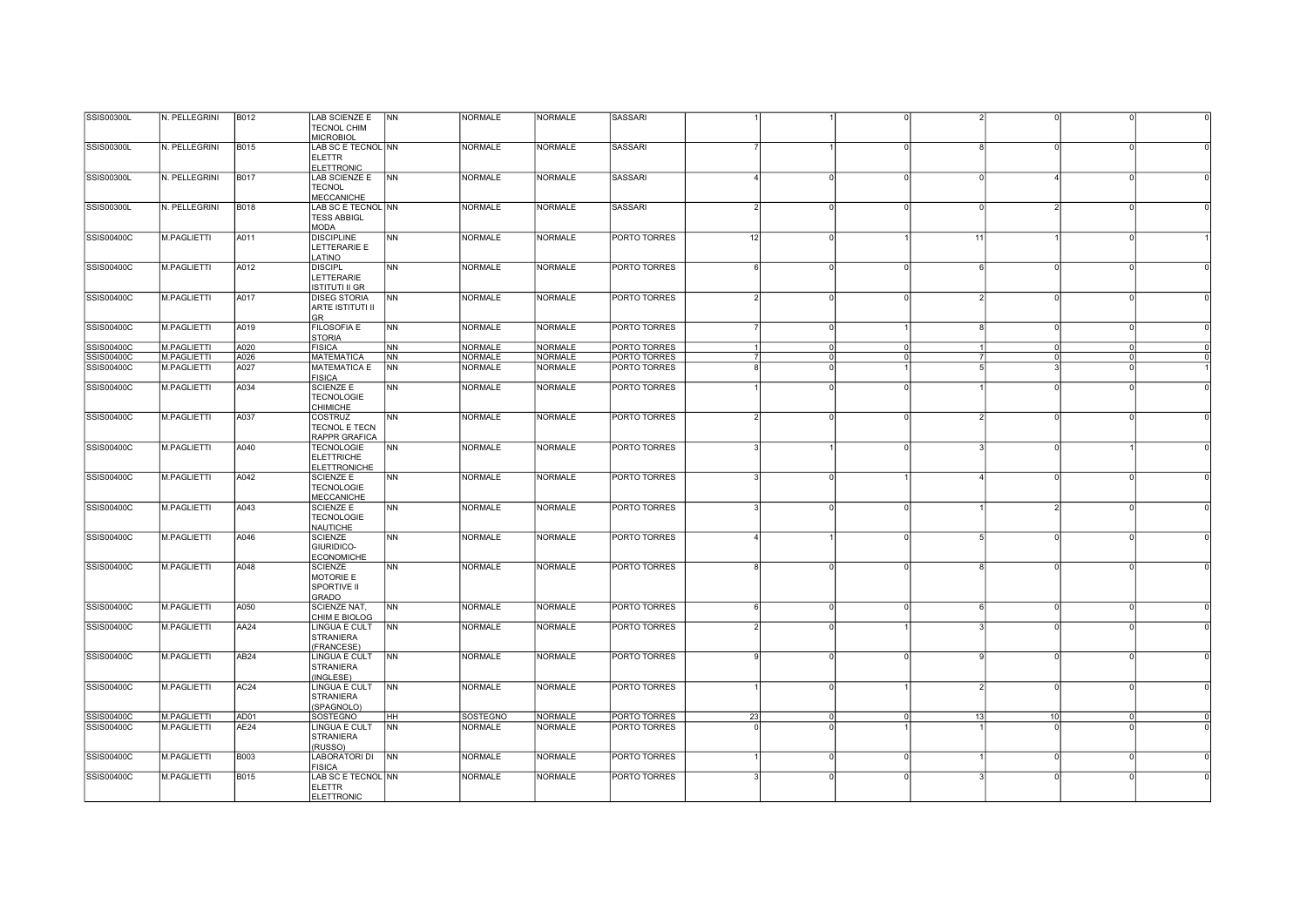| SSIS00300L        | N. PELLEGRINI      | B012             | <b>LAB SCIENZE E</b>                                       | NN             | <b>NORMALE</b>  | <b>NORMALE</b> | <b>SASSARI</b> |               |          |          |    |                        |          |  |
|-------------------|--------------------|------------------|------------------------------------------------------------|----------------|-----------------|----------------|----------------|---------------|----------|----------|----|------------------------|----------|--|
|                   |                    |                  | <b>TECNOL CHIM</b><br><b>MICROBIOL</b>                     |                |                 |                |                |               |          |          |    |                        |          |  |
| SSIS00300L        | N. PELLEGRINI      | <b>B015</b>      | LAB SC E TECNOL NN                                         |                | <b>NORMALE</b>  | <b>NORMALE</b> | <b>SASSARI</b> |               |          |          |    | $\Omega$               |          |  |
|                   |                    |                  | <b>ELETTR</b><br>ELETTRONIC                                |                |                 |                |                |               |          |          |    |                        |          |  |
| SSIS00300L        | N. PELLEGRINI      | <b>B017</b>      | LAB SCIENZE E                                              | <b>NN</b>      | <b>NORMALE</b>  | <b>NORMALE</b> | <b>SASSARI</b> |               |          |          |    | $\boldsymbol{\Lambda}$ |          |  |
|                   |                    |                  | <b>TECNOL</b><br><b>MECCANICHE</b>                         |                |                 |                |                |               |          |          |    |                        |          |  |
| SSIS00300L        | N. PELLEGRINI      | <b>B018</b>      | LAB SC E TECNOL NN                                         |                | <b>NORMALE</b>  | <b>NORMALE</b> | <b>SASSARI</b> | $\mathcal{D}$ |          |          |    | $\mathcal{D}$          |          |  |
|                   |                    |                  | <b>TESS ABBIGL</b><br><b>MODA</b>                          |                |                 |                |                |               |          |          |    |                        |          |  |
| <b>SSIS00400C</b> | M.PAGLIETTI        | A011             | <b>DISCIPLINE</b>                                          | <b>NN</b>      | <b>NORMALE</b>  | <b>NORMALE</b> | PORTO TORRES   | 12            | $\Omega$ |          | 11 |                        | $\Omega$ |  |
|                   |                    |                  | LETTERARIE E<br>LATINO                                     |                |                 |                |                |               |          |          |    |                        |          |  |
| <b>SSIS00400C</b> | M.PAGLIETTI        | A012             | <b>DISCIPL</b>                                             | <b>NN</b>      | <b>NORMALE</b>  | <b>NORMALE</b> | PORTO TORRES   | 6             | $\Omega$ |          |    | $\Omega$               |          |  |
|                   |                    |                  | LETTERARIE<br><b>ISTITUTI II GR</b>                        |                |                 |                |                |               |          |          |    |                        |          |  |
| <b>SSIS00400C</b> | M.PAGLIETTI        | A017             | <b>DISEG STORIA</b>                                        | <b>NN</b>      | <b>NORMALE</b>  | <b>NORMALE</b> | PORTO TORRES   | $\mathcal{P}$ | $\Omega$ |          |    | $\circ$                | $\Omega$ |  |
|                   |                    |                  | <b>ARTE ISTITUTI II</b><br>GR                              |                |                 |                |                |               |          |          |    |                        |          |  |
| SSIS00400C        | M.PAGLIETTI        | A019             | <b>FILOSOFIA E</b><br><b>STORIA</b>                        | N <sub>N</sub> | <b>NORMALE</b>  | <b>NORMALE</b> | PORTO TORRES   |               | $\Omega$ |          |    | $\circ$                | $\Omega$ |  |
| SSIS00400C        | M.PAGLIETTI        | A020             | FISICA                                                     | <b>NN</b>      | <b>NORMALE</b>  | <b>NORMALE</b> | PORTO TORRES   |               | $\Omega$ | $\Omega$ |    | $\circ$                | $\Omega$ |  |
| <b>SSIS00400C</b> | M.PAGLIETTI        | A026             | <b>MATEMATICA</b>                                          | <b>NN</b>      | <b>NORMALE</b>  | <b>NORMALE</b> | PORTO TORRES   |               | $\Omega$ | $\Omega$ |    | $\circ$                | $\Omega$ |  |
| SSIS00400C        | M.PAGLIETTI        | A027             | MATEMATICA E<br><b>FISICA</b>                              | <b>NN</b>      | <b>NORMALE</b>  | <b>NORMALE</b> | PORTO TORRES   | $\mathsf{R}$  | $\Omega$ |          |    |                        |          |  |
| <b>SSIS00400C</b> | M.PAGLIETTI        | A034             | <b>SCIENZE E</b>                                           | <b>NN</b>      | <b>NORMALE</b>  | <b>NORMALE</b> | PORTO TORRES   |               |          |          |    | $\Omega$               |          |  |
|                   |                    |                  | <b>TECNOLOGIE</b><br>CHIMICHE                              |                |                 |                |                |               |          |          |    |                        |          |  |
| SSIS00400C        | M.PAGLIETTI        | A037             | <b>COSTRUZ</b><br>TECNOL E TECN<br>RAPPR GRAFICA           | <b>NN</b>      | <b>NORMALE</b>  | <b>NORMALE</b> | PORTO TORRES   | $\mathcal{D}$ | $\Omega$ |          |    | $\circ$<br>2           |          |  |
| <b>SSIS00400C</b> | <b>M.PAGLIETTI</b> | A040             | <b>TECNOLOGIE</b><br><b>ELETTRICHE</b>                     | <b>INN</b>     | <b>NORMALE</b>  | <b>NORMALE</b> | PORTO TORRES   |               |          |          |    | $\Omega$               |          |  |
|                   |                    |                  | <b>ELETTRONICHE</b>                                        |                |                 |                |                |               |          |          |    |                        |          |  |
| SSIS00400C        | <b>M.PAGLIETTI</b> | A042             | <b>SCIENZE E</b><br><b>TECNOLOGIE</b><br><b>MECCANICHE</b> | <b>NN</b>      | <b>NORMALE</b>  | <b>NORMALE</b> | PORTO TORRES   |               |          |          |    | $\Omega$               |          |  |
| SSIS00400C        | M.PAGLIETTI        | A043             | <b>SCIENZE E</b>                                           | <b>NN</b>      | <b>NORMALE</b>  | <b>NORMALE</b> | PORTO TORRES   |               |          |          |    | $\mathcal{P}$          |          |  |
|                   |                    |                  | <b>TECNOLOGIE</b><br><b>NAUTICHE</b>                       |                |                 |                |                |               |          |          |    |                        |          |  |
| SSIS00400C        | <b>M.PAGLIETTI</b> | A046             | <b>SCIENZE</b>                                             | <b>NN</b>      | <b>NORMALE</b>  | <b>NORMALE</b> | PORTO TORRES   |               |          |          |    | $\Omega$               |          |  |
|                   |                    |                  | GIURIDICO-<br><b>ECONOMICHE</b>                            |                |                 |                |                |               |          |          |    |                        |          |  |
| SSIS00400C        | M.PAGLIETTI        | A048             | <b>SCIENZE</b>                                             | <b>NN</b>      | <b>NORMALE</b>  | <b>NORMALE</b> | PORTO TORRES   |               | $\Omega$ |          |    | $\Omega$               |          |  |
|                   |                    |                  | MOTORIE E<br>SPORTIVE II                                   |                |                 |                |                |               |          |          |    |                        |          |  |
| SSIS00400C        | <b>M.PAGLIETTI</b> | A050             | GRADO<br><b>SCIENZE NAT,</b>                               | <b>NN</b>      | <b>NORMALE</b>  | <b>NORMALE</b> | PORTO TORRES   | $\epsilon$    | $\Omega$ | C        |    | $\circ$                |          |  |
|                   |                    |                  | CHIM E BIOLOG                                              |                |                 |                |                |               |          |          |    |                        |          |  |
| SSIS00400C        | M.PAGLIETTI        | AA24             | <b>LINGUA E CULT</b><br><b>STRANIERA</b><br>(FRANCESE)     | <b>NN</b>      | <b>NORMALE</b>  | <b>NORMALE</b> | PORTO TORRES   | $\mathcal{D}$ | $\Omega$ |          |    | $\circ$                |          |  |
| SSIS00400C        | M.PAGLIETTI        | AB <sub>24</sub> | <b>LINGUA E CULT</b>                                       | <b>NN</b>      | <b>NORMALE</b>  | <b>NORMALE</b> | PORTO TORRES   | $\mathsf{Q}$  | $\Omega$ |          |    | $\circ$                |          |  |
|                   |                    |                  | <b>STRANIERA</b><br>(INGLESE)                              |                |                 |                |                |               |          |          |    |                        |          |  |
| <b>SSIS00400C</b> | M.PAGLIETTI        | AC24             | LINGUA E CULT                                              | NN             | <b>NORMALE</b>  | <b>NORMALE</b> | PORTO TORRES   |               | $\Omega$ |          |    | $\circ$                |          |  |
|                   |                    |                  | <b>STRANIERA</b><br>(SPAGNOLO)                             |                |                 |                |                |               |          |          |    |                        |          |  |
| SSIS00400C        | M.PAGLIETTI        | AD01             | <b>SOSTEGNO</b>                                            | HH             | <b>SOSTEGNO</b> | <b>NORMALE</b> | PORTO TORRES   | 23            | $\Omega$ |          | 13 | 10 <sup>1</sup>        | $\Omega$ |  |
| <b>SSIS00400C</b> | M.PAGLIETTI        | AE24             | LINGUA E CULT                                              | N <sub>N</sub> | <b>NORMALE</b>  | <b>NORMALE</b> | PORTO TORRES   |               |          |          |    |                        |          |  |
|                   |                    |                  | <b>STRANIERA</b><br>(RUSSO)                                |                |                 |                |                |               |          |          |    |                        |          |  |
| <b>SSIS00400C</b> | M.PAGLIETTI        | <b>B003</b>      | LABORATORI DI<br><b>FISICA</b>                             | NN             | <b>NORMALE</b>  | <b>NORMALE</b> | PORTO TORRES   |               | $\Omega$ | $\Omega$ |    | $\circ$                | $\Omega$ |  |
| SSIS00400C        | M.PAGLIETTI        | B015             | LAB SC E TECNOL NN                                         |                | <b>NORMALE</b>  | <b>NORMALE</b> | PORTO TORRES   |               |          |          |    |                        |          |  |
|                   |                    |                  | <b>ELETTR</b><br><b>ELETTRONIC</b>                         |                |                 |                |                |               |          |          |    |                        |          |  |
|                   |                    |                  |                                                            |                |                 |                |                |               |          |          |    |                        |          |  |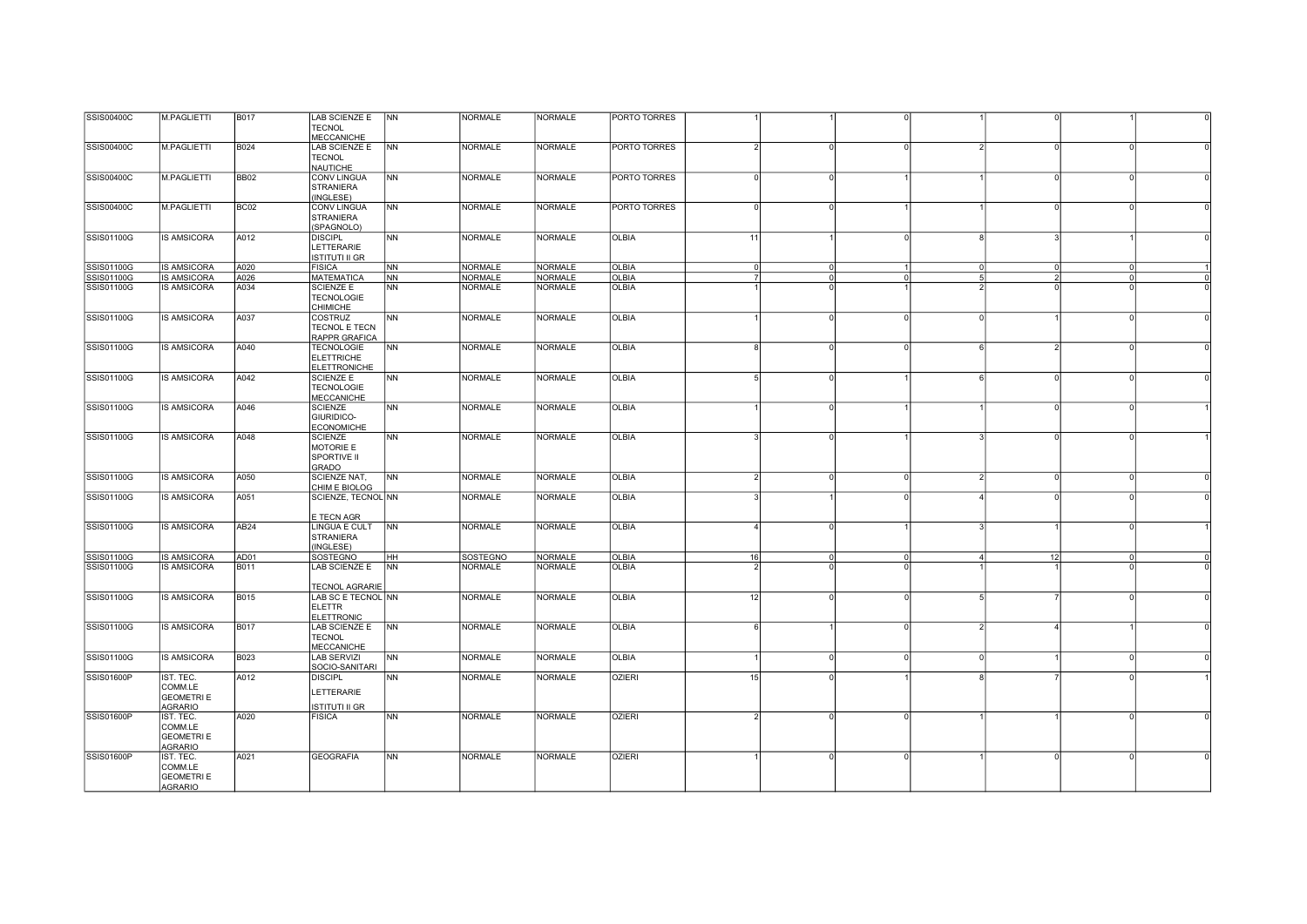| SSIS00400C        | M.PAGLIETTI                                                 | <b>B017</b>      | LAB SCIENZE E<br><b>TECNOL</b>                                | <b>NN</b>      | <b>NORMALE</b>  | <b>NORMALE</b> | PORTO TORRES        |                 |          |                      |                |                |          |  |
|-------------------|-------------------------------------------------------------|------------------|---------------------------------------------------------------|----------------|-----------------|----------------|---------------------|-----------------|----------|----------------------|----------------|----------------|----------|--|
|                   |                                                             |                  | <b>MECCANICHE</b>                                             |                |                 |                |                     |                 |          |                      |                |                |          |  |
| SSIS00400C        | M.PAGLIETTI                                                 | <b>B024</b>      | <b>LAB SCIENZE E</b><br><b>TECNOL</b><br><b>NAUTICHE</b>      | <b>NN</b>      | NORMALE         | NORMALE        | <b>PORTO TORRES</b> | $\mathcal{P}$   |          | $\Omega$             | $\mathcal{D}$  | $\Omega$       |          |  |
| SSIS00400C        | M.PAGLIETTI                                                 | <b>BB02</b>      | <b>CONV LINGUA</b><br><b>STRANIERA</b><br>(INGLESE)           | <b>NN</b>      | <b>NORMALE</b>  | <b>NORMALE</b> | <b>PORTO TORRES</b> | $\Omega$        |          |                      |                | $\Omega$       |          |  |
| SSIS00400C        | M.PAGLIETTI                                                 | BC <sub>02</sub> | <b>CONV LINGUA</b><br><b>STRANIERA</b><br>(SPAGNOLO)          | N <sub>N</sub> | <b>NORMALE</b>  | <b>NORMALE</b> | PORTO TORRES        | $\Omega$        |          |                      |                |                |          |  |
| SSIS01100G        | <b>IS AMSICORA</b>                                          | A012             | <b>DISCIPL</b><br>LETTERARIE<br><b>ISTITUTI II GR</b>         | <b>NN</b>      | <b>NORMALE</b>  | <b>NORMALE</b> | <b>OLBIA</b>        | 11              |          | $\Omega$             |                | $\mathbf{r}$   |          |  |
| SSIS01100G        | <b>IS AMSICORA</b>                                          | A020             | <b>FISICA</b>                                                 | N <sub>N</sub> | <b>NORMALE</b>  | <b>NORMALE</b> | <b>OLBIA</b>        | $\overline{0}$  | $\Omega$ | $\mathbf{1}$         | $\overline{0}$ | $\overline{0}$ |          |  |
| SSIS01100G        | <b>IS AMSICORA</b>                                          | A026             | <b>MATEMATICA</b>                                             | <b>INN</b>     | <b>NORMALE</b>  | <b>NORMALE</b> | <b>OLBIA</b>        | 7               |          | $\Omega$<br>$\Omega$ | -5             | $\overline{2}$ | $\Omega$ |  |
| SSIS01100G        | <b>IS AMSICORA</b>                                          | A034             | <b>SCIENZE E</b><br><b>TECNOLOGIE</b><br><b>CHIMICHE</b>      | <b>NN</b>      | <b>NORMALE</b>  | <b>NORMALE</b> | <b>OLBIA</b>        |                 |          |                      |                |                |          |  |
| SSIS01100G        | <b>IS AMSICORA</b>                                          | A037             | <b>COSTRUZ</b><br><b>TECNOL E TECN</b><br>RAPPR GRAFICA       | <b>NN</b>      | <b>NORMALE</b>  | <b>NORMALE</b> | <b>OLBIA</b>        |                 |          | n                    | $\Omega$       |                |          |  |
| SSIS01100G        | <b>IS AMSICORA</b>                                          | A040             | <b>TECNOLOGIE</b><br><b>ELETTRICHE</b><br><b>ELETTRONICHE</b> | N <sub>N</sub> | <b>NORMALE</b>  | <b>NORMALE</b> | <b>OLBIA</b>        | 8               |          | $\Omega$             |                | $\mathcal{D}$  |          |  |
| SSIS01100G        | <b>IS AMSICORA</b>                                          | A042             | <b>SCIENZE E</b><br><b>TECNOLOGIE</b><br><b>MECCANICHE</b>    | <b>NN</b>      | <b>NORMALE</b>  | <b>NORMALE</b> | <b>OLBIA</b>        | $5 \frac{1}{2}$ |          |                      | 6              | $\circ$        | $\Omega$ |  |
| SSIS01100G        | <b>IS AMSICORA</b>                                          | A046             | <b>SCIENZE</b><br>GIURIDICO-<br><b>ECONOMICHE</b>             | N <sub>N</sub> | <b>NORMALE</b>  | <b>NORMALE</b> | <b>OLBIA</b>        |                 |          |                      |                | $\Omega$       |          |  |
| SSIS01100G        | <b>IS AMSICORA</b>                                          | A048             | <b>SCIENZE</b><br>MOTORIE E<br>SPORTIVE II<br>GRADO           | <b>INN</b>     | <b>NORMALE</b>  | <b>NORMALE</b> | <b>OLBIA</b>        |                 |          |                      |                |                |          |  |
| SSIS01100G        | <b>IS AMSICORA</b>                                          | A050             | SCIENZE NAT.<br>CHIM E BIOLOG                                 | N <sub>N</sub> | <b>NORMALE</b>  | <b>NORMALE</b> | <b>OLBIA</b>        | $\overline{2}$  | $\Omega$ | $\Omega$             | $\overline{2}$ | $\circ$        | $\Omega$ |  |
| SSIS01100G        | <b>IS AMSICORA</b>                                          | A051             | SCIENZE, TECNOL NN<br>E TECN AGR                              |                | <b>NORMALE</b>  | <b>NORMALE</b> | <b>OLBIA</b>        |                 |          |                      |                |                |          |  |
| SSIS01100G        | <b>IS AMSICORA</b>                                          | AB <sub>24</sub> | LINGUA E CULT<br><b>STRANIERA</b><br>(INGLESE)                | NN             | <b>NORMALE</b>  | <b>NORMALE</b> | <b>OLBIA</b>        | $\overline{4}$  |          |                      |                |                |          |  |
| <b>SSIS01100G</b> | <b>IS AMSICORA</b>                                          | AD01             | <b>SOSTEGNO</b>                                               | HH             | <b>SOSTEGNO</b> | NORMALE        | <b>OLBIA</b>        | 16              |          | $\Omega$<br>$\Omega$ | $\Delta$       | 12             | $\cap$   |  |
| SSIS01100G        | <b>IS AMSICORA</b>                                          | <b>B011</b>      | LAB SCIENZE E<br><b>TECNOL AGRARIE</b>                        | <b>NN</b>      | <b>NORMALE</b>  | <b>NORMALE</b> | OLBIA               |                 |          |                      |                |                |          |  |
| SSIS01100G        | <b>IS AMSICORA</b>                                          | <b>B015</b>      | LAB SC E TECNOL NN<br><b>ELETTR</b><br><b>ELETTRONIC</b>      |                | <b>NORMALE</b>  | <b>NORMALE</b> | <b>OLBIA</b>        | 12              |          |                      |                |                |          |  |
| SSIS01100G        | <b>IS AMSICORA</b>                                          | <b>B017</b>      | LAB SCIENZE E<br><b>TECNOL</b><br><b>MECCANICHE</b>           | <b>NN</b>      | <b>NORMALE</b>  | <b>NORMALE</b> | <b>OLBIA</b>        | 6               |          |                      |                |                |          |  |
| SSIS01100G        | <b>IS AMSICORA</b>                                          | <b>B023</b>      | <b>LAB SERVIZI</b><br>SOCIO-SANITARI                          | N <sub>N</sub> | <b>NORMALE</b>  | <b>NORMALE</b> | <b>OLBIA</b>        |                 |          | $\Omega$<br>∩        | $\Omega$       |                |          |  |
| <b>SSIS01600P</b> | IST. TEC.<br>COMM.LE<br><b>GEOMETRI E</b><br><b>AGRARIO</b> | A012             | <b>DISCIPL</b><br>LETTERARIE<br><b>ISTITUTI II GR</b>         | <b>NN</b>      | <b>NORMALE</b>  | <b>NORMALE</b> | <b>OZIERI</b>       | 15              |          |                      |                |                |          |  |
| SSIS01600P        | IST. TEC.<br>COMM.LE<br><b>GEOMETRIE</b><br><b>AGRARIO</b>  | A020             | <b>FISICA</b>                                                 | <b>NN</b>      | NORMALE         | <b>NORMALE</b> | <b>OZIERI</b>       | $\mathcal{P}$   |          | $\Omega$             |                |                | $\cap$   |  |
| <b>SSIS01600P</b> | IST. TEC.<br>COMM.LE<br><b>GEOMETRIE</b><br>AGRARIO         | A021             | <b>GEOGRAFIA</b>                                              | N <sub>N</sub> | <b>NORMALE</b>  | <b>NORMALE</b> | <b>OZIERI</b>       |                 |          |                      |                | $\Omega$       |          |  |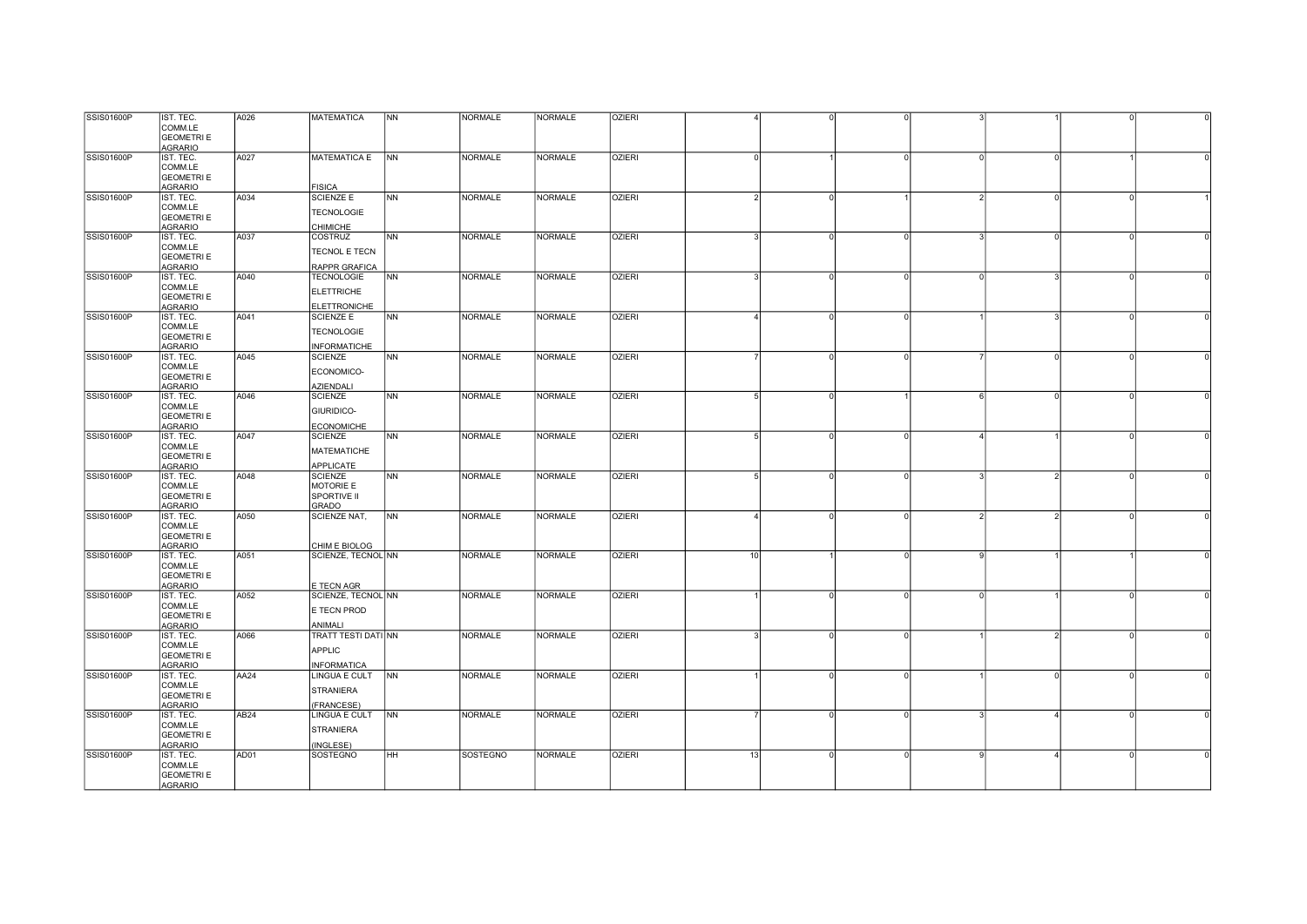| <b>SSIS01600P</b> | IST. TEC.         | A026             | <b>MATEMATICA</b>          | <b>NN</b>      | <b>NORMALE</b>  | <b>NORMALE</b> | <b>OZIERI</b> |                 |               |              |               |  |
|-------------------|-------------------|------------------|----------------------------|----------------|-----------------|----------------|---------------|-----------------|---------------|--------------|---------------|--|
|                   | COMM.LE           |                  |                            |                |                 |                |               |                 |               |              |               |  |
|                   | <b>GEOMETRIE</b>  |                  |                            |                |                 |                |               |                 |               |              |               |  |
|                   | <b>AGRARIO</b>    |                  |                            |                |                 |                |               |                 |               |              |               |  |
| <b>SSIS01600P</b> | IST. TEC.         | A027             | <b>MATEMATICA E</b>        | N <sub>N</sub> | <b>NORMALE</b>  | <b>NORMALE</b> | <b>OZIERI</b> | $\Omega$        | $\Omega$      | $\Omega$     | $\Omega$      |  |
|                   | COMM.LE           |                  |                            |                |                 |                |               |                 |               |              |               |  |
|                   | <b>GEOMETRI E</b> |                  |                            |                |                 |                |               |                 |               |              |               |  |
|                   | <b>AGRARIO</b>    |                  | <b>FISICA</b>              |                |                 |                |               |                 |               |              |               |  |
| SSIS01600P        | IST. TEC.         | A034             | <b>SCIENZE E</b>           | <b>INN</b>     | NORMALE         | <b>NORMALE</b> | <b>OZIERI</b> | $\mathcal{P}$   |               |              |               |  |
|                   |                   |                  |                            |                |                 |                |               |                 |               |              |               |  |
|                   | COMM.LE           |                  | <b>TECNOLOGIE</b>          |                |                 |                |               |                 |               |              |               |  |
|                   | <b>GEOMETRI E</b> |                  |                            |                |                 |                |               |                 |               |              |               |  |
|                   | <b>AGRARIO</b>    |                  | <b>CHIMICHE</b>            |                |                 |                |               |                 |               |              |               |  |
| <b>SSIS01600P</b> | IST. TEC.         | A037             | COSTRUZ                    | NN             | <b>NORMALE</b>  | <b>NORMALE</b> | <b>OZIERI</b> | 3               |               |              |               |  |
|                   | COMM.LE           |                  | TECNOL E TECN              |                |                 |                |               |                 |               |              |               |  |
|                   | <b>GEOMETRI E</b> |                  |                            |                |                 |                |               |                 |               |              |               |  |
|                   | <b>AGRARIO</b>    |                  | RAPPR GRAFICA              |                |                 |                |               |                 |               |              |               |  |
| SSIS01600P        | IST. TEC.         | A040             | <b>TECNOLOGIE</b>          | N <sub>N</sub> | <b>NORMALE</b>  | <b>NORMALE</b> | <b>OZIERI</b> |                 |               |              |               |  |
|                   | COMM.LE           |                  | <b>ELETTRICHE</b>          |                |                 |                |               |                 |               |              |               |  |
|                   | <b>GEOMETRIE</b>  |                  |                            |                |                 |                |               |                 |               |              |               |  |
|                   | <b>AGRARIO</b>    |                  | <b>ELETTRONICHE</b>        |                |                 |                |               |                 |               |              |               |  |
| SSIS01600P        | IST. TEC.         | A041             | <b>SCIENZE E</b>           | N <sub>N</sub> | <b>NORMALE</b>  | <b>NORMALE</b> | <b>OZIERI</b> | $\Delta$        | U<br>$\Omega$ |              | ্ব            |  |
|                   | COMM.LE           |                  |                            |                |                 |                |               |                 |               |              |               |  |
|                   | <b>GEOMETRI E</b> |                  | <b>TECNOLOGIE</b>          |                |                 |                |               |                 |               |              |               |  |
|                   | <b>AGRARIO</b>    |                  | <b>INFORMATICHE</b>        |                |                 |                |               |                 |               |              |               |  |
| SSIS01600P        | IST. TEC.         | A045             | <b>SCIENZE</b>             | NN             | <b>NORMALE</b>  | <b>NORMALE</b> | <b>OZIERI</b> |                 | $\Omega$      |              | $\Omega$      |  |
|                   | COMM.LE           |                  |                            |                |                 |                |               |                 |               |              |               |  |
|                   | <b>GEOMETRI E</b> |                  | ECONOMICO-                 |                |                 |                |               |                 |               |              |               |  |
|                   | <b>AGRARIO</b>    |                  | AZIENDALI                  |                |                 |                |               |                 |               |              |               |  |
| SSIS01600P        | IST. TEC.         | A046             | <b>SCIENZE</b>             | <b>INN</b>     | <b>NORMALE</b>  | <b>NORMALE</b> | <b>OZIERI</b> | $5 \frac{1}{2}$ |               |              |               |  |
|                   | COMM.LE           |                  |                            |                |                 |                |               |                 |               |              |               |  |
|                   | <b>GEOMETRIE</b>  |                  | GIURIDICO-                 |                |                 |                |               |                 |               |              |               |  |
|                   |                   |                  |                            |                |                 |                |               |                 |               |              |               |  |
|                   | <b>AGRARIO</b>    |                  | <b>ECONOMICHE</b>          |                |                 |                |               |                 |               |              |               |  |
| <b>SSIS01600P</b> | IST. TEC.         | A047             | SCIENZE                    | <b>NN</b>      | <b>NORMALE</b>  | <b>NORMALE</b> | <b>OZIERI</b> | 5               |               |              |               |  |
|                   | COMM.LE           |                  | <b>MATEMATICHE</b>         |                |                 |                |               |                 |               |              |               |  |
|                   | <b>GEOMETRIE</b>  |                  |                            |                |                 |                |               |                 |               |              |               |  |
|                   | <b>AGRARIO</b>    |                  | <b>APPLICATE</b>           |                |                 |                |               |                 |               |              |               |  |
| <b>SSIS01600P</b> | IST. TEC.         | A048             | <b>SCIENZE</b>             | NN             | <b>NORMALE</b>  | <b>NORMALE</b> | <b>OZIERI</b> | 5               |               |              |               |  |
|                   | COMM.LE           |                  | MOTORIE E                  |                |                 |                |               |                 |               |              |               |  |
|                   | <b>GEOMETRI E</b> |                  | SPORTIVE II                |                |                 |                |               |                 |               |              |               |  |
|                   | <b>AGRARIO</b>    |                  | <b>GRADO</b>               |                |                 |                |               |                 |               |              |               |  |
| <b>SSIS01600P</b> | IST. TEC.         | A050             | SCIENZE NAT,               | N <sub>N</sub> | <b>NORMALE</b>  | <b>NORMALE</b> | <b>OZIERI</b> | $\overline{4}$  | ŋ             |              |               |  |
|                   | COMM.LE           |                  |                            |                |                 |                |               |                 |               |              |               |  |
|                   | <b>GEOMETRI E</b> |                  |                            |                |                 |                |               |                 |               |              |               |  |
|                   | <b>AGRARIO</b>    |                  | CHIM E BIOLOG              |                |                 |                |               |                 |               |              |               |  |
| <b>SSIS01600P</b> | IST. TEC.         | A051             | SCIENZE, TECNOL NN         |                | <b>NORMALE</b>  | <b>NORMALE</b> | <b>OZIERI</b> | 10              | $\Omega$      | $\mathbf{Q}$ |               |  |
|                   | COMM.LE           |                  |                            |                |                 |                |               |                 |               |              |               |  |
|                   | <b>GEOMETRIE</b>  |                  |                            |                |                 |                |               |                 |               |              |               |  |
|                   | <b>AGRARIO</b>    |                  | E TECN AGR                 |                |                 |                |               |                 |               |              |               |  |
| <b>SSIS01600P</b> | IST. TEC.         | A052             | SCIENZE, TECNOL NN         |                | <b>NORMALE</b>  | <b>NORMALE</b> | <b>OZIERI</b> |                 |               |              |               |  |
|                   | COMM.LE           |                  |                            |                |                 |                |               |                 |               |              |               |  |
|                   | <b>GEOMETRI E</b> |                  | E TECN PROD                |                |                 |                |               |                 |               |              |               |  |
|                   | <b>AGRARIO</b>    |                  | ANIMALI                    |                |                 |                |               |                 |               |              |               |  |
| <b>SSIS01600P</b> | IST. TEC.         | A066             | <b>TRATT TESTI DATI NN</b> |                | NORMALE         | <b>NORMALE</b> | <b>OZIERI</b> | 3               | $\Omega$      |              | $\mathcal{P}$ |  |
|                   | COMM.LE           |                  |                            |                |                 |                |               |                 |               |              |               |  |
|                   | <b>GEOMETRIE</b>  |                  | <b>APPLIC</b>              |                |                 |                |               |                 |               |              |               |  |
|                   | <b>AGRARIO</b>    |                  | <b>INFORMATICA</b>         |                |                 |                |               |                 |               |              |               |  |
| <b>SSIS01600P</b> | IST. TEC.         | AA24             | <b>LINGUA E CULT</b>       | <b>NN</b>      | <b>NORMALE</b>  | <b>NORMALE</b> | <b>OZIERI</b> |                 |               |              | $\Omega$      |  |
|                   | COMM.LE           |                  |                            |                |                 |                |               |                 |               |              |               |  |
|                   |                   |                  | <b>STRANIERA</b>           |                |                 |                |               |                 |               |              |               |  |
|                   | <b>GEOMETRIE</b>  |                  |                            |                |                 |                |               |                 |               |              |               |  |
|                   | AGRARIO           |                  | (FRANCESE)                 |                |                 |                |               |                 |               |              |               |  |
| <b>SSIS01600P</b> | IST. TEC.         | AB <sub>24</sub> | LINGUA E CULT              | N <sub>N</sub> | <b>NORMALE</b>  | <b>NORMALE</b> | <b>OZIERI</b> |                 | $\Omega$      |              |               |  |
|                   | COMM.LE           |                  | <b>STRANIERA</b>           |                |                 |                |               |                 |               |              |               |  |
|                   | <b>GEOMETRIE</b>  |                  |                            |                |                 |                |               |                 |               |              |               |  |
|                   | <b>AGRARIO</b>    |                  | (INGLESE)                  |                |                 |                |               |                 |               |              |               |  |
| <b>SSIS01600P</b> | IST. TEC.         | AD01             | <b>SOSTEGNO</b>            | <b>IHH</b>     | <b>SOSTEGNO</b> | <b>NORMALE</b> | <b>OZIERI</b> | 13              | $\Omega$<br>U | $\mathsf{Q}$ |               |  |
|                   | COMM.LE           |                  |                            |                |                 |                |               |                 |               |              |               |  |
|                   | <b>GEOMETRI E</b> |                  |                            |                |                 |                |               |                 |               |              |               |  |
|                   | <b>AGRARIO</b>    |                  |                            |                |                 |                |               |                 |               |              |               |  |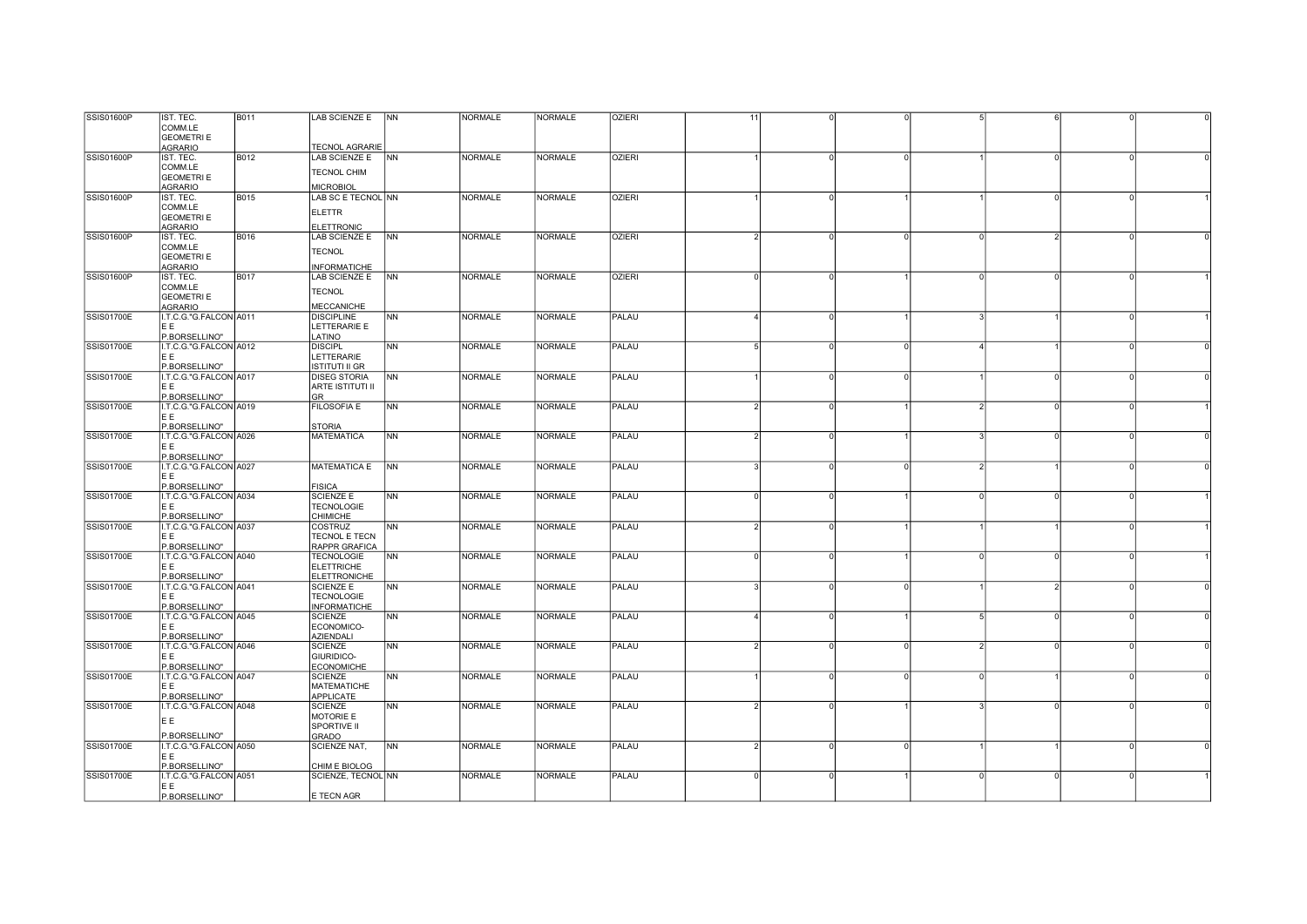| <b>SSIS01600P</b> | IST. TEC.              | <b>B011</b> | LAB SCIENZE E   NN      |                | <b>NORMALE</b> | <b>NORMALE</b> | <b>OZIERI</b> | 11                     |          |          |               |          |          |  |
|-------------------|------------------------|-------------|-------------------------|----------------|----------------|----------------|---------------|------------------------|----------|----------|---------------|----------|----------|--|
|                   | COMM.LE                |             |                         |                |                |                |               |                        |          |          |               |          |          |  |
|                   |                        |             |                         |                |                |                |               |                        |          |          |               |          |          |  |
|                   | <b>GEOMETRIE</b>       |             |                         |                |                |                |               |                        |          |          |               |          |          |  |
|                   | AGRARIO                |             | <b>TECNOL AGRARIE</b>   |                |                |                |               |                        |          |          |               |          |          |  |
| SSIS01600P        | IST. TEC.              | B012        | LAB SCIENZE E           | <b>NN</b>      | <b>NORMALE</b> | <b>NORMALE</b> | <b>OZIERI</b> |                        |          | $\Omega$ |               | $\Omega$ |          |  |
|                   | COMM.LE                |             |                         |                |                |                |               |                        |          |          |               |          |          |  |
|                   | <b>GEOMETRIE</b>       |             | <b>TECNOL CHIM</b>      |                |                |                |               |                        |          |          |               |          |          |  |
|                   | <b>AGRARIO</b>         |             | <b>MICROBIOL</b>        |                |                |                |               |                        |          |          |               |          |          |  |
|                   |                        |             |                         |                |                |                |               |                        |          |          |               | $\Omega$ |          |  |
| <b>SSIS01600P</b> | IST. TEC.              | <b>B015</b> | LAB SC E TECNOL NN      |                | <b>NORMALE</b> | <b>NORMALE</b> | <b>OZIERI</b> |                        |          |          |               |          |          |  |
|                   | COMM.LE                |             | <b>ELETTR</b>           |                |                |                |               |                        |          |          |               |          |          |  |
|                   | <b>GEOMETRIE</b>       |             |                         |                |                |                |               |                        |          |          |               |          |          |  |
|                   | AGRARIO                |             | ELETTRONIC              |                |                |                |               |                        |          |          |               |          |          |  |
| SSIS01600P        | IST. TEC.              | <b>B016</b> | LAB SCIENZE E           | <b>NN</b>      | <b>NORMALE</b> | <b>NORMALE</b> | <b>OZIERI</b> |                        |          | $\Omega$ | U             |          |          |  |
|                   | COMM.LE                |             |                         |                |                |                |               |                        |          |          |               |          |          |  |
|                   |                        |             | <b>TECNOL</b>           |                |                |                |               |                        |          |          |               |          |          |  |
|                   | <b>GEOMETRI E</b>      |             |                         |                |                |                |               |                        |          |          |               |          |          |  |
|                   | <b>AGRARIO</b>         |             | <b>INFORMATICHE</b>     |                |                |                |               |                        |          |          |               |          |          |  |
| SSIS01600P        | IST. TEC.              | <b>B017</b> | LAB SCIENZE E           | <b>NN</b>      | <b>NORMALE</b> | <b>NORMALE</b> | <b>OZIERI</b> |                        |          |          |               |          |          |  |
|                   | COMM.LE                |             |                         |                |                |                |               |                        |          |          |               |          |          |  |
|                   | <b>GEOMETRIE</b>       |             | <b>TECNOL</b>           |                |                |                |               |                        |          |          |               |          |          |  |
|                   | <b>AGRARIO</b>         |             | <b>MECCANICHE</b>       |                |                |                |               |                        |          |          |               |          |          |  |
| <b>SSIS01700E</b> |                        |             |                         |                | <b>NORMALE</b> | <b>NORMALE</b> | PALAU         | $\boldsymbol{\Lambda}$ |          |          |               |          |          |  |
|                   | I.T.C.G."G.FALCON A011 |             | <b>DISCIPLINE</b>       | <b>NN</b>      |                |                |               |                        |          |          |               |          |          |  |
|                   | EE                     |             | LETTERARIE E            |                |                |                |               |                        |          |          |               |          |          |  |
|                   | P.BORSELLINO"          |             | LATINO                  |                |                |                |               |                        |          |          |               |          |          |  |
| <b>SSIS01700E</b> | I.T.C.G."G.FALCON A012 |             | <b>DISCIPL</b>          | NN             | <b>NORMALE</b> | <b>NORMALE</b> | PALAU         | 5                      |          |          |               |          |          |  |
|                   | IE E                   |             | LETTERARIE              |                |                |                |               |                        |          |          |               |          |          |  |
|                   | P.BORSELLINO"          |             | <b>ISTITUTI II GR</b>   |                |                |                |               |                        |          |          |               |          |          |  |
| <b>SSIS01700E</b> |                        |             | <b>DISEG STORIA</b>     | N <sub>N</sub> | <b>NORMALE</b> | <b>NORMALE</b> | PALAU         |                        |          |          |               | $\Omega$ |          |  |
|                   | I.T.C.G."G.FALCON A017 |             |                         |                |                |                |               |                        |          |          |               |          |          |  |
|                   | EE                     |             | <b>ARTE ISTITUTI II</b> |                |                |                |               |                        |          |          |               |          |          |  |
|                   | P.BORSELLINO"          |             | GR                      |                |                |                |               |                        |          |          |               |          |          |  |
| <b>SSIS01700E</b> | I.T.C.G."G.FALCON A019 |             | <b>FILOSOFIA E</b>      | <b>NN</b>      | <b>NORMALE</b> | <b>NORMALE</b> | PALAU         | $\overline{2}$         | n        |          | $\mathcal{P}$ | $\circ$  |          |  |
|                   | E E                    |             |                         |                |                |                |               |                        |          |          |               |          |          |  |
|                   | P.BORSELLINO"          |             | <b>STORIA</b>           |                |                |                |               |                        |          |          |               |          |          |  |
| <b>SSIS01700E</b> | I.T.C.G."G.FALCON A026 |             | <b>MATEMATICA</b>       | NN             | <b>NORMALE</b> | <b>NORMALE</b> | PALAU         |                        |          |          |               |          |          |  |
|                   |                        |             |                         |                |                |                |               |                        |          |          |               |          |          |  |
|                   | IE E                   |             |                         |                |                |                |               |                        |          |          |               |          |          |  |
|                   | P.BORSELLINO"          |             |                         |                |                |                |               |                        |          |          |               |          |          |  |
| <b>SSIS01700E</b> | I.T.C.G."G.FALCON A027 |             | MATEMATICA E            | <b>NN</b>      | <b>NORMALE</b> | <b>NORMALE</b> | PALAU         |                        |          |          |               |          |          |  |
|                   | IE E                   |             |                         |                |                |                |               |                        |          |          |               |          |          |  |
|                   | P.BORSELLINO"          |             | <b>FISICA</b>           |                |                |                |               |                        |          |          |               |          |          |  |
| <b>SSIS01700E</b> | I.T.C.G."G.FALCON A034 |             | <b>SCIENZE E</b>        | NN             | <b>NORMALE</b> | <b>NORMALE</b> | PALAU         | $\Omega$               |          |          |               | $\Omega$ |          |  |
|                   |                        |             |                         |                |                |                |               |                        |          |          |               |          |          |  |
|                   | E E                    |             | <b>TECNOLOGIE</b>       |                |                |                |               |                        |          |          |               |          |          |  |
|                   | P.BORSELLINO"          |             | CHIMICHE                |                |                |                |               |                        |          |          |               |          |          |  |
| <b>SSIS01700E</b> | I.T.C.G."G.FALCON A037 |             | <b>COSTRUZ</b>          | <b>NN</b>      | <b>NORMALE</b> | <b>NORMALE</b> | PALAU         | $\overline{2}$         |          |          |               |          |          |  |
|                   | E E                    |             | <b>TECNOL E TECN</b>    |                |                |                |               |                        |          |          |               |          |          |  |
|                   | P.BORSELLINO"          |             | <b>RAPPR GRAFICA</b>    |                |                |                |               |                        |          |          |               |          |          |  |
| <b>SSIS01700E</b> | I.T.C.G."G.FALCON A040 |             | <b>TECNOLOGIE</b>       | N <sub>N</sub> | <b>NORMALE</b> | <b>NORMALE</b> | PALAU         | $\Omega$               |          |          |               |          |          |  |
|                   | EE                     |             | <b>ELETTRICHE</b>       |                |                |                |               |                        |          |          |               |          |          |  |
|                   |                        |             |                         |                |                |                |               |                        |          |          |               |          |          |  |
|                   | P.BORSELLINO"          |             | ELETTRONICHE            |                |                |                |               |                        |          |          |               |          |          |  |
| <b>SSIS01700E</b> | I.T.C.G."G.FALCON A041 |             | <b>SCIENZE E</b>        | <b>NN</b>      | <b>NORMALE</b> | <b>NORMALE</b> | PALAU         |                        |          |          |               |          |          |  |
|                   | IE E                   |             | <b>TECNOLOGIE</b>       |                |                |                |               |                        |          |          |               |          |          |  |
|                   | P.BORSELLINO"          |             | <b>INFORMATICHE</b>     |                |                |                |               |                        |          |          |               |          |          |  |
| SSIS01700E        | I.T.C.G."G.FALCON A045 |             | <b>SCIENZE</b>          | <b>NN</b>      | <b>NORMALE</b> | <b>NORMALE</b> | PALAU         |                        |          |          |               | $\Omega$ |          |  |
|                   | IE E                   |             | ECONOMICO-              |                |                |                |               |                        |          |          |               |          |          |  |
|                   |                        |             |                         |                |                |                |               |                        |          |          |               |          |          |  |
|                   | P.BORSELLINO"          |             | <b>AZIENDALI</b>        |                |                |                |               |                        |          |          |               |          |          |  |
| <b>SSIS01700E</b> | I.T.C.G."G.FALCON A046 |             | <b>SCIENZE</b>          | N <sub>N</sub> | <b>NORMALE</b> | <b>NORMALE</b> | PALAU         | 2                      |          | $\Omega$ | $\mathcal{P}$ | $\Omega$ |          |  |
|                   | E E                    |             | GIURIDICO-              |                |                |                |               |                        |          |          |               |          |          |  |
|                   | P.BORSELLINO"          |             | <b>ECONOMICHE</b>       |                |                |                |               |                        |          |          |               |          |          |  |
| SSIS01700E        | I.T.C.G."G.FALCON A047 |             | <b>SCIENZE</b>          | <b>NN</b>      | <b>NORMALE</b> | <b>NORMALE</b> | PALAU         |                        |          |          |               |          |          |  |
|                   | IE E                   |             | <b>MATEMATICHE</b>      |                |                |                |               |                        |          |          |               |          |          |  |
|                   | P.BORSELLINO"          |             | <b>APPLICATE</b>        |                |                |                |               |                        |          |          |               |          |          |  |
|                   |                        |             |                         |                |                |                |               |                        |          |          |               |          |          |  |
| <b>SSIS01700E</b> | I.T.C.G."G.FALCON A048 |             | <b>SCIENZE</b>          | <b>NN</b>      | <b>NORMALE</b> | <b>NORMALE</b> | PALAU         | $\mathcal{D}$          |          |          |               | $\Omega$ |          |  |
|                   | EE                     |             | MOTORIE E               |                |                |                |               |                        |          |          |               |          |          |  |
|                   |                        |             | SPORTIVE II             |                |                |                |               |                        |          |          |               |          |          |  |
|                   | P.BORSELLINO"          |             | <b>GRADO</b>            |                |                |                |               |                        |          |          |               |          |          |  |
| <b>SSIS01700E</b> | I.T.C.G."G.FALCON A050 |             | SCIENZE NAT,            | N <sub>N</sub> | <b>NORMALE</b> | <b>NORMALE</b> | PALAU         | $\overline{2}$         |          | $\Omega$ |               |          |          |  |
|                   | IE E                   |             |                         |                |                |                |               |                        |          |          |               |          |          |  |
|                   |                        |             |                         |                |                |                |               |                        |          |          |               |          |          |  |
|                   | P.BORSELLINO"          |             | CHIM E BIOLOG           |                |                |                |               |                        |          |          |               |          |          |  |
| SSIS01700E        | I.T.C.G."G.FALCON A051 |             | SCIENZE, TECNOL NN      |                | <b>NORMALE</b> | <b>NORMALE</b> | PALAU         | $\overline{0}$         | $\Omega$ |          | $\Omega$      | $\circ$  | $\Omega$ |  |
|                   | EE                     |             |                         |                |                |                |               |                        |          |          |               |          |          |  |
|                   | P.BORSELLINO"          |             | E TECN AGR              |                |                |                |               |                        |          |          |               |          |          |  |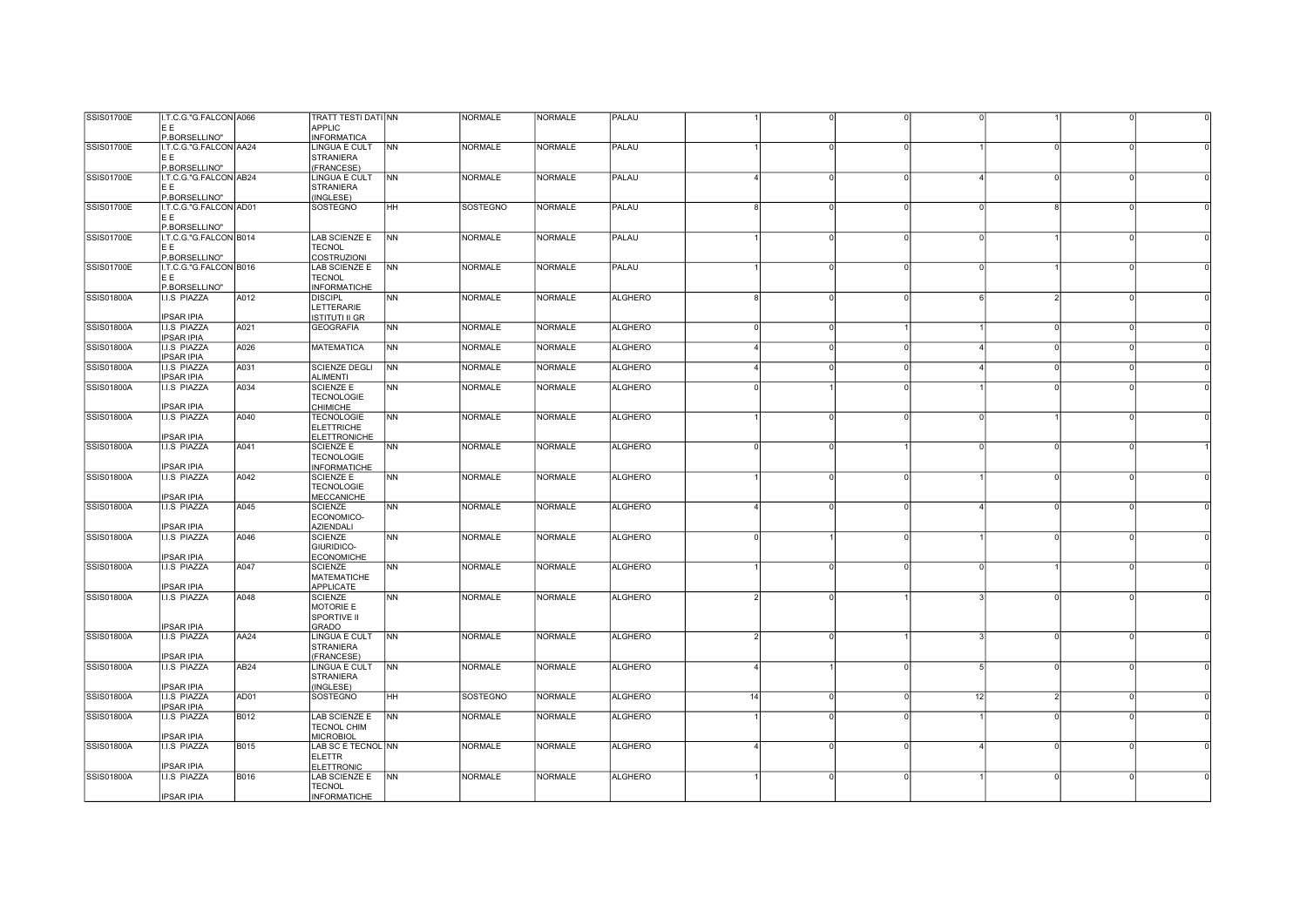| SSIS01700E        | I.T.C.G."G.FALCON A066 |             | TRATT TESTI DATI NN                   |                | <b>NORMALE</b>  | <b>NORMALE</b> | PALAU          |                       |          |          |    |                |          |  |
|-------------------|------------------------|-------------|---------------------------------------|----------------|-----------------|----------------|----------------|-----------------------|----------|----------|----|----------------|----------|--|
|                   | EE                     |             | <b>APPLIC</b>                         |                |                 |                |                |                       |          |          |    |                |          |  |
|                   | P.BORSELLINO"          |             | <b>INFORMATICA</b>                    |                |                 |                |                |                       |          |          |    |                |          |  |
| <b>SSIS01700E</b> | I.T.C.G."G.FALCON AA24 |             | <b>LINGUA E CULT</b>                  | <b>NN</b>      | <b>NORMALE</b>  | <b>NORMALE</b> | PALAU          |                       |          |          |    |                |          |  |
|                   | E E                    |             | <b>STRANIERA</b>                      |                |                 |                |                |                       |          |          |    |                |          |  |
|                   | P.BORSELLINO"          |             | (FRANCESE)                            |                |                 |                |                |                       |          |          |    |                |          |  |
| <b>SSIS01700E</b> | I.T.C.G."G.FALCON AB24 |             | LINGUA E CULT                         | <b>NN</b>      | <b>NORMALE</b>  | <b>NORMALE</b> | PALAU          |                       |          | $\Omega$ |    | $\Omega$       |          |  |
|                   | E E                    |             | <b>STRANIERA</b>                      |                |                 |                |                |                       |          |          |    |                |          |  |
|                   | P.BORSELLINO"          |             | (INGLESE)                             |                |                 |                |                |                       |          |          |    |                |          |  |
| <b>SSIS01700E</b> | I.T.C.G."G.FALCON AD01 |             | <b>SOSTEGNO</b>                       | <b>HH</b>      | <b>SOSTEGNO</b> | NORMALE        | PALAU          |                       |          | $\Omega$ |    | $\Omega$       |          |  |
|                   | E E                    |             |                                       |                |                 |                |                |                       |          |          |    |                |          |  |
|                   | P.BORSELLINO"          |             |                                       |                |                 |                |                |                       |          |          |    |                |          |  |
| SSIS01700E        | I.T.C.G."G.FALCON B014 |             | LAB SCIENZE E                         | <b>NN</b>      | <b>NORMALE</b>  | <b>NORMALE</b> | PALAU          |                       | $\Omega$ | $\Omega$ |    |                |          |  |
|                   | E E.                   |             | <b>TECNOL</b>                         |                |                 |                |                |                       |          |          |    |                |          |  |
|                   | P.BORSELLINO"          |             | COSTRUZIONI                           |                |                 |                |                |                       |          |          |    |                |          |  |
| <b>SSIS01700E</b> | I.T.C.G."G.FALCON B016 |             | LAB SCIENZE E                         | <b>NN</b>      | <b>NORMALE</b>  | <b>NORMALE</b> | PALAU          |                       | $\Omega$ | $\Omega$ |    |                | $\Omega$ |  |
|                   | E E                    |             | <b>TECNOL</b>                         |                |                 |                |                |                       |          |          |    |                |          |  |
|                   | P.BORSELLINO"          |             | <b>INFORMATICHE</b>                   |                |                 |                |                |                       |          |          |    |                |          |  |
| SSIS01800A        | <b>I.I.S PIAZZA</b>    | A012        | <b>DISCIPL</b>                        | <b>NN</b>      | <b>NORMALE</b>  | <b>NORMALE</b> | <b>ALGHERO</b> |                       | $\Omega$ | $\Omega$ |    | $\overline{2}$ | $\Omega$ |  |
|                   |                        |             | LETTERARIE                            |                |                 |                |                |                       |          |          |    |                |          |  |
|                   | <b>IPSAR IPIA</b>      |             | <b>ISTITUTI II GR</b>                 |                |                 |                |                |                       |          |          |    |                |          |  |
| SSIS01800A        | <b>I.I.S PIAZZA</b>    | A021        | <b>GEOGRAFIA</b>                      | <b>NN</b>      | <b>NORMALE</b>  | <b>NORMALE</b> | <b>ALGHERO</b> |                       |          |          |    | $\Omega$       |          |  |
|                   | <b>IPSAR IPIA</b>      |             |                                       |                |                 |                |                |                       |          |          |    |                |          |  |
| <b>SSIS01800A</b> | I.I.S PIAZZA           | A026        | <b>MATEMATICA</b>                     | <b>NN</b>      | <b>NORMALE</b>  | <b>NORMALE</b> | <b>ALGHERO</b> |                       |          | 0        |    | $\Omega$       |          |  |
|                   | <b>IPSAR IPIA</b>      |             |                                       |                |                 |                |                |                       |          |          |    |                |          |  |
| SSIS01800A        | <b>I.I.S PIAZZA</b>    | A031        | <b>SCIENZE DEGLI</b>                  | <b>NN</b>      | <b>NORMALE</b>  | <b>NORMALE</b> | <b>ALGHERO</b> |                       |          | $\Omega$ |    | $\Omega$       |          |  |
|                   | <b>IPSAR IPIA</b>      |             | <b>ALIMENTI</b>                       |                |                 |                |                |                       |          |          |    | $\Omega$       |          |  |
| SSIS01800A        | <b>I.I.S PIAZZA</b>    | A034        | <b>SCIENZE E</b>                      | <b>NN</b>      | <b>NORMALE</b>  | <b>NORMALE</b> | <b>ALGHERO</b> |                       |          |          |    |                |          |  |
|                   | PSAR IPIA              |             | <b>TECNOLOGIE</b>                     |                |                 |                |                |                       |          |          |    |                |          |  |
| SSIS01800A        | <b>I.I.S PIAZZA</b>    | A040        | <b>CHIMICHE</b>                       | <b>NN</b>      | <b>NORMALE</b>  | <b>NORMALE</b> | <b>ALGHERO</b> |                       |          | U        |    |                |          |  |
|                   |                        |             | <b>TECNOLOGIE</b>                     |                |                 |                |                |                       |          |          |    |                |          |  |
|                   |                        |             | <b>ELETTRICHE</b>                     |                |                 |                |                |                       |          |          |    |                |          |  |
|                   | PSAR IPIA              | A041        | <b>ELETTRONICHE</b>                   | <b>NN</b>      |                 | <b>NORMALE</b> | <b>ALGHERO</b> |                       |          |          |    | $\Omega$       |          |  |
| SSIS01800A        | <b>I.I.S PIAZZA</b>    |             | <b>SCIENZE E</b><br><b>TECNOLOGIE</b> |                | <b>NORMALE</b>  |                |                |                       |          |          |    |                |          |  |
|                   | <b>IPSAR IPIA</b>      |             | <b>INFORMATICHE</b>                   |                |                 |                |                |                       |          |          |    |                |          |  |
| SSIS01800A        | <b>I.I.S PIAZZA</b>    | A042        | <b>SCIENZE E</b>                      | <b>NN</b>      | <b>NORMALE</b>  | <b>NORMALE</b> | <b>ALGHERO</b> |                       | O        | U        |    | $\Omega$       |          |  |
|                   |                        |             | <b>TECNOLOGIE</b>                     |                |                 |                |                |                       |          |          |    |                |          |  |
|                   | <b>IPSAR IPIA</b>      |             | <b>MECCANICHE</b>                     |                |                 |                |                |                       |          |          |    |                |          |  |
| SSIS01800A        | <b>I.I.S PIAZZA</b>    | A045        | <b>SCIENZE</b>                        | NN             | <b>NORMALE</b>  | <b>NORMALE</b> | <b>ALGHERO</b> |                       |          |          |    |                |          |  |
|                   |                        |             | ECONOMICO-                            |                |                 |                |                |                       |          |          |    |                |          |  |
|                   | <b>IPSAR IPIA</b>      |             | <b>AZIENDALI</b>                      |                |                 |                |                |                       |          |          |    |                |          |  |
| SSIS01800A        | <b>I.I.S PIAZZA</b>    | A046        | <b>SCIENZE</b>                        | <b>NN</b>      | <b>NORMALE</b>  | <b>NORMALE</b> | <b>ALGHERO</b> |                       |          |          |    | $\Omega$       |          |  |
|                   |                        |             | GIURIDICO-                            |                |                 |                |                |                       |          |          |    |                |          |  |
|                   | <b>IPSAR IPIA</b>      |             | <b>ECONOMICHE</b>                     |                |                 |                |                |                       |          |          |    |                |          |  |
| SSIS01800A        | <b>I.I.S PIAZZA</b>    | A047        | <b>SCIENZE</b>                        | <b>NN</b>      | <b>NORMALE</b>  | <b>NORMALE</b> | <b>ALGHERO</b> |                       |          |          |    |                |          |  |
|                   |                        |             | MATEMATICHE                           |                |                 |                |                |                       |          |          |    |                |          |  |
|                   | <b>IPSAR IPIA</b>      |             | <b>APPLICATE</b>                      |                |                 |                |                |                       |          |          |    |                |          |  |
| SSIS01800A        | <b>I.I.S PIAZZA</b>    | A048        | <b>SCIENZE</b>                        | <b>NN</b>      | <b>NORMALE</b>  | <b>NORMALE</b> | <b>ALGHERO</b> |                       | n        |          |    | $\Omega$       |          |  |
|                   |                        |             | MOTORIE E                             |                |                 |                |                |                       |          |          |    |                |          |  |
|                   |                        |             | SPORTIVE II                           |                |                 |                |                |                       |          |          |    |                |          |  |
|                   | <b>IPSAR IPIA</b>      |             | <b>GRADO</b>                          |                |                 |                |                |                       |          |          |    |                |          |  |
| SSIS01800A        | <b>I.I.S PIAZZA</b>    | AA24        | <b>LINGUA E CULT</b>                  | N <sub>N</sub> | NORMALE         | NORMALE        | <b>ALGHERO</b> |                       | $\Omega$ |          |    | $\cap$         |          |  |
|                   |                        |             | <b>STRANIERA</b>                      |                |                 |                |                |                       |          |          |    |                |          |  |
|                   | <b>PSAR IPIA</b>       |             | (FRANCESE)                            |                |                 |                |                |                       |          |          |    |                |          |  |
| SSIS01800A        | <b>I.I.S PIAZZA</b>    | AB24        | LINGUA E CULT                         | <b>NN</b>      | <b>NORMALE</b>  | <b>NORMALE</b> | <b>ALGHERO</b> | $\boldsymbol{\Delta}$ |          | O        |    | $\Omega$       |          |  |
|                   |                        |             | <b>STRANIERA</b>                      |                |                 |                |                |                       |          |          |    |                |          |  |
|                   | <b>IPSAR IPIA</b>      |             | (INGLESE)                             |                |                 |                |                |                       |          |          |    |                |          |  |
| <b>SSIS01800A</b> | <b>I.I.S PIAZZA</b>    | AD01        | <b>SOSTEGNO</b>                       | <b>HH</b>      | <b>SOSTEGNO</b> | <b>NORMALE</b> | <b>ALGHERO</b> | 14                    | n        | U        | 12 | $\mathcal{D}$  |          |  |
|                   | <b>IPSAR IPIA</b>      |             |                                       |                |                 |                |                |                       |          |          |    |                |          |  |
| <b>SSIS01800A</b> | <b>I.I.S PIAZZA</b>    | B012        | LAB SCIENZE E                         | <b>NN</b>      | <b>NORMALE</b>  | <b>NORMALE</b> | <b>ALGHERO</b> |                       |          |          |    |                |          |  |
|                   |                        |             | <b>TECNOL CHIM</b>                    |                |                 |                |                |                       |          |          |    |                |          |  |
|                   | <b>IPSAR IPIA</b>      |             | <b>MICROBIOL</b>                      |                |                 |                |                |                       |          |          |    |                |          |  |
| SSIS01800A        | <b>I.I.S PIAZZA</b>    | <b>B015</b> | LAB SC E TECNOL NN                    |                | <b>NORMALE</b>  | <b>NORMALE</b> | <b>ALGHERO</b> |                       |          |          |    | $\Omega$       |          |  |
|                   |                        |             | <b>ELETTR</b>                         |                |                 |                |                |                       |          |          |    |                |          |  |
|                   | PSAR IPIA              |             | <b>ELETTRONIC</b>                     |                |                 |                |                |                       |          |          |    | $\Omega$       |          |  |
| SSIS01800A        | I.I.S PIAZZA           | B016        | LAB SCIENZE E<br><b>TECNOL</b>        | <b>NN</b>      | <b>NORMALE</b>  | <b>NORMALE</b> | ALGHERO        |                       |          | $\Omega$ |    |                |          |  |
|                   | <b>IPSAR IPIA</b>      |             | <b>INFORMATICHE</b>                   |                |                 |                |                |                       |          |          |    |                |          |  |
|                   |                        |             |                                       |                |                 |                |                |                       |          |          |    |                |          |  |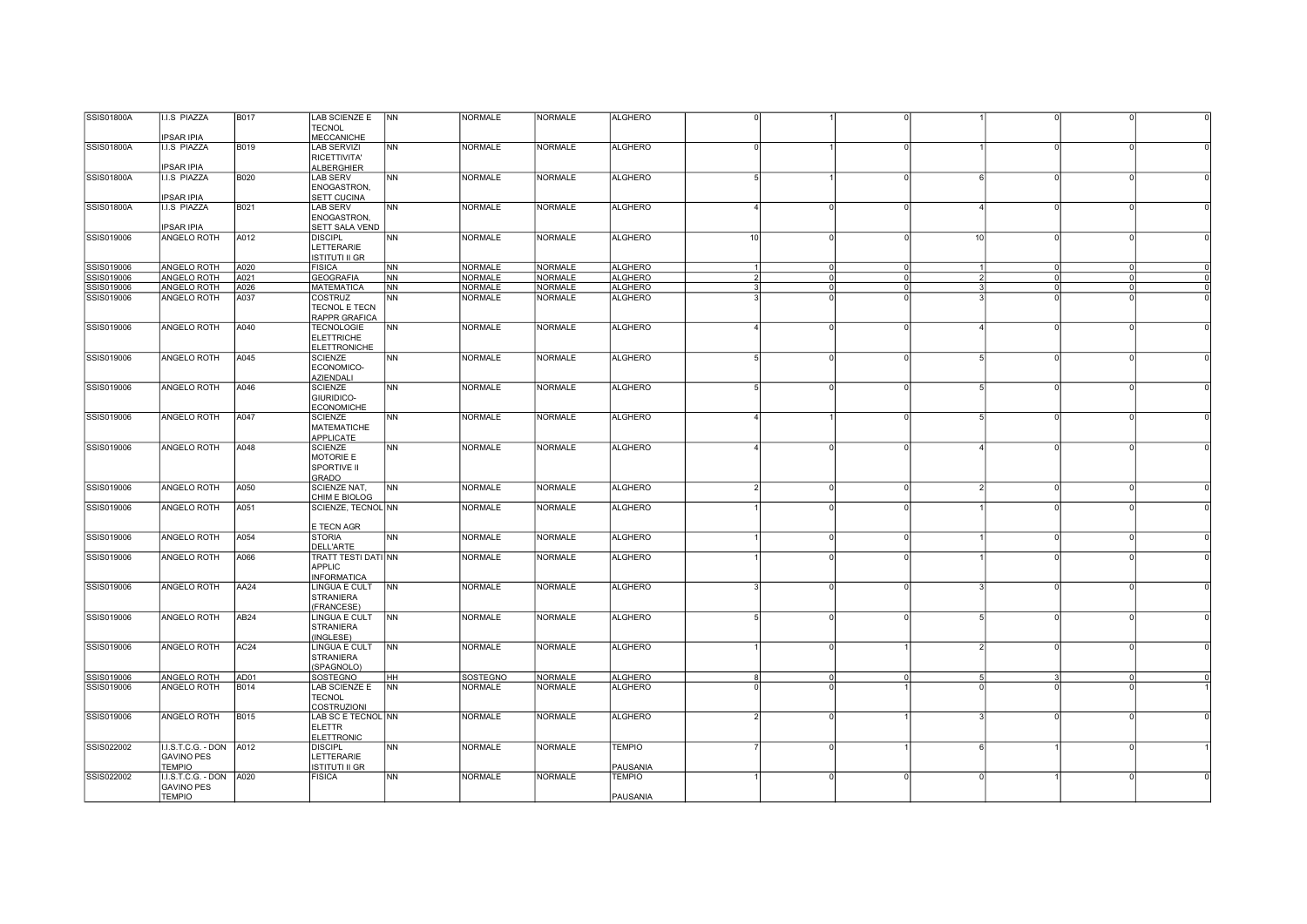| SSIS01800A | I.I.S PIAZZA              | <b>B017</b>      | LAB SCIENZE E         | <b>NN</b>      | <b>NORMALE</b> | <b>NORMALE</b> | <b>ALGHERO</b> |                |                            |                              |          |                |
|------------|---------------------------|------------------|-----------------------|----------------|----------------|----------------|----------------|----------------|----------------------------|------------------------------|----------|----------------|
|            |                           |                  | <b>TECNOL</b>         |                |                |                |                |                |                            |                              |          |                |
|            | <b>IPSAR IPIA</b>         |                  | <b>MECCANICHE</b>     |                |                |                |                |                |                            |                              |          |                |
| SSIS01800A | I.I.S PIAZZA              | <b>B019</b>      | <b>LAB SERVIZI</b>    | NN             | <b>NORMALE</b> | <b>NORMALE</b> | <b>ALGHERO</b> |                | $\Omega$                   | $\Omega$                     |          |                |
|            |                           |                  | RICETTIVITA'          |                |                |                |                |                |                            |                              |          |                |
|            | <b>IPSAR IPIA</b>         |                  | <b>ALBERGHIER</b>     |                |                |                |                |                |                            |                              |          |                |
| SSIS01800A | I.I.S PIAZZA              | <b>B020</b>      | <b>LAB SERV</b>       | <b>NN</b>      | <b>NORMALE</b> | <b>NORMALE</b> | <b>ALGHERO</b> |                | $\Omega$                   | $\circ$                      |          |                |
|            |                           |                  |                       |                |                |                |                |                |                            |                              |          |                |
|            |                           |                  | ENOGASTRON,           |                |                |                |                |                |                            |                              |          |                |
|            | <b>IPSAR IPIA</b>         |                  | <b>SETT CUCINA</b>    |                |                |                |                |                |                            |                              |          |                |
| SSIS01800A | <b>I.I.S PIAZZA</b>       | <b>B021</b>      | <b>LAB SERV</b>       | <b>NN</b>      | <b>NORMALE</b> | <b>NORMALE</b> | <b>ALGHERO</b> |                |                            | $\cap$                       |          |                |
|            |                           |                  | ENOGASTRON,           |                |                |                |                |                |                            |                              |          |                |
|            | <b>IPSAR IPIA</b>         |                  | SETT SALA VEND        |                |                |                |                |                |                            |                              |          |                |
| SSIS019006 | ANGELO ROTH               | A012             | <b>DISCIPL</b>        | <b>NN</b>      | <b>NORMALE</b> | <b>NORMALE</b> | <b>ALGHERO</b> | 10             | $\Omega$<br>$\Omega$       | 10<br>$\circ$                |          |                |
|            |                           |                  | LETTERARIE            |                |                |                |                |                |                            |                              |          |                |
|            |                           |                  | <b>ISTITUTI II GR</b> |                |                |                |                |                |                            |                              |          |                |
| SSIS019006 | <b>ANGELO ROTH</b>        | A020             | <b>FISICA</b>         | <b>NN</b>      | <b>NORMALE</b> | NORMALE        | <b>ALGHERO</b> | $\overline{1}$ | $\Omega$<br>$\Omega$       | $\circ$                      |          |                |
| SSIS019006 | ANGELO ROTH               | A021             | <b>GEOGRAFIA</b>      | <b>NN</b>      | NORMALE        | NORMALE        | <b>ALGHERO</b> | $\overline{2}$ | $\overline{0}$<br>$\Omega$ | 0<br>$\mathcal{L}$           |          | $\overline{0}$ |
| SSIS019006 | ANGELO ROTH               | A026             | <b>MATEMATICA</b>     | <b>NN</b>      | <b>NORMALE</b> | NORMALE        | <b>ALGHERO</b> |                | $\Omega$<br>$\Omega$       | $\Omega$                     | $\Omega$ |                |
| SSIS019006 | ANGELO ROTH               | A037             | COSTRUZ               | <b>NN</b>      | <b>NORMALE</b> | <b>NORMALE</b> | <b>ALGHERO</b> | $\Omega$       | $\Omega$                   |                              |          |                |
|            |                           |                  |                       |                |                |                |                |                |                            |                              |          |                |
|            |                           |                  | TECNOL E TECN         |                |                |                |                |                |                            |                              |          |                |
|            |                           |                  | RAPPR GRAFICA         |                |                |                |                |                |                            |                              |          |                |
| SSIS019006 | ANGELO ROTH               | A040             | <b>TECNOLOGIE</b>     | <b>NN</b>      | <b>NORMALE</b> | <b>NORMALE</b> | <b>ALGHERO</b> | $\Omega$       |                            | $\Omega$                     |          |                |
|            |                           |                  | <b>ELETTRICHE</b>     |                |                |                |                |                |                            |                              |          |                |
|            |                           |                  | <b>ELETTRONICHE</b>   |                |                |                |                |                |                            |                              |          |                |
| SSIS019006 | ANGELO ROTH               | A045             | <b>SCIENZE</b>        | <b>NN</b>      | <b>NORMALE</b> | <b>NORMALE</b> | <b>ALGHERO</b> |                | $\Omega$<br>U              | $\Omega$                     |          |                |
|            |                           |                  | ECONOMICO-            |                |                |                |                |                |                            |                              |          |                |
|            |                           |                  | <b>AZIENDALI</b>      |                |                |                |                |                |                            |                              |          |                |
| SSIS019006 | ANGELO ROTH               | A046             | <b>SCIENZE</b>        | <b>NN</b>      | <b>NORMALE</b> | <b>NORMALE</b> | <b>ALGHERO</b> | $\Omega$       |                            | $\Omega$                     |          |                |
|            |                           |                  | GIURIDICO-            |                |                |                |                |                |                            |                              |          |                |
|            |                           |                  | <b>ECONOMICHE</b>     |                |                |                |                |                |                            |                              |          |                |
| SSIS019006 | ANGELO ROTH               | A047             | <b>SCIENZE</b>        | <b>NN</b>      | <b>NORMALE</b> | <b>NORMALE</b> | <b>ALGHERO</b> |                |                            | $\circ$                      |          |                |
|            |                           |                  | <b>MATEMATICHE</b>    |                |                |                |                |                |                            |                              |          |                |
|            |                           |                  | APPLICATE             |                |                |                |                |                |                            |                              |          |                |
|            |                           |                  |                       |                |                |                |                |                |                            | $\Omega$                     |          |                |
| SSIS019006 | ANGELO ROTH               | A048             | <b>SCIENZE</b>        | <b>NN</b>      | <b>NORMALE</b> | <b>NORMALE</b> | <b>ALGHERO</b> |                | $\Omega$                   |                              |          |                |
|            |                           |                  | MOTORIE E             |                |                |                |                |                |                            |                              |          |                |
|            |                           |                  | <b>SPORTIVE II</b>    |                |                |                |                |                |                            |                              |          |                |
|            |                           |                  | GRADO                 |                |                |                |                |                |                            |                              |          |                |
| SSIS019006 | ANGELO ROTH               | A050             | <b>SCIENZE NAT,</b>   | N <sub>N</sub> | <b>NORMALE</b> | <b>NORMALE</b> | <b>ALGHERO</b> | $\mathcal{D}$  | $\Omega$<br>$\Omega$       | $\circ$<br>2                 |          |                |
|            |                           |                  | CHIM E BIOLOG         |                |                |                |                |                |                            |                              |          |                |
| SSIS019006 | ANGELO ROTH               | A051             | SCIENZE, TECNOL NN    |                | NORMALE        | <b>NORMALE</b> | <b>ALGHERO</b> |                | $\Omega$                   | $\Omega$                     |          |                |
|            |                           |                  |                       |                |                |                |                |                |                            |                              |          |                |
|            |                           |                  | <b>E TECN AGR</b>     |                |                |                |                |                |                            |                              |          |                |
| SSIS019006 | ANGELO ROTH               | A054             | <b>STORIA</b>         | NN             | <b>NORMALE</b> | <b>NORMALE</b> | <b>ALGHERO</b> |                | $\Omega$<br>$\Omega$       | 0 I                          |          |                |
|            |                           |                  | DELL'ARTE             |                |                |                |                |                |                            |                              |          |                |
| SSIS019006 | ANGELO ROTH               | A066             | TRATT TESTI DATI NN   |                | <b>NORMALE</b> | <b>NORMALE</b> | <b>ALGHERO</b> |                | $\Omega$<br>$\Omega$       | $\Omega$                     |          |                |
|            |                           |                  | APPLIC                |                |                |                |                |                |                            |                              |          |                |
|            |                           |                  |                       |                |                |                |                |                |                            |                              |          |                |
|            |                           |                  | <b>INFORMATICA</b>    |                |                |                |                |                |                            | $\Omega$                     |          |                |
| SSIS019006 | <b>ANGELO ROTH</b>        | AA24             | <b>LINGUA E CULT</b>  | <b>NN</b>      | <b>NORMALE</b> | <b>NORMALE</b> | <b>ALGHERO</b> |                |                            |                              |          |                |
|            |                           |                  | <b>STRANIERA</b>      |                |                |                |                |                |                            |                              |          |                |
|            |                           |                  | (FRANCESE)            |                |                |                |                |                |                            |                              |          |                |
| SSIS019006 | ANGELO ROTH               | AB <sub>24</sub> | <b>LINGUA E CULT</b>  | N <sub>N</sub> | <b>NORMALE</b> | <b>NORMALE</b> | <b>ALGHERO</b> |                | $\Omega$<br>U              | $\circ$                      |          |                |
|            |                           |                  | <b>STRANIERA</b>      |                |                |                |                |                |                            |                              |          |                |
|            |                           |                  | (INGLESE)             |                |                |                |                |                |                            |                              |          |                |
| SSIS019006 | ANGELO ROTH               | AC <sub>24</sub> | LINGUA E CULT         | <b>NN</b>      | <b>NORMALE</b> | <b>NORMALE</b> | <b>ALGHERO</b> |                | $\Omega$                   | $\Omega$                     |          |                |
|            |                           |                  | <b>STRANIERA</b>      |                |                |                |                |                |                            |                              |          |                |
|            |                           |                  | (SPAGNOLO)            |                |                |                |                |                |                            |                              |          |                |
| SSIS019006 | ANGELO ROTH               | AD01             | SOSTEGNO              | HH             | SOSTEGNO       | <b>NORMALE</b> | <b>ALGHERO</b> |                | $\overline{0}$<br>$\Omega$ | $\overline{\mathbf{3}}$<br>5 | $\Omega$ |                |
| SSIS019006 | ANGELO ROTH               | B014             | LAB SCIENZE E         | <b>INN</b>     | <b>NORMALE</b> | <b>NORMALE</b> | <b>ALGHERO</b> | $\Omega$       | $\Omega$                   | $\Omega$                     | $\Omega$ |                |
|            |                           |                  | <b>TECNOL</b>         |                |                |                |                |                |                            |                              |          |                |
|            |                           |                  | COSTRUZIONI           |                |                |                |                |                |                            |                              |          |                |
| SSIS019006 | ANGELO ROTH               | <b>B015</b>      | LAB SC E TECNOL NN    |                | <b>NORMALE</b> | <b>NORMALE</b> | <b>ALGHERO</b> |                | $\Omega$                   | $\Omega$                     |          |                |
|            |                           |                  |                       |                |                |                |                |                |                            |                              |          |                |
|            |                           |                  | ELETTR                |                |                |                |                |                |                            |                              |          |                |
|            |                           |                  | <b>ELETTRONIC</b>     |                |                |                |                |                |                            |                              |          |                |
| SSIS022002 | I.I.S.T.C.G. - DON   A012 |                  | <b>DISCIPL</b>        | NN             | <b>NORMALE</b> | <b>NORMALE</b> | <b>TEMPIO</b>  |                | $\Omega$                   |                              |          |                |
|            | <b>GAVINO PES</b>         |                  | LETTERARIE            |                |                |                |                |                |                            |                              |          |                |
|            | <b>TEMPIO</b>             |                  | ISTITUTI II GR        |                |                |                | PAUSANIA       |                |                            |                              |          |                |
| SSIS022002 | I.I.S.T.C.G. - DON   A020 |                  | <b>FISICA</b>         | <b>NN</b>      | <b>NORMALE</b> | <b>NORMALE</b> | <b>TEMPIO</b>  |                | $\Omega$                   |                              |          |                |
|            | <b>GAVINO PES</b>         |                  |                       |                |                |                |                |                |                            |                              |          |                |
|            | <b>TEMPIO</b>             |                  |                       |                |                |                | PAUSANIA       |                |                            |                              |          |                |
|            |                           |                  |                       |                |                |                |                |                |                            |                              |          |                |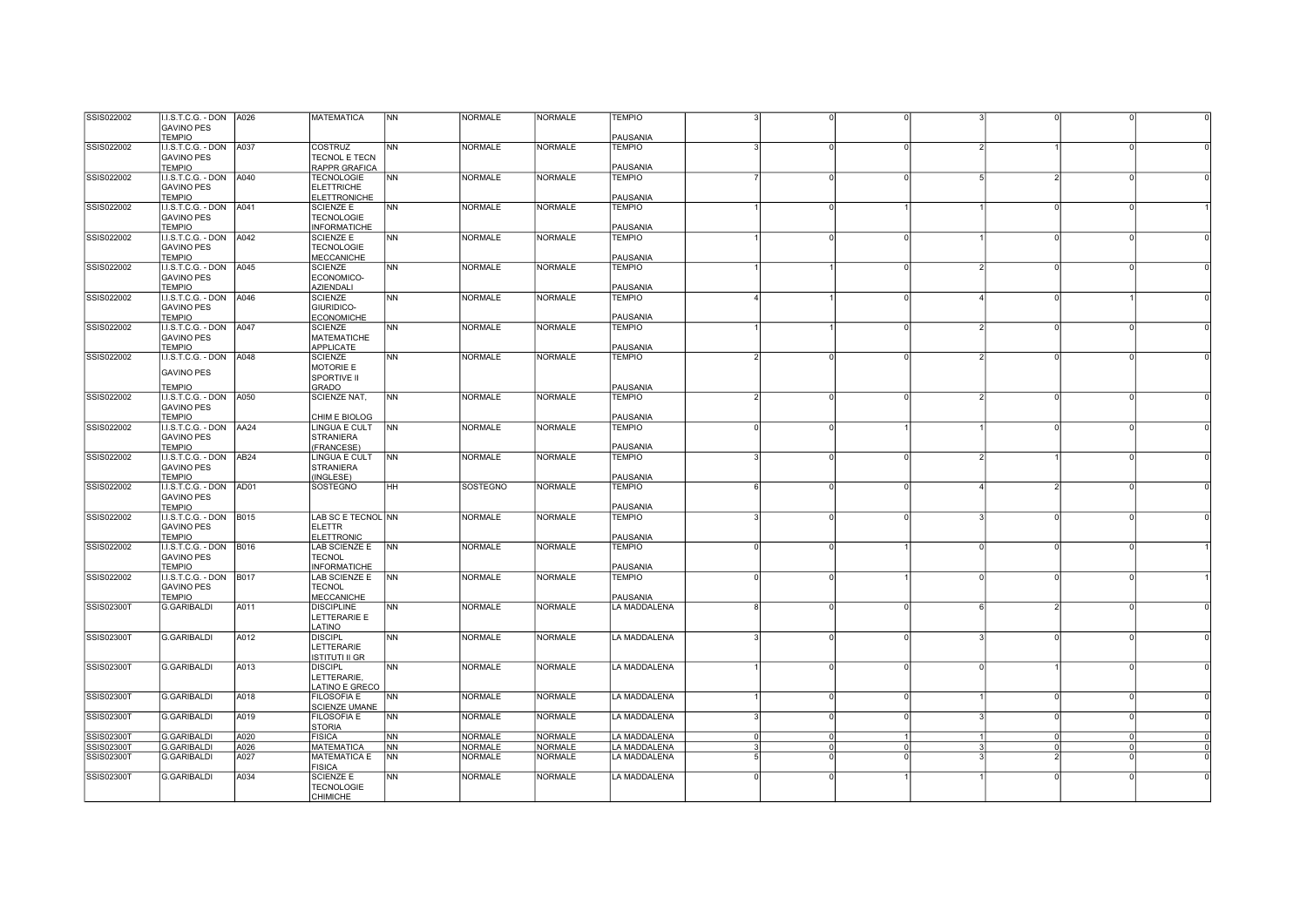| SSIS022002        | I.I.S.T.C.G. - DON   A026<br><b>GAVINO PES</b> |      | <b>MATEMATICA</b>                       | N <sub>N</sub> | <b>NORMALE</b>  | <b>NORMALE</b> | <b>TEMPIO</b>             |                |                            |                |                |          |  |
|-------------------|------------------------------------------------|------|-----------------------------------------|----------------|-----------------|----------------|---------------------------|----------------|----------------------------|----------------|----------------|----------|--|
|                   | <b>TEMPIO</b>                                  |      |                                         |                |                 |                | PAUSANIA                  |                |                            |                |                |          |  |
| SSIS022002        | .I.S.T.C.G. - DON A037<br><b>GAVINO PES</b>    |      | COSTRUZ<br>TECNOL E TECN                | <b>NN</b>      | <b>NORMALE</b>  | <b>NORMALE</b> | <b>TEMPIO</b>             |                |                            |                |                |          |  |
|                   | <b>TEMPIO</b>                                  |      | RAPPR GRAFICA                           |                |                 |                | PAUSANIA                  |                |                            |                |                |          |  |
| SSIS022002        | I.I.S.T.C.G. - DON   A040                      |      | <b>TECNOLOGIE</b>                       | <b>NN</b>      | <b>NORMALE</b>  | <b>NORMALE</b> | <b>TEMPIO</b>             |                |                            |                |                |          |  |
|                   | <b>GAVINO PES</b>                              |      | <b>ELETTRICHE</b>                       |                |                 |                |                           |                |                            |                |                |          |  |
|                   | <b>TEMPIO</b>                                  |      | <b>ELETTRONICHE</b>                     | <b>NN</b>      | <b>NORMALE</b>  | <b>NORMALE</b> | PAUSANIA<br><b>TEMPIO</b> |                |                            |                |                |          |  |
| SSIS022002        | I.I.S.T.C.G. - DON A041<br><b>GAVINO PES</b>   |      | <b>SCIENZE E</b><br><b>TECNOLOGIE</b>   |                |                 |                |                           |                |                            |                |                |          |  |
|                   | <b>TEMPIO</b>                                  |      | <b>INFORMATICHE</b>                     |                |                 |                | PAUSANIA                  |                |                            |                |                |          |  |
| SSIS022002        | I.I.S.T.C.G. - DON A042                        |      | <b>SCIENZE E</b>                        | <b>NN</b>      | <b>NORMALE</b>  | <b>NORMALE</b> | <b>TEMPIO</b>             |                |                            |                |                |          |  |
|                   | <b>GAVINO PES</b>                              |      | <b>TECNOLOGIE</b>                       |                |                 |                |                           |                |                            |                |                |          |  |
|                   | <b>TEMPIO</b>                                  |      | <b>MECCANICHE</b>                       |                |                 |                | PAUSANIA                  |                |                            |                |                |          |  |
| SSIS022002        | I.I.S.T.C.G. - DON A045                        |      | <b>SCIENZE</b>                          | <b>NN</b>      | <b>NORMALE</b>  | <b>NORMALE</b> | <b>TEMPIO</b>             |                |                            | $\mathfrak{p}$ | $\Omega$       |          |  |
|                   | <b>GAVINO PES</b>                              |      | ECONOMICO-                              |                |                 |                |                           |                |                            |                |                |          |  |
| SSIS022002        | <b>TEMPIO</b><br>I.I.S.T.C.G. - DON A046       |      | <b>AZIENDALI</b><br><b>SCIENZE</b>      | <b>NN</b>      | <b>NORMALE</b>  | <b>NORMALE</b> | PAUSANIA<br><b>TEMPIO</b> |                |                            |                | $\Omega$       |          |  |
|                   | <b>GAVINO PES</b>                              |      | GIURIDICO-                              |                |                 |                |                           |                |                            |                |                |          |  |
|                   | <b>TEMPIO</b>                                  |      | <b>ECONOMICHE</b>                       |                |                 |                | PAUSANIA                  |                |                            |                |                |          |  |
| SSIS022002        | I.I.S.T.C.G. - DON A047                        |      | <b>SCIENZE</b>                          | <b>NN</b>      | <b>NORMALE</b>  | <b>NORMALE</b> | <b>TEMPIO</b>             |                |                            |                |                |          |  |
|                   | <b>GAVINO PES</b>                              |      | <b>MATEMATICHE</b>                      |                |                 |                |                           |                |                            |                |                |          |  |
|                   | <b>TEMPIO</b>                                  |      | <b>APPLICATE</b>                        |                |                 |                | PAUSANIA                  |                |                            |                |                |          |  |
| SSIS022002        | I.I.S.T.C.G. - DON   A048                      |      | <b>SCIENZE</b>                          | N <sub>N</sub> | <b>NORMALE</b>  | <b>NORMALE</b> | <b>TEMPIO</b>             |                |                            |                |                |          |  |
|                   | <b>GAVINO PES</b>                              |      | <b>MOTORIE E</b><br>SPORTIVE II         |                |                 |                |                           |                |                            |                |                |          |  |
|                   | <b>TEMPIO</b>                                  |      | GRADO                                   |                |                 |                | PAUSANIA                  |                |                            |                |                |          |  |
| SSIS022002        | .I.S.T.C.G. - DON A050                         |      | SCIENZE NAT,                            | <b>NN</b>      | <b>NORMALE</b>  | <b>NORMALE</b> | <b>TEMPIO</b>             |                |                            |                |                |          |  |
|                   | <b>GAVINO PES</b>                              |      |                                         |                |                 |                |                           |                |                            |                |                |          |  |
|                   | <b>TEMPIO</b>                                  |      | CHIM E BIOLOG                           |                |                 |                | PAUSANIA                  |                |                            |                |                |          |  |
| SSIS022002        | I.I.S.T.C.G. - DON   AA24                      |      | <b>LINGUA E CULT</b>                    | N <sub>N</sub> | <b>NORMALE</b>  | NORMALE        | <b>TEMPIO</b>             |                |                            |                |                |          |  |
|                   | <b>GAVINO PES</b>                              |      | <b>STRANIERA</b>                        |                |                 |                |                           |                |                            |                |                |          |  |
| SSIS022002        | <b>TEMPIO</b><br>I.I.S.T.C.G. - DON   AB24     |      | (FRANCESE)<br>LINGUA E CULT             | <b>NN</b>      | <b>NORMALE</b>  | <b>NORMALE</b> | PAUSANIA<br><b>TEMPIO</b> |                |                            |                |                |          |  |
|                   | <b>GAVINO PES</b>                              |      | <b>STRANIERA</b>                        |                |                 |                |                           |                |                            |                |                |          |  |
|                   | <b>TEMPIO</b>                                  |      | (INGLESE)                               |                |                 |                | PAUSANIA                  |                |                            |                |                |          |  |
| SSIS022002        | I.I.S.T.C.G. - DON AD01                        |      | SOSTEGNO                                | HH             | <b>SOSTEGNO</b> | <b>NORMALE</b> | <b>TEMPIO</b>             | $\epsilon$     |                            |                | $\mathcal{D}$  |          |  |
|                   | <b>GAVINO PES</b>                              |      |                                         |                |                 |                |                           |                |                            |                |                |          |  |
|                   | <b>TEMPIO</b>                                  |      |                                         |                |                 |                | PAUSANIA                  |                |                            |                |                |          |  |
| SSIS022002        | I.I.S.T.C.G. - DON B015<br><b>GAVINO PES</b>   |      | LAB SC E TECNOL NN<br><b>ELETTR</b>     |                | <b>NORMALE</b>  | <b>NORMALE</b> | <b>TEMPIO</b>             |                |                            |                |                |          |  |
|                   | <b>TEMPIO</b>                                  |      | <b>ELETTRONIC</b>                       |                |                 |                | PAUSANIA                  |                |                            |                |                |          |  |
| SSIS022002        | I.I.S.T.C.G. - DON B016                        |      | LAB SCIENZE E                           | <b>NN</b>      | <b>NORMALE</b>  | <b>NORMALE</b> | <b>TEMPIO</b>             |                |                            |                |                |          |  |
|                   | <b>GAVINO PES</b>                              |      | <b>TECNOL</b>                           |                |                 |                |                           |                |                            |                |                |          |  |
|                   | <b>TEMPIO</b>                                  |      | <b>INFORMATICHE</b>                     |                |                 |                | PAUSANIA                  |                |                            |                |                |          |  |
| SSIS022002        | I.I.S.T.C.G. - DON B017                        |      | LAB SCIENZE E                           | <b>NN</b>      | <b>NORMALE</b>  | <b>NORMALE</b> | <b>TEMPIO</b>             |                |                            | $\Omega$       |                |          |  |
|                   | <b>GAVINO PES</b><br><b>TEMPIO</b>             |      | <b>TECNOL</b><br><b>MECCANICHE</b>      |                |                 |                | PAUSANIA                  |                |                            |                |                |          |  |
| SSIS02300T        | G.GARIBALDI                                    | A011 | <b>DISCIPLINE</b>                       | N <sub>N</sub> | <b>NORMALE</b>  | <b>NORMALE</b> | LA MADDALENA              | 8              |                            | 6              |                |          |  |
|                   |                                                |      | LETTERARIE E                            |                |                 |                |                           |                |                            |                |                |          |  |
|                   |                                                |      | LATINO                                  |                |                 |                |                           |                |                            |                |                |          |  |
| SSIS02300T        | G.GARIBALDI                                    | A012 | <b>DISCIPL</b>                          | <b>NN</b>      | <b>NORMALE</b>  | <b>NORMALE</b> | LA MADDALENA              |                |                            |                |                |          |  |
|                   |                                                |      | LETTERARIE                              |                |                 |                |                           |                |                            |                |                |          |  |
| <b>SSIS02300T</b> | G.GARIBALDI                                    | A013 | <b>ISTITUTI II GR</b><br><b>DISCIPL</b> | <b>NN</b>      | <b>NORMALE</b>  | <b>NORMALE</b> | LA MADDALENA              |                | $\cap$<br>$\Omega$         | $\Omega$       |                |          |  |
|                   |                                                |      | LETTERARIE,                             |                |                 |                |                           |                |                            |                |                |          |  |
|                   |                                                |      | LATINO E GRECO                          |                |                 |                |                           |                |                            |                |                |          |  |
| SSIS02300T        | G.GARIBALDI                                    | A018 | <b>FILOSOFIA E</b>                      | <b>NN</b>      | <b>NORMALE</b>  | <b>NORMALE</b> | LA MADDALENA              |                |                            |                | $\Omega$       |          |  |
|                   |                                                |      | SCIENZE UMANE                           |                |                 |                |                           |                |                            |                |                |          |  |
| SSIS02300T        | <b>G.GARIBALDI</b>                             | A019 | <b>FILOSOFIA E</b><br><b>STORIA</b>     | <b>NN</b>      | <b>NORMALE</b>  | NORMALE        | LA MADDALENA              | 3              | n                          | з              | $\Omega$       |          |  |
| SSIS02300T        | G.GARIBALDI                                    | A020 | FISICA                                  | <b>NN</b>      | <b>NORMALE</b>  | <b>NORMALE</b> | LA MADDALENA              | $\Omega$       | $\Omega$                   |                | $\Omega$       | $\Omega$ |  |
| SSIS02300T        | G.GARIBALDI                                    | A026 | <b>MATEMATICA</b>                       | N <sub>N</sub> | <b>NORMALE</b>  | NORMALE        | LA MADDALENA              | $\overline{3}$ | $\overline{0}$<br>$\Omega$ | $\mathbf{R}$   | $\overline{0}$ | $\Omega$ |  |
| SSIS02300T        | G.GARIBALDI                                    | A027 | <b>MATEMATICA E</b>                     | <b>NN</b>      | <b>NORMALE</b>  | <b>NORMALE</b> | LA MADDALENA              | 5              |                            |                |                |          |  |
|                   |                                                |      | <b>FISICA</b>                           |                |                 |                |                           |                |                            |                |                |          |  |
| SSIS02300T        | <b>G.GARIBALDI</b>                             | A034 | <b>SCIENZE E</b>                        | <b>NN</b>      | <b>NORMALE</b>  | <b>NORMALE</b> | LA MADDALENA              | $\Omega$       |                            |                | $\Omega$       |          |  |
|                   |                                                |      | <b>TECNOLOGIE</b><br><b>CHIMICHE</b>    |                |                 |                |                           |                |                            |                |                |          |  |
|                   |                                                |      |                                         |                |                 |                |                           |                |                            |                |                |          |  |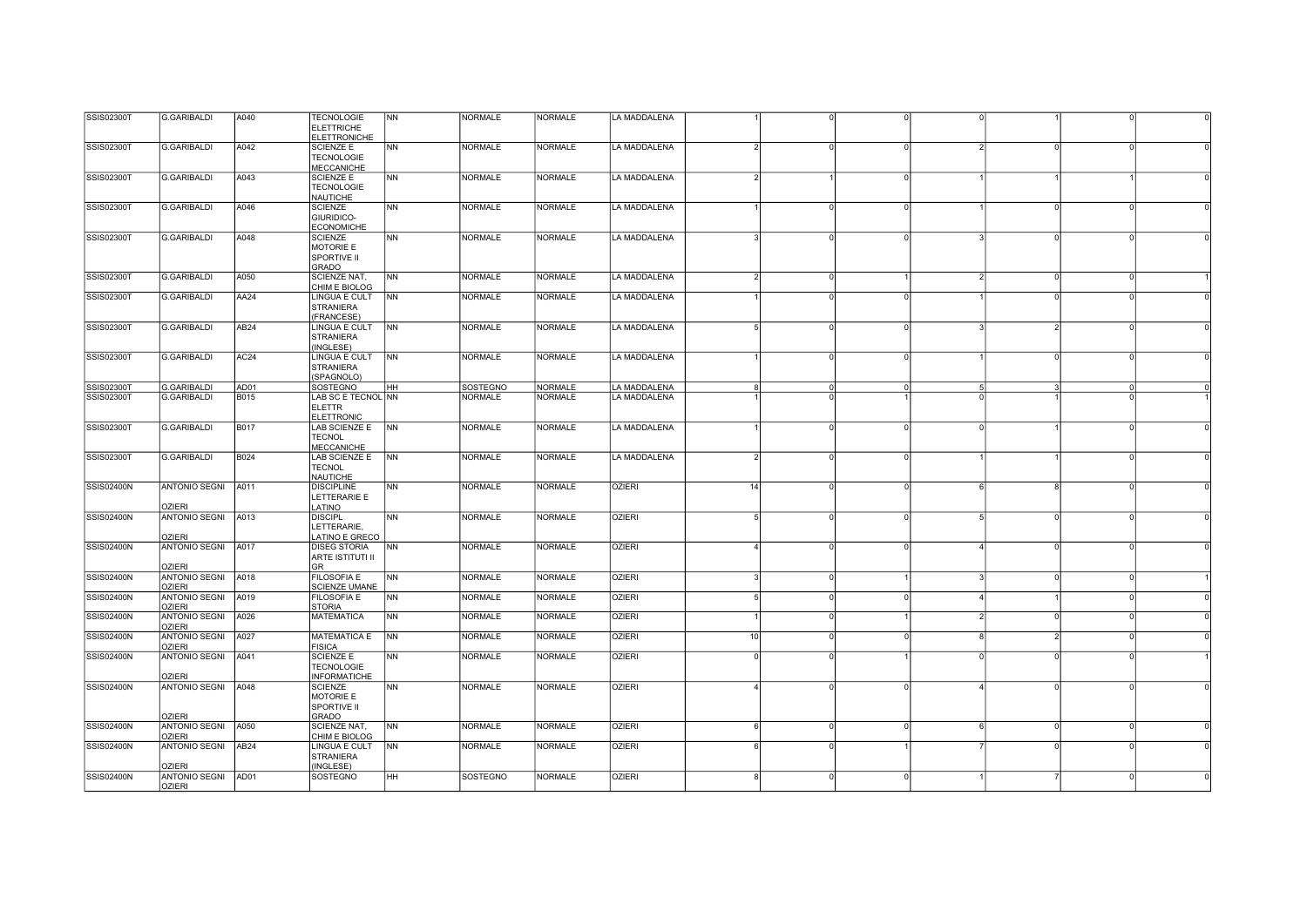| SSIS02300T        | G.GARIBALDI          | A040             | <b>TECNOLOGIE</b>       | NN             | <b>NORMALE</b>  | <b>NORMALE</b> | LA MADDALENA  |               |                      |                |          |  |
|-------------------|----------------------|------------------|-------------------------|----------------|-----------------|----------------|---------------|---------------|----------------------|----------------|----------|--|
|                   |                      |                  | <b>ELETTRICHE</b>       |                |                 |                |               |               |                      |                |          |  |
|                   |                      |                  | <b>ELETTRONICHE</b>     |                |                 |                |               |               |                      |                |          |  |
|                   |                      |                  |                         |                |                 | <b>NORMALE</b> | LA MADDALENA  |               |                      |                |          |  |
| <b>SSIS02300T</b> | <b>G.GARIBALDI</b>   | A042             | <b>SCIENZE E</b>        | NN             | <b>NORMALE</b>  |                |               |               |                      | $\Omega$       |          |  |
|                   |                      |                  | <b>TECNOLOGIE</b>       |                |                 |                |               |               |                      |                |          |  |
|                   |                      |                  | MECCANICHE              |                |                 |                |               |               |                      |                |          |  |
| <b>SSIS02300T</b> | <b>G.GARIBALDI</b>   | A043             | SCIENZE E               | <b>NN</b>      | <b>NORMALE</b>  | <b>NORMALE</b> | LA MADDALENA  |               |                      |                |          |  |
|                   |                      |                  | <b>TECNOLOGIE</b>       |                |                 |                |               |               |                      |                |          |  |
|                   |                      |                  | <b>NAUTICHE</b>         |                |                 |                |               |               |                      |                |          |  |
| SSIS02300T        | <b>G.GARIBALDI</b>   | A046             | <b>SCIENZE</b>          | <b>NN</b>      | <b>NORMALE</b>  | <b>NORMALE</b> | LA MADDALENA  |               | $\Omega$             | $\overline{0}$ |          |  |
|                   |                      |                  |                         |                |                 |                |               |               |                      |                |          |  |
|                   |                      |                  | GIURIDICO-              |                |                 |                |               |               |                      |                |          |  |
|                   |                      |                  | <b>ECONOMICHE</b>       |                |                 |                |               |               |                      |                |          |  |
| SSIS02300T        | G.GARIBALDI          | A048             | <b>SCIENZE</b>          | <b>NN</b>      | <b>NORMALE</b>  | <b>NORMALE</b> | LA MADDALENA  |               | $\Omega$             | $\Omega$       |          |  |
|                   |                      |                  | MOTORIE E               |                |                 |                |               |               |                      |                |          |  |
|                   |                      |                  | <b>SPORTIVE II</b>      |                |                 |                |               |               |                      |                |          |  |
|                   |                      |                  | GRADO                   |                |                 |                |               |               |                      |                |          |  |
| SSIS02300T        | G.GARIBALDI          | A050             | <b>SCIENZE NAT.</b>     | <b>NN</b>      | <b>NORMALE</b>  | <b>NORMALE</b> | LA MADDALENA  |               | $\Omega$             | $\Omega$       |          |  |
|                   |                      |                  |                         |                |                 |                |               |               |                      |                |          |  |
|                   |                      |                  | CHIM E BIOLOG           |                |                 |                |               |               |                      |                |          |  |
| <b>SSIS02300T</b> | <b>G.GARIBALDI</b>   | AA24             | LINGUA E CULT           | <b>INN</b>     | <b>NORMALE</b>  | <b>NORMALE</b> | LA MADDALENA  |               |                      |                |          |  |
|                   |                      |                  | <b>STRANIERA</b>        |                |                 |                |               |               |                      |                |          |  |
|                   |                      |                  | (FRANCESE)              |                |                 |                |               |               |                      |                |          |  |
| <b>SSIS02300T</b> | G.GARIBALDI          | AB24             | <b>LINGUA E CULT</b>    | <b>NN</b>      | <b>NORMALE</b>  | <b>NORMALE</b> | LA MADDALENA  | 5<br>$\Omega$ |                      |                |          |  |
|                   |                      |                  | <b>STRANIERA</b>        |                |                 |                |               |               |                      |                |          |  |
|                   |                      |                  |                         |                |                 |                |               |               |                      |                |          |  |
|                   |                      |                  | (INGLESE)               |                |                 |                |               |               |                      |                |          |  |
| SSIS02300T        | <b>G.GARIBALDI</b>   | AC24             | LINGUA E CULT           | NN             | <b>NORMALE</b>  | <b>NORMALE</b> | LA MADDALENA  |               | $\Omega$             | $\Omega$       |          |  |
|                   |                      |                  | <b>STRANIERA</b>        |                |                 |                |               |               |                      |                |          |  |
|                   |                      |                  | (SPAGNOLO)              |                |                 |                |               |               |                      |                |          |  |
| <b>SSIS02300T</b> | <b>G.GARIBALDI</b>   | AD01             | <b>SOSTEGNO</b>         | <b>HH</b>      | <b>SOSTEGNO</b> | <b>NORMALE</b> | LA MADDALENA  |               | $\Omega$             |                |          |  |
| SSIS02300T        | G.GARIBALDI          | B015             | LAB SC E TECNOL NN      |                | <b>NORMALE</b>  | <b>NORMALE</b> | LA MADDALENA  |               |                      |                |          |  |
|                   |                      |                  | <b>ELETTR</b>           |                |                 |                |               |               |                      |                |          |  |
|                   |                      |                  |                         |                |                 |                |               |               |                      |                |          |  |
|                   |                      |                  | <b>ELETTRONIC</b>       |                |                 |                |               |               |                      |                |          |  |
| SSIS02300T        | <b>G.GARIBALDI</b>   | <b>B017</b>      | LAB SCIENZE E           | <b>NN</b>      | <b>NORMALE</b>  | <b>NORMALE</b> | LA MADDALENA  |               | $\Omega$             |                |          |  |
|                   |                      |                  | <b>TECNOL</b>           |                |                 |                |               |               |                      |                |          |  |
|                   |                      |                  | <b>MECCANICHE</b>       |                |                 |                |               |               |                      |                |          |  |
| SSIS02300T        | <b>G.GARIBALDI</b>   | <b>B024</b>      | LAB SCIENZE E           | N <sub>N</sub> | <b>NORMALE</b>  | <b>NORMALE</b> | LA MADDALENA  | $\mathcal{D}$ | $\Omega$             |                |          |  |
|                   |                      |                  | <b>TECNOL</b>           |                |                 |                |               |               |                      |                |          |  |
|                   |                      |                  |                         |                |                 |                |               |               |                      |                |          |  |
|                   |                      |                  | NAUTICHE                |                |                 |                |               |               |                      |                |          |  |
| SSIS02400N        | <b>ANTONIO SEGNI</b> | A011             | <b>DISCIPLINE</b>       | N <sub>N</sub> | <b>NORMALE</b>  | <b>NORMALE</b> | <b>OZIERI</b> | 14            | $\Omega$             | $\mathbf{R}$   |          |  |
|                   |                      |                  | LETTERARIE E            |                |                 |                |               |               |                      |                |          |  |
|                   | <b>OZIERI</b>        |                  | LATINO                  |                |                 |                |               |               |                      |                |          |  |
| <b>SSIS02400N</b> | ANTONIO SEGNI A013   |                  | <b>DISCIPL</b>          | <b>NN</b>      | <b>NORMALE</b>  | <b>NORMALE</b> | <b>OZIERI</b> |               | $\Omega$             | $\Omega$       |          |  |
|                   |                      |                  | LETTERARIE,             |                |                 |                |               |               |                      |                |          |  |
|                   | <b>OZIERI</b>        |                  | LATINO E GRECO          |                |                 |                |               |               |                      |                |          |  |
|                   |                      |                  |                         |                |                 |                |               |               |                      |                |          |  |
| SSIS02400N        | <b>ANTONIO SEGNI</b> | A017             | <b>DISEG STORIA</b>     | NN             | <b>NORMALE</b>  | <b>NORMALE</b> | <b>OZIERI</b> |               |                      | $\Omega$       |          |  |
|                   |                      |                  | <b>ARTE ISTITUTI II</b> |                |                 |                |               |               |                      |                |          |  |
|                   | <b>OZIERI</b>        |                  | <b>GR</b>               |                |                 |                |               |               |                      |                |          |  |
| <b>SSIS02400N</b> | ANTONIO SEGNI        | A018             | <b>FILOSOFIA E</b>      | <b>NN</b>      | <b>NORMALE</b>  | <b>NORMALE</b> | <b>OZIERI</b> |               | $\Omega$             | $\Omega$       | $\Omega$ |  |
|                   | <b>OZIERI</b>        |                  | <b>SCIENZE UMANE</b>    |                |                 |                |               |               |                      |                |          |  |
| <b>SSIS02400N</b> | <b>ANTONIO SEGNI</b> | A019             | <b>FILOSOFIA E</b>      | <b>NN</b>      | <b>NORMALE</b>  | <b>NORMALE</b> | <b>OZIERI</b> |               | $\Omega$             |                |          |  |
|                   | <b>OZIERI</b>        |                  | <b>STORIA</b>           |                |                 |                |               |               |                      |                |          |  |
|                   |                      |                  |                         |                |                 |                |               |               |                      |                |          |  |
| <b>SSIS02400N</b> | <b>ANTONIO SEGNI</b> | A026             | <b>MATEMATICA</b>       | <b>NN</b>      | <b>NORMALE</b>  | <b>NORMALE</b> | <b>OZIERI</b> |               | $\Omega$             | $\circ$        |          |  |
|                   | <b>OZIERI</b>        |                  |                         |                |                 |                |               |               |                      |                |          |  |
| <b>SSIS02400N</b> | <b>ANTONIO SEGNI</b> | A027             | MATEMATICA E            | N <sub>N</sub> | <b>NORMALE</b>  | <b>NORMALE</b> | <b>OZIERI</b> | 10            | $\Omega$             | $\overline{2}$ |          |  |
|                   | <b>OZIERI</b>        |                  | <b>FISICA</b>           |                |                 |                |               |               |                      |                |          |  |
| <b>SSIS02400N</b> | <b>ANTONIO SEGNI</b> | A041             | <b>SCIENZE E</b>        | <b>NN</b>      | <b>NORMALE</b>  | <b>NORMALE</b> | <b>OZIERI</b> | $\Omega$      |                      | $\circ$        |          |  |
|                   |                      |                  | <b>TECNOLOGIE</b>       |                |                 |                |               |               |                      |                |          |  |
|                   | <b>OZIERI</b>        |                  |                         |                |                 |                |               |               |                      |                |          |  |
|                   |                      |                  | <b>INFORMATICHE</b>     |                |                 |                |               |               |                      |                |          |  |
| <b>SSIS02400N</b> | <b>ANTONIO SEGNI</b> | A048             | <b>SCIENZE</b>          | <b>NN</b>      | <b>NORMALE</b>  | <b>NORMALE</b> | <b>OZIERI</b> | $\Omega$      |                      | $\Omega$       |          |  |
|                   |                      |                  | MOTORIE E               |                |                 |                |               |               |                      |                |          |  |
|                   |                      |                  | <b>SPORTIVE II</b>      |                |                 |                |               |               |                      |                |          |  |
|                   | <b>OZIERI</b>        |                  | GRADO                   |                |                 |                |               |               |                      |                |          |  |
| <b>SSIS02400N</b> | ANTONIO SEGNI A050   |                  | SCIENZE NAT,            | N <sub>N</sub> | NORMALE         | NORMALE        | <b>OZIERI</b> | $\epsilon$    | $\Omega$<br>$\Omega$ | $\Omega$       | $\Omega$ |  |
|                   |                      |                  | CHIM E BIOLOG           |                |                 |                |               |               |                      |                |          |  |
|                   |                      |                  |                         |                |                 |                |               |               |                      |                |          |  |
|                   | <b>OZIERI</b>        |                  |                         |                |                 |                |               |               |                      |                |          |  |
| <b>SSIS02400N</b> | <b>ANTONIO SEGNI</b> | AB <sub>24</sub> | LINGUA E CULT           | <b>NN</b>      | <b>NORMALE</b>  | <b>NORMALE</b> | <b>OZIERI</b> | $\epsilon$    | $\Omega$             | $\Omega$       | $\Omega$ |  |
|                   |                      |                  | <b>STRANIERA</b>        |                |                 |                |               |               |                      |                |          |  |
|                   | OZIERI               |                  | (INGLESE)               |                |                 |                |               |               |                      |                |          |  |
| <b>SSIS02400N</b> | ANTONIO SEGNI        | AD01             | SOSTEGNO                | HH             | <b>SOSTEGNO</b> | NORMALE        | <b>OZIERI</b> |               |                      |                |          |  |
|                   | <b>OZIERI</b>        |                  |                         |                |                 |                |               |               |                      |                |          |  |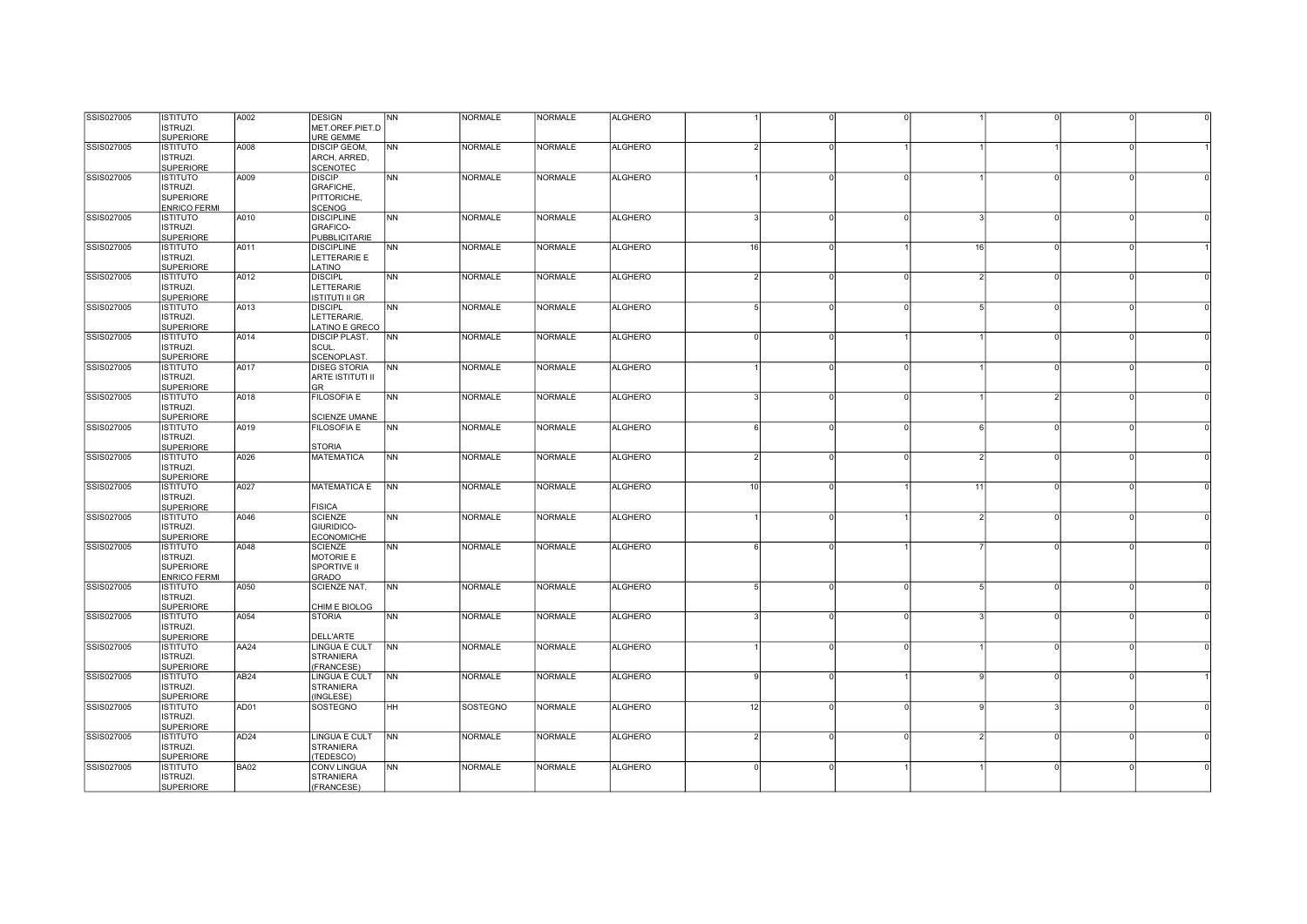| SSIS027005 | <b>ISTITUTO</b>       | A002             | <b>DESIGN</b>                  | <b>NN</b>      | <b>NORMALE</b> | <b>NORMALE</b> | <b>ALGHERO</b> |          |          |          |          |          |          |  |
|------------|-----------------------|------------------|--------------------------------|----------------|----------------|----------------|----------------|----------|----------|----------|----------|----------|----------|--|
|            | <b>ISTRUZI.</b>       |                  | MET.OREF.PIET.D                |                |                |                |                |          |          |          |          |          |          |  |
|            | <b>SUPERIORE</b>      |                  | URE GEMME                      |                |                |                |                |          |          |          |          |          |          |  |
| SSIS027005 | <b>ISTITUTO</b>       | A008             | <b>DISCIP GEOM,</b>            | <b>NN</b>      | <b>NORMALE</b> | <b>NORMALE</b> | <b>ALGHERO</b> |          |          |          |          |          |          |  |
|            | ISTRUZI.              |                  | ARCH, ARRED,                   |                |                |                |                |          |          |          |          |          |          |  |
|            | <b>SUPERIORE</b>      |                  | <b>SCENOTEC</b>                |                |                |                |                |          |          |          |          |          |          |  |
| SSIS027005 | <b>ISTITUTO</b>       | A009             | <b>DISCIP</b>                  | <b>NN</b>      | <b>NORMALE</b> | <b>NORMALE</b> | <b>ALGHERO</b> |          |          |          |          |          |          |  |
|            |                       |                  |                                |                |                |                |                |          |          |          |          |          |          |  |
|            | <b>ISTRUZI.</b>       |                  | <b>GRAFICHE,</b>               |                |                |                |                |          |          |          |          |          |          |  |
|            | <b>SUPERIORE</b>      |                  | PITTORICHE,                    |                |                |                |                |          |          |          |          |          |          |  |
|            | <b>ENRICO FERMI</b>   |                  | <b>SCENOG</b>                  |                |                |                |                |          |          |          |          |          |          |  |
| SSIS027005 | <b>ISTITUTO</b>       | A010             | <b>DISCIPLINE</b>              | <b>NN</b>      | <b>NORMALE</b> | <b>NORMALE</b> | <b>ALGHERO</b> |          | O        | 0        |          | $\Omega$ |          |  |
|            | ISTRUZI.              |                  | <b>GRAFICO-</b>                |                |                |                |                |          |          |          |          |          |          |  |
|            | <b>SUPERIORE</b>      |                  | <b>PUBBLICITARIE</b>           |                |                |                |                |          |          |          |          |          |          |  |
| SSIS027005 | <b>ISTITUTO</b>       | A011             | <b>DISCIPLINE</b>              | <b>NN</b>      | <b>NORMALE</b> | <b>NORMALE</b> | <b>ALGHERO</b> | 16       |          |          | 16       | $\cap$   |          |  |
|            | <b>ISTRUZI.</b>       |                  | LETTERARIE E                   |                |                |                |                |          |          |          |          |          |          |  |
|            | <b>SUPERIORE</b>      |                  | LATINO                         |                |                |                |                |          |          |          |          |          |          |  |
| SSIS027005 | <b>ISTITUTO</b>       | A012             | <b>DISCIPL</b>                 | <b>NN</b>      | <b>NORMALE</b> | <b>NORMALE</b> | <b>ALGHERO</b> |          |          |          |          | $\Omega$ |          |  |
|            | ISTRUZI.              |                  | LETTERARIE                     |                |                |                |                |          |          |          |          |          |          |  |
|            | <b>SUPERIORE</b>      |                  | <b>ISTITUTI II GR</b>          |                |                |                |                |          |          |          |          |          |          |  |
| SSIS027005 | <b>ISTITUTO</b>       | A013             | <b>DISCIPL</b>                 | <b>NN</b>      | <b>NORMALE</b> | <b>NORMALE</b> | <b>ALGHERO</b> |          |          |          |          |          |          |  |
|            |                       |                  |                                |                |                |                |                |          |          |          |          |          |          |  |
|            | <b>ISTRUZI.</b>       |                  | LETTERARIE,                    |                |                |                |                |          |          |          |          |          |          |  |
|            | <b>SUPERIORE</b>      |                  | LATINO E GRECO                 |                |                |                |                |          |          |          |          |          |          |  |
| SSIS027005 | <b>ISTITUTO</b>       | A014             | <b>DISCIP PLAST.</b>           | N <sub>N</sub> | <b>NORMALE</b> | <b>NORMALE</b> | <b>ALGHERO</b> |          | $\Omega$ |          |          | $\Omega$ |          |  |
|            | <b>ISTRUZI.</b>       |                  | SCUL.                          |                |                |                |                |          |          |          |          |          |          |  |
|            | <b>SUPERIORE</b>      |                  | <b>SCENOPLAST</b>              |                |                |                |                |          |          |          |          |          |          |  |
| SSIS027005 | <b>ISTITUTO</b>       | A017             | <b>DISEG STORIA</b>            | <b>NN</b>      | <b>NORMALE</b> | <b>NORMALE</b> | <b>ALGHERO</b> |          | $\Omega$ | $\Omega$ |          | $\circ$  |          |  |
|            | <b>ISTRUZI.</b>       |                  | ARTE ISTITUTI II               |                |                |                |                |          |          |          |          |          |          |  |
|            | <b>SUPERIORE</b>      |                  | <b>GR</b>                      |                |                |                |                |          |          |          |          |          |          |  |
| SSIS027005 | <b>ISTITUTO</b>       | A018             | <b>FILOSOFIA E</b>             | NN             | <b>NORMALE</b> | <b>NORMALE</b> | <b>ALGHERO</b> |          |          |          |          |          |          |  |
|            | <b>ISTRUZI.</b>       |                  |                                |                |                |                |                |          |          |          |          |          |          |  |
|            | <b>SUPERIORE</b>      |                  | <b>SCIENZE UMANE</b>           |                |                |                |                |          |          |          |          |          |          |  |
| SSIS027005 | <b>ISTITUTO</b>       | A019             | <b>FILOSOFIA E</b>             | <b>NN</b>      | <b>NORMALE</b> | <b>NORMALE</b> | <b>ALGHERO</b> |          | $\Omega$ |          | $\Omega$ | $\Omega$ |          |  |
|            | <b>ISTRUZI.</b>       |                  |                                |                |                |                |                |          |          |          |          |          |          |  |
|            | <b>SUPERIORE</b>      |                  | <b>STORIA</b>                  |                |                |                |                |          |          |          |          |          |          |  |
|            |                       |                  |                                |                | <b>NORMALE</b> | <b>NORMALE</b> | <b>ALGHERO</b> |          |          |          |          |          |          |  |
| SSIS027005 | <b>ISTITUTO</b>       | A026             | <b>MATEMATICA</b>              | <b>NN</b>      |                |                |                |          |          |          |          | $\circ$  |          |  |
|            | ISTRUZI.              |                  |                                |                |                |                |                |          |          |          |          |          |          |  |
|            | <b>SUPERIORE</b>      |                  |                                |                |                |                |                |          |          |          |          |          |          |  |
| SSIS027005 | <b>ISTITUTO</b>       | A027             | <b>MATEMATICA E</b>            | N <sub>N</sub> | <b>NORMALE</b> | <b>NORMALE</b> | <b>ALGHERO</b> | 10       |          |          | 11       |          |          |  |
|            | <b>ISTRUZI.</b>       |                  |                                |                |                |                |                |          |          |          |          |          |          |  |
|            | <b>SUPERIORE</b>      |                  | <b>FISICA</b>                  |                |                |                |                |          |          |          |          |          |          |  |
| SSIS027005 | <b>ISTITUTO</b>       | A046             | <b>SCIENZE</b>                 | <b>NN</b>      | <b>NORMALE</b> | <b>NORMALE</b> | <b>ALGHERO</b> |          |          |          |          | $\Omega$ |          |  |
|            | <b>ISTRUZI.</b>       |                  | GIURIDICO-                     |                |                |                |                |          |          |          |          |          |          |  |
|            | <b>SUPERIORE</b>      |                  | <b>ECONOMICHE</b>              |                |                |                |                |          |          |          |          |          |          |  |
| SSIS027005 | <b>ISTITUTO</b>       | A048             | <b>SCIENZE</b>                 | <b>NN</b>      | <b>NORMALE</b> | <b>NORMALE</b> | <b>ALGHERO</b> |          |          |          |          | $\Omega$ |          |  |
|            | <b>ISTRUZI.</b>       |                  | <b>MOTORIE E</b>               |                |                |                |                |          |          |          |          |          |          |  |
|            | <b>SUPERIORE</b>      |                  | SPORTIVE II                    |                |                |                |                |          |          |          |          |          |          |  |
|            | <b>ENRICO FERMI</b>   |                  | <b>GRADO</b>                   |                |                |                |                |          |          |          |          |          |          |  |
| SSIS027005 | <b>ISTITUTO</b>       | A050             | <b>SCIENZE NAT,</b>            | <b>NN</b>      | <b>NORMALE</b> | <b>NORMALE</b> | <b>ALGHERO</b> |          | $\Omega$ | $\Omega$ |          | $\Omega$ |          |  |
|            | <b>ISTRUZI.</b>       |                  |                                |                |                |                |                |          |          |          |          |          |          |  |
|            | <b>SUPERIORE</b>      |                  | CHIM E BIOLOG                  |                |                |                |                |          |          |          |          |          |          |  |
| SSIS027005 | <b>ISTITUTO</b>       | A054             | <b>STORIA</b>                  | <b>NN</b>      | <b>NORMALE</b> | <b>NORMALE</b> | <b>ALGHERO</b> |          |          |          |          | $\Omega$ |          |  |
|            | <b>ISTRUZI.</b>       |                  |                                |                |                |                |                |          |          |          |          |          |          |  |
|            |                       |                  | <b>DELL'ARTE</b>               |                |                |                |                |          |          |          |          |          |          |  |
|            | <b>SUPERIORE</b>      |                  |                                |                |                |                |                |          |          |          |          |          |          |  |
| SSIS027005 | <b>ISTITUTO</b>       | AA24             | LINGUA E CULT                  | N <sub>N</sub> | <b>NORMALE</b> | <b>NORMALE</b> | <b>ALGHERO</b> |          |          |          |          |          |          |  |
|            | <b>ISTRUZI.</b>       |                  | <b>STRANIERA</b>               |                |                |                |                |          |          |          |          |          |          |  |
|            | <b>SUPERIORE</b>      |                  | (FRANCESE)                     |                |                |                |                |          |          |          |          |          |          |  |
| SSIS027005 | <b>ISTITUTO</b>       | AB <sub>24</sub> | LINGUA E CULT                  | <b>NN</b>      | <b>NORMALE</b> | <b>NORMALE</b> | <b>ALGHERO</b> |          | n        |          |          | $\circ$  |          |  |
|            | <b>ISTRUZI.</b>       |                  | <b>STRANIERA</b>               |                |                |                |                |          |          |          |          |          |          |  |
|            | <b>SUPERIORE</b>      |                  | (INGLESE)                      |                |                |                |                |          |          |          |          |          |          |  |
| SSIS027005 | <b>ISTITUTO</b>       | AD01             | <b>SOSTEGNO</b>                | HH             | SOSTEGNO       | <b>NORMALE</b> | <b>ALGHERO</b> | 12       |          |          |          |          |          |  |
|            | <b>ISTRUZI.</b>       |                  |                                |                |                |                |                |          |          |          |          |          |          |  |
|            | <b>SUPERIORE</b>      |                  |                                |                |                |                |                |          |          |          |          |          |          |  |
| SSIS027005 | <b>ISTITUTO</b>       | AD <sub>24</sub> | LINGUA E CULT                  | <b>NN</b>      | <b>NORMALE</b> | <b>NORMALE</b> | <b>ALGHERO</b> |          | O        |          | $\Omega$ | $\Omega$ |          |  |
|            | <b>ISTRUZI.</b>       |                  | <b>STRANIERA</b>               |                |                |                |                |          |          |          |          |          |          |  |
|            | <b>SUPERIORE</b>      |                  | (TEDESCO)                      |                |                |                |                |          |          |          |          |          |          |  |
| SSIS027005 |                       |                  |                                | <b>NN</b>      | <b>NORMALE</b> | <b>NORMALE</b> | <b>ALGHERO</b> |          | $\cap$   |          |          | $\Omega$ | $\Omega$ |  |
|            |                       |                  |                                |                |                |                |                | $\Omega$ |          |          |          |          |          |  |
|            | <b>ISTITUTO</b>       | BA02             | CONV LINGUA                    |                |                |                |                |          |          |          |          |          |          |  |
|            | ISTRUZI.<br>SUPERIORE |                  | <b>STRANIERA</b><br>(FRANCESE) |                |                |                |                |          |          |          |          |          |          |  |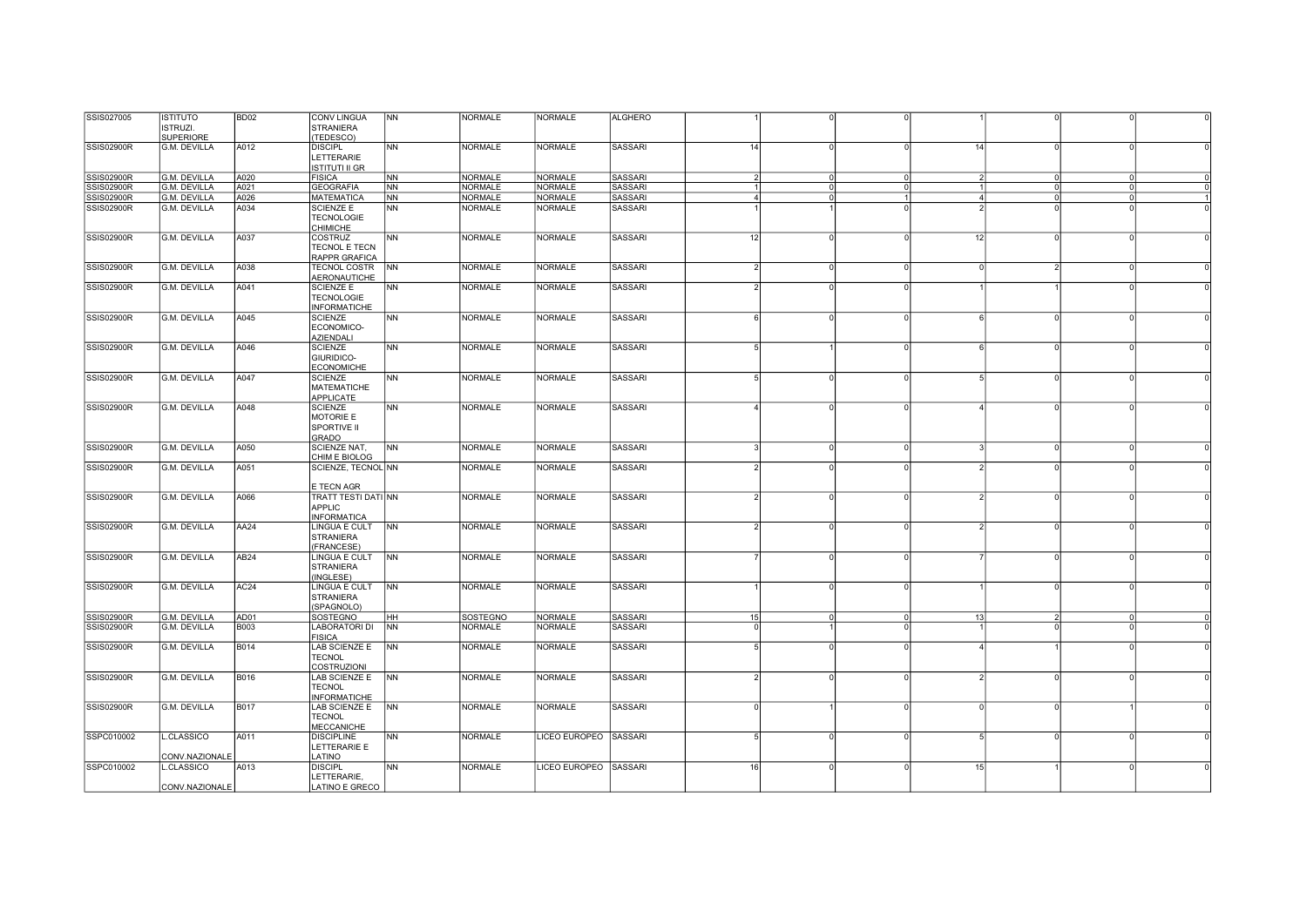| SSIS027005        | <b>ISTITUTO</b>     | BD <sub>02</sub> | <b>CONV LINGUA</b>         | <b>NN</b>      | NORMALE         | <b>NORMALE</b>        | <b>ALGHERO</b> |               |          |              |    |                |          |  |
|-------------------|---------------------|------------------|----------------------------|----------------|-----------------|-----------------------|----------------|---------------|----------|--------------|----|----------------|----------|--|
|                   |                     |                  |                            |                |                 |                       |                |               |          |              |    |                |          |  |
|                   | <b>ISTRUZI.</b>     |                  | <b>STRANIERA</b>           |                |                 |                       |                |               |          |              |    |                |          |  |
|                   | <b>SUPERIORE</b>    |                  | (TEDESCO)                  |                |                 |                       |                |               |          |              |    |                |          |  |
| SSIS02900R        | G.M. DEVILLA        | A012             | <b>DISCIPL</b>             | <b>NN</b>      | <b>NORMALE</b>  | <b>NORMALE</b>        | <b>SASSARI</b> | 14            | $\Omega$ | $\Omega$     | 14 | $\circ$        |          |  |
|                   |                     |                  | LETTERARIE                 |                |                 |                       |                |               |          |              |    |                |          |  |
|                   |                     |                  |                            |                |                 |                       |                |               |          |              |    |                |          |  |
|                   |                     |                  | ISTITUTI II GR             |                |                 |                       |                |               |          |              |    |                |          |  |
| SSIS02900R        | <b>G.M. DEVILLA</b> | A020             | <b>FISICA</b>              | N <sub>N</sub> | <b>NORMALE</b>  | <b>NORMALE</b>        | <b>SASSARI</b> | $\mathcal{D}$ | $\Omega$ | $\Omega$     |    | $\circ$        |          |  |
| SSIS02900R        | G.M. DEVILLA        | A021             | <b>GEOGRAFIA</b>           | N <sub>N</sub> | <b>NORMALE</b>  | <b>NORMALE</b>        | <b>SASSARI</b> |               | $\Omega$ | $\Omega$     |    | $\circ$        | $\Omega$ |  |
|                   | G.M. DEVILLA        |                  | <b>MATEMATICA</b>          |                | <b>NORMALE</b>  | <b>NORMALE</b>        | <b>SASSARI</b> | $\mathbf{A}$  | $\Omega$ | $\mathbf{1}$ |    |                |          |  |
| <b>SSIS02900R</b> |                     | A026             |                            | NN             |                 |                       |                |               |          |              |    | $^{\circ}$     | $\Omega$ |  |
| SSIS02900R        | G.M. DEVILLA        | A034             | <b>SCIENZE E</b>           | <b>INN</b>     | NORMALE         | <b>NORMALE</b>        | <b>SASSARI</b> |               |          | $\Omega$     |    |                |          |  |
|                   |                     |                  | <b>TECNOLOGIE</b>          |                |                 |                       |                |               |          |              |    |                |          |  |
|                   |                     |                  | CHIMICHE                   |                |                 |                       |                |               |          |              |    |                |          |  |
| SSIS02900R        | G.M. DEVILLA        | A037             | COSTRUZ                    | <b>NN</b>      | <b>NORMALE</b>  | <b>NORMALE</b>        | <b>SASSARI</b> | 12            | $\Omega$ | $\Omega$     | 12 | $\Omega$       |          |  |
|                   |                     |                  |                            |                |                 |                       |                |               |          |              |    |                |          |  |
|                   |                     |                  | <b>TECNOL E TECN</b>       |                |                 |                       |                |               |          |              |    |                |          |  |
|                   |                     |                  | RAPPR GRAFICA              |                |                 |                       |                |               |          |              |    |                |          |  |
| <b>SSIS02900R</b> | G.M. DEVILLA        | A038             | TECNOL COSTR               | <b>NN</b>      | <b>NORMALE</b>  | <b>NORMALE</b>        | <b>SASSARI</b> |               | $\Omega$ |              |    | $\mathcal{D}$  |          |  |
|                   |                     |                  | AERONAUTICHE               |                |                 |                       |                |               |          |              |    |                |          |  |
|                   |                     |                  |                            |                |                 |                       |                |               |          |              |    |                |          |  |
| <b>SSIS02900R</b> | G.M. DEVILLA        | A041             | <b>SCIENZE E</b>           | <b>NN</b>      | <b>NORMALE</b>  | <b>NORMALE</b>        | <b>SASSARI</b> |               | $\Omega$ | $\Omega$     |    |                |          |  |
|                   |                     |                  | <b>TECNOLOGIE</b>          |                |                 |                       |                |               |          |              |    |                |          |  |
|                   |                     |                  | <b>INFORMATICHE</b>        |                |                 |                       |                |               |          |              |    |                |          |  |
| SSIS02900R        | G.M. DEVILLA        | A045             | <b>SCIENZE</b>             | <b>NN</b>      | NORMALE         | <b>NORMALE</b>        | <b>SASSARI</b> |               | $\Omega$ | $\Omega$     |    | $\Omega$       |          |  |
|                   |                     |                  |                            |                |                 |                       |                |               |          |              |    |                |          |  |
|                   |                     |                  | ECONOMICO-                 |                |                 |                       |                |               |          |              |    |                |          |  |
|                   |                     |                  | AZIENDALI                  |                |                 |                       |                |               |          |              |    |                |          |  |
| SSIS02900R        | G.M. DEVILLA        | A046             | <b>SCIENZE</b>             | <b>NN</b>      | <b>NORMALE</b>  | <b>NORMALE</b>        | <b>SASSARI</b> |               |          |              |    | $\circ$        |          |  |
|                   |                     |                  | GIURIDICO-                 |                |                 |                       |                |               |          |              |    |                |          |  |
|                   |                     |                  | <b>ECONOMICHE</b>          |                |                 |                       |                |               |          |              |    |                |          |  |
|                   |                     |                  |                            |                |                 |                       |                |               |          |              |    |                |          |  |
| SSIS02900R        | G.M. DEVILLA        | A047             | <b>SCIENZE</b>             | <b>NN</b>      | <b>NORMALE</b>  | <b>NORMALE</b>        | <b>SASSARI</b> |               |          |              |    |                |          |  |
|                   |                     |                  | <b>MATEMATICHE</b>         |                |                 |                       |                |               |          |              |    |                |          |  |
|                   |                     |                  | APPLICATE                  |                |                 |                       |                |               |          |              |    |                |          |  |
| <b>SSIS02900R</b> | G.M. DEVILLA        | A048             | <b>SCIENZE</b>             | N <sub>N</sub> | <b>NORMALE</b>  | <b>NORMALE</b>        | <b>SASSARI</b> |               | $\Omega$ |              |    | $\Omega$       |          |  |
|                   |                     |                  |                            |                |                 |                       |                |               |          |              |    |                |          |  |
|                   |                     |                  | MOTORIE E                  |                |                 |                       |                |               |          |              |    |                |          |  |
|                   |                     |                  | <b>SPORTIVE II</b>         |                |                 |                       |                |               |          |              |    |                |          |  |
|                   |                     |                  | GRADO                      |                |                 |                       |                |               |          |              |    |                |          |  |
| SSIS02900R        | G.M. DEVILLA        | A050             | SCIENZE NAT,               | <b>NN</b>      | <b>NORMALE</b>  | <b>NORMALE</b>        | <b>SASSARI</b> |               | $\Omega$ | $\Omega$     |    | $\circ$        | $\Omega$ |  |
|                   |                     |                  |                            |                |                 |                       |                |               |          |              |    |                |          |  |
|                   |                     |                  | CHIM E BIOLOG              |                |                 |                       |                |               |          |              |    |                |          |  |
| <b>SSIS02900R</b> | G.M. DEVILLA        | A051             | SCIENZE, TECNOL NN         |                | <b>NORMALE</b>  | <b>NORMALE</b>        | <b>SASSARI</b> |               | $\Omega$ | $\Omega$     |    | $\Omega$       |          |  |
|                   |                     |                  |                            |                |                 |                       |                |               |          |              |    |                |          |  |
|                   |                     |                  | E TECN AGR                 |                |                 |                       |                |               |          |              |    |                |          |  |
| <b>SSIS02900R</b> | G.M. DEVILLA        | A066             | <b>TRATT TESTI DATI NN</b> |                | <b>NORMALE</b>  | <b>NORMALE</b>        | <b>SASSARI</b> |               | $\Omega$ | U            |    | $\Omega$       |          |  |
|                   |                     |                  | <b>APPLIC</b>              |                |                 |                       |                |               |          |              |    |                |          |  |
|                   |                     |                  |                            |                |                 |                       |                |               |          |              |    |                |          |  |
|                   |                     |                  | <b>INFORMATICA</b>         |                |                 |                       |                |               |          |              |    |                |          |  |
| SSIS02900R        | G.M. DEVILLA        | AA24             | LINGUA E CULT              | <b>NN</b>      | NORMALE         | <b>NORMALE</b>        | <b>SASSARI</b> |               | $\Omega$ | $\Omega$     |    | $\Omega$       |          |  |
|                   |                     |                  | <b>STRANIERA</b>           |                |                 |                       |                |               |          |              |    |                |          |  |
|                   |                     |                  | (FRANCESE)                 |                |                 |                       |                |               |          |              |    |                |          |  |
|                   |                     |                  |                            |                |                 |                       | <b>SASSARI</b> |               | $\Omega$ |              |    | $\Omega$       |          |  |
| <b>SSIS02900R</b> | G.M. DEVILLA        | AB <sub>24</sub> | LINGUA E CULT              | <b>NN</b>      | <b>NORMALE</b>  | <b>NORMALE</b>        |                |               |          |              |    |                |          |  |
|                   |                     |                  | <b>STRANIERA</b>           |                |                 |                       |                |               |          |              |    |                |          |  |
|                   |                     |                  | (INGLESE)                  |                |                 |                       |                |               |          |              |    |                |          |  |
| <b>SSIS02900R</b> | G.M. DEVILLA        | AC24             | LINGUA E CULT              | <b>NN</b>      | <b>NORMALE</b>  | <b>NORMALE</b>        | <b>SASSARI</b> |               | $\Omega$ |              |    | $\Omega$       |          |  |
|                   |                     |                  | <b>STRANIERA</b>           |                |                 |                       |                |               |          |              |    |                |          |  |
|                   |                     |                  | (SPAGNOLO)                 |                |                 |                       |                |               |          |              |    |                |          |  |
|                   |                     |                  |                            |                |                 |                       |                |               |          |              |    |                |          |  |
| SSIS02900R        | G.M. DEVILLA        | AD01             | <b>SOSTEGNO</b>            | HH             | <b>SOSTEGNO</b> | <b>NORMALE</b>        | <b>SASSARI</b> | 15            | $\Omega$ |              | 13 | $\overline{2}$ |          |  |
| <b>SSIS02900R</b> | G.M. DEVILLA        | <b>B003</b>      | LABORATORI DI              | N <sub>N</sub> | <b>NORMALE</b>  | <b>NORMALE</b>        | <b>SASSARI</b> |               |          | $\Omega$     |    |                |          |  |
|                   |                     |                  | <b>FISICA</b>              |                |                 |                       |                |               |          |              |    |                |          |  |
| SSIS02900R        | G.M. DEVILLA        | <b>B014</b>      | <b>LAB SCIENZE E</b>       | N <sub>N</sub> | <b>NORMALE</b>  | <b>NORMALE</b>        | <b>SASSARI</b> |               |          |              |    |                |          |  |
|                   |                     |                  | <b>TECNOL</b>              |                |                 |                       |                |               |          |              |    |                |          |  |
|                   |                     |                  |                            |                |                 |                       |                |               |          |              |    |                |          |  |
|                   |                     |                  | <b>COSTRUZIONI</b>         |                |                 |                       |                |               |          |              |    |                |          |  |
| <b>SSIS02900R</b> | G.M. DEVILLA        | <b>B016</b>      | LAB SCIENZE E              | <b>NN</b>      | <b>NORMALE</b>  | <b>NORMALE</b>        | <b>SASSARI</b> |               | $\Omega$ | $\Omega$     | 2  | $\Omega$       |          |  |
|                   |                     |                  | <b>TECNOL</b>              |                |                 |                       |                |               |          |              |    |                |          |  |
|                   |                     |                  | <b>INFORMATICHE</b>        |                |                 |                       |                |               |          |              |    |                |          |  |
| SSIS02900R        | G.M. DEVILLA        | <b>B017</b>      | <b>LAB SCIENZE E</b>       | N <sub>N</sub> | <b>NORMALE</b>  | <b>NORMALE</b>        | <b>SASSARI</b> |               |          |              |    | $\Omega$       |          |  |
|                   |                     |                  | <b>TECNOL</b>              |                |                 |                       |                |               |          |              |    |                |          |  |
|                   |                     |                  |                            |                |                 |                       |                |               |          |              |    |                |          |  |
|                   |                     |                  | <b>MECCANICHE</b>          |                |                 |                       |                |               |          |              |    |                |          |  |
| SSPC010002        | L.CLASSICO          | A011             | <b>DISCIPLINE</b>          | <b>NN</b>      | <b>NORMALE</b>  | LICEO EUROPEO SASSARI |                |               | $\Omega$ |              |    | $\Omega$       |          |  |
|                   |                     |                  | LETTERARIE E               |                |                 |                       |                |               |          |              |    |                |          |  |
|                   | CONV.NAZIONALE      |                  | LATINO                     |                |                 |                       |                |               |          |              |    |                |          |  |
| SSPC010002        | L.CLASSICO          | A013             | <b>DISCIPL</b>             | INN.           | NORMALE         | LICEO EUROPEO SASSARI |                | 16            | $\Omega$ | $\Omega$     | 15 |                | $\Omega$ |  |
|                   |                     |                  |                            |                |                 |                       |                |               |          |              |    |                |          |  |
|                   |                     |                  | LETTERARIE,                |                |                 |                       |                |               |          |              |    |                |          |  |
|                   | CONV.NAZIONALE      |                  | LATINO E GRECO             |                |                 |                       |                |               |          |              |    |                |          |  |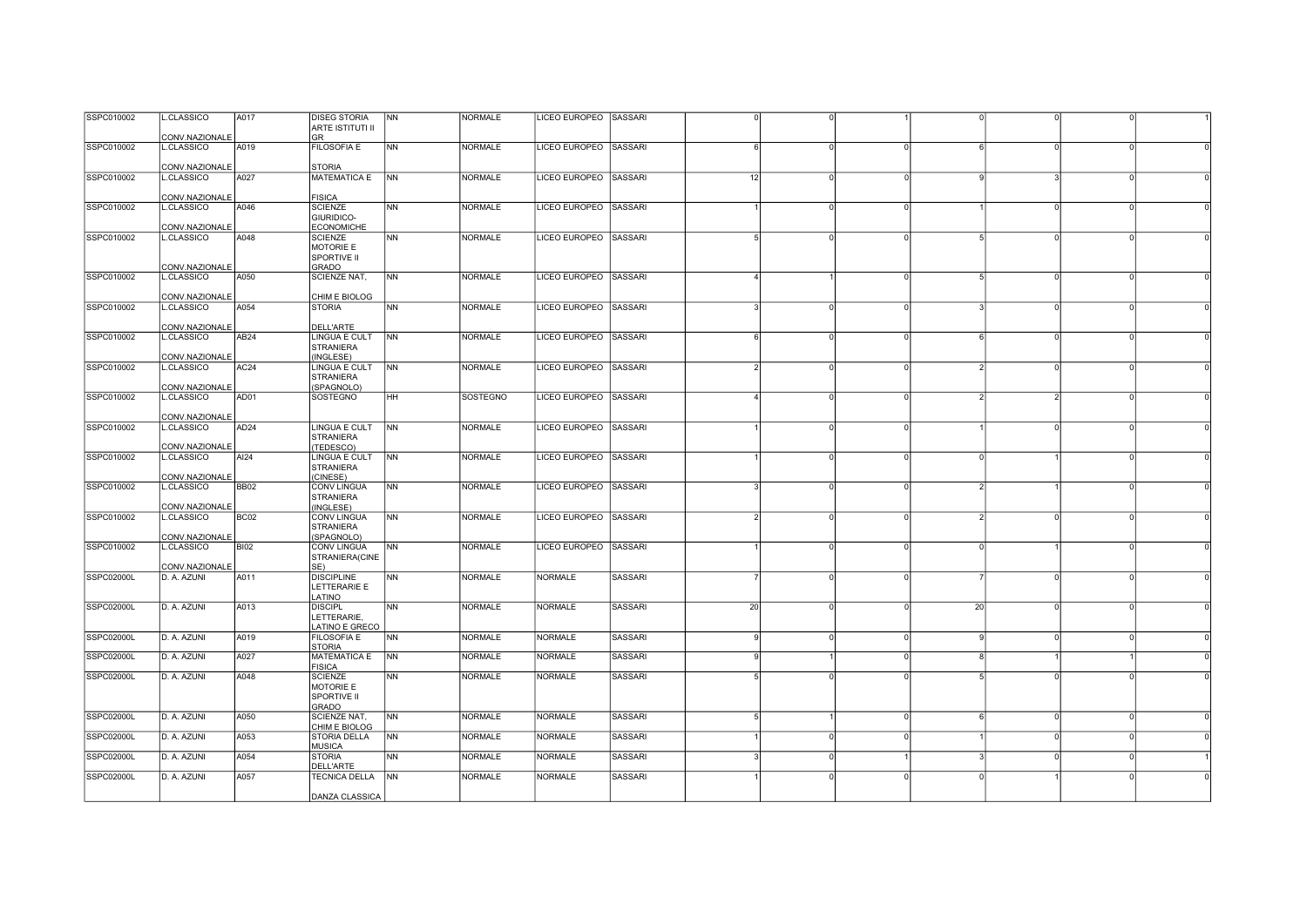| SSPC010002        | .CLASSICO      | A017             | <b>DISEG STORIA</b>                      | N <sub>N</sub> | <b>NORMALE</b> | LICEO EUROPEO SASSARI |                |    |          |          |          |               |          |  |
|-------------------|----------------|------------------|------------------------------------------|----------------|----------------|-----------------------|----------------|----|----------|----------|----------|---------------|----------|--|
|                   |                |                  | <b>ARTE ISTITUTI II</b>                  |                |                |                       |                |    |          |          |          |               |          |  |
|                   | CONV.NAZIONALE |                  | GR                                       |                |                |                       |                |    |          |          |          |               |          |  |
| SSPC010002        | .CLASSICO      | A019             | <b>FILOSOFIA E</b>                       | <b>NN</b>      | <b>NORMALE</b> | LICEO EUROPEO SASSARI |                |    |          |          |          |               |          |  |
|                   |                |                  |                                          |                |                |                       |                |    |          |          |          |               |          |  |
|                   | CONV.NAZIONALE |                  | <b>STORIA</b>                            |                |                |                       |                |    |          |          |          |               |          |  |
| SSPC010002        | L.CLASSICO     | A027             | <b>MATEMATICA E</b>                      | <b>NN</b>      | <b>NORMALE</b> | LICEO EUROPEO SASSARI |                | 12 |          | $\Omega$ |          |               |          |  |
|                   |                |                  |                                          |                |                |                       |                |    |          |          |          |               |          |  |
|                   | CONV.NAZIONALE |                  | <b>FISICA</b>                            |                |                |                       |                |    |          |          |          |               |          |  |
| SSPC010002        | L.CLASSICO     | A046             | <b>SCIENZE</b>                           | <b>NN</b>      | <b>NORMALE</b> | LICEO EUROPEO SASSARI |                |    |          | $\Omega$ |          | $\Omega$      |          |  |
|                   | CONV.NAZIONALE |                  | GIURIDICO-<br><b>ECONOMICHE</b>          |                |                |                       |                |    |          |          |          |               |          |  |
| SSPC010002        | L.CLASSICO     | A048             | <b>SCIENZE</b>                           | <b>NN</b>      | <b>NORMALE</b> | LICEO EUROPEO SASSARI |                |    | $\Omega$ | O        |          | $\Omega$      |          |  |
|                   |                |                  | MOTORIE E                                |                |                |                       |                |    |          |          |          |               |          |  |
|                   |                |                  | <b>SPORTIVE II</b>                       |                |                |                       |                |    |          |          |          |               |          |  |
|                   | CONV.NAZIONALE |                  | <b>GRADO</b>                             |                |                |                       |                |    |          |          |          |               |          |  |
| SSPC010002        | .CLASSICO      | A050             | <b>SCIENZE NAT,</b>                      | <b>NN</b>      | <b>NORMALE</b> | LICEO EUROPEO SASSARI |                |    |          |          |          | $\Omega$      |          |  |
|                   |                |                  |                                          |                |                |                       |                |    |          |          |          |               |          |  |
|                   | CONV.NAZIONALE |                  | CHIM E BIOLOG                            |                |                |                       |                |    |          |          |          |               |          |  |
| SSPC010002        | .CLASSICO      | A054             | <b>STORIA</b>                            | <b>NN</b>      | <b>NORMALE</b> | LICEO EUROPEO SASSARI |                |    |          |          |          |               |          |  |
|                   |                |                  |                                          |                |                |                       |                |    |          |          |          |               |          |  |
|                   | CONV.NAZIONALE |                  | DELL'ARTE                                |                |                |                       |                |    |          |          |          |               |          |  |
| SSPC010002        | L.CLASSICO     | AB <sub>24</sub> | <b>LINGUA E CULT</b>                     | <b>NN</b>      | <b>NORMALE</b> | LICEO EUROPEO SASSARI |                |    |          |          | $\Omega$ | $\Omega$      |          |  |
|                   |                |                  | <b>STRANIERA</b>                         |                |                |                       |                |    |          |          |          |               |          |  |
|                   | CONV.NAZIONALE |                  | (INGLESE)                                |                |                |                       |                |    |          |          |          |               |          |  |
| SSPC010002        | L.CLASSICO     | AC <sub>24</sub> | LINGUA E CULT                            | <b>NN</b>      | <b>NORMALE</b> | LICEO EUROPEO SASSARI |                |    | $\Omega$ | $\Omega$ |          | $\Omega$      |          |  |
|                   |                |                  | <b>STRANIERA</b>                         |                |                |                       |                |    |          |          |          |               |          |  |
|                   | CONV.NAZIONALE |                  | (SPAGNOLO)                               |                |                |                       |                |    |          |          |          |               |          |  |
| SSPC010002        | .CLASSICO      | AD01             | SOSTEGNO                                 | HH             | SOSTEGNO       | LICEO EUROPEO SASSARI |                |    |          | U        |          | $\mathcal{P}$ |          |  |
|                   |                |                  |                                          |                |                |                       |                |    |          |          |          |               |          |  |
|                   | CONV.NAZIONALE |                  |                                          |                |                |                       |                |    |          |          |          |               |          |  |
| SSPC010002        | .CLASSICO      | AD <sub>24</sub> | <b>LINGUA E CULT</b><br><b>STRANIERA</b> | <b>NN</b>      | <b>NORMALE</b> | LICEO EUROPEO SASSARI |                |    |          | $\Omega$ |          | $\Omega$      |          |  |
|                   | CONV.NAZIONALE |                  | (TEDESCO)                                |                |                |                       |                |    |          |          |          |               |          |  |
| SSPC010002        | L.CLASSICO     | AI24             | LINGUA E CULT                            | <b>NN</b>      | <b>NORMALE</b> | LICEO EUROPEO SASSARI |                |    |          | $\Omega$ |          |               | $\Omega$ |  |
|                   |                |                  | <b>STRANIERA</b>                         |                |                |                       |                |    |          |          |          |               |          |  |
|                   | CONV.NAZIONALE |                  | (CINESE)                                 |                |                |                       |                |    |          |          |          |               |          |  |
| SSPC010002        | L.CLASSICO     | <b>BB02</b>      | <b>CONV LINGUA</b>                       | <b>NN</b>      | <b>NORMALE</b> | LICEO EUROPEO SASSARI |                |    | O        | 0        |          |               |          |  |
|                   |                |                  | <b>STRANIERA</b>                         |                |                |                       |                |    |          |          |          |               |          |  |
|                   | CONV.NAZIONALE |                  | (INGLESE)                                |                |                |                       |                |    |          |          |          |               |          |  |
| SSPC010002        | L.CLASSICO     | BC <sub>02</sub> | <b>CONV LINGUA</b>                       | <b>NN</b>      | <b>NORMALE</b> | LICEO EUROPEO SASSARI |                |    | $\Omega$ |          |          | $\Omega$      |          |  |
|                   |                |                  | <b>STRANIERA</b>                         |                |                |                       |                |    |          |          |          |               |          |  |
|                   | CONV.NAZIONALE |                  | (SPAGNOLO)                               |                |                |                       |                |    |          |          |          |               |          |  |
| SSPC010002        | L.CLASSICO     | <b>BI02</b>      | <b>CONV LINGUA</b>                       | <b>NN</b>      | <b>NORMALE</b> | LICEO EUROPEO SASSARI |                |    | n        | $\Omega$ |          |               |          |  |
|                   |                |                  | STRANIERA(CINE                           |                |                |                       |                |    |          |          |          |               |          |  |
|                   | CONV.NAZIONALE |                  | SE)                                      |                |                |                       |                |    |          |          |          |               |          |  |
| <b>SSPC02000L</b> | D. A. AZUNI    | A011             | <b>DISCIPLINE</b>                        | <b>NN</b>      | <b>NORMALE</b> | <b>NORMALE</b>        | <b>SASSARI</b> |    | n        |          |          | $\Omega$      |          |  |
|                   |                |                  | LETTERARIE E                             |                |                |                       |                |    |          |          |          |               |          |  |
|                   |                |                  | LATINO                                   |                |                |                       |                |    |          |          |          |               |          |  |
| SSPC02000L        | D. A. AZUNI    | A013             | <b>DISCIPL</b>                           | <b>NN</b>      | <b>NORMALE</b> | <b>NORMALE</b>        | <b>SASSARI</b> | 20 |          |          | 20       | $\Omega$      |          |  |
|                   |                |                  | LETTERARIE.<br>LATINO E GRECO            |                |                |                       |                |    |          |          |          |               |          |  |
| SSPC02000L        | D. A. AZUNI    | A019             | <b>FILOSOFIA E</b>                       | <b>NN</b>      | <b>NORMALE</b> | <b>NORMALE</b>        | <b>SASSARI</b> |    | $\Omega$ |          |          | $\Omega$      |          |  |
|                   |                |                  | <b>STORIA</b>                            |                |                |                       |                |    |          |          |          |               |          |  |
| SSPC02000L        | D. A. AZUNI    | A027             | <b>MATEMATICA E</b>                      | N <sub>N</sub> | <b>NORMALE</b> | <b>NORMALE</b>        | <b>SASSARI</b> |    |          | $\Omega$ |          |               |          |  |
|                   |                |                  | <b>FISICA</b>                            |                |                |                       |                |    |          |          |          |               |          |  |
| SSPC02000L        | D. A. AZUNI    | A048             | <b>SCIENZE</b>                           | <b>NN</b>      | <b>NORMALE</b> | <b>NORMALE</b>        | SASSARI        |    |          |          |          | $\Omega$      |          |  |
|                   |                |                  | <b>MOTORIE E</b>                         |                |                |                       |                |    |          |          |          |               |          |  |
|                   |                |                  | SPORTIVE II                              |                |                |                       |                |    |          |          |          |               |          |  |
|                   |                |                  | <b>GRADO</b>                             |                |                |                       |                |    |          |          |          |               |          |  |
| SSPC02000L        | D. A. AZUNI    | A050             | SCIENZE NAT,                             | <b>NN</b>      | NORMALE        | <b>NORMALE</b>        | <b>SASSARI</b> |    |          | $\Omega$ |          | $\Omega$      |          |  |
|                   |                |                  | CHIM E BIOLOG                            |                |                |                       |                |    |          |          |          |               |          |  |
| SSPC02000L        | D. A. AZUNI    | A053             | <b>STORIA DELLA</b>                      | N <sub>N</sub> | <b>NORMALE</b> | <b>NORMALE</b>        | <b>SASSARI</b> |    | O        | $\Omega$ |          | $\Omega$      |          |  |
|                   |                |                  | <b>MUSICA</b>                            |                |                |                       |                |    |          |          |          |               |          |  |
| SSPC02000L        | D. A. AZUNI    | A054             | <b>STORIA</b>                            | <b>NN</b>      | <b>NORMALE</b> | <b>NORMALE</b>        | <b>SASSARI</b> |    |          |          |          |               |          |  |
|                   |                |                  | DELL'ARTE                                |                |                |                       |                |    |          |          |          |               |          |  |
| SSPC02000L        | D. A. AZUNI    | A057             | TECNICA DELLA NN                         |                | <b>NORMALE</b> | <b>NORMALE</b>        | SASSARI        |    |          |          |          |               |          |  |
|                   |                |                  |                                          |                |                |                       |                |    |          |          |          |               |          |  |
|                   |                |                  | DANZA CLASSICA                           |                |                |                       |                |    |          |          |          |               |          |  |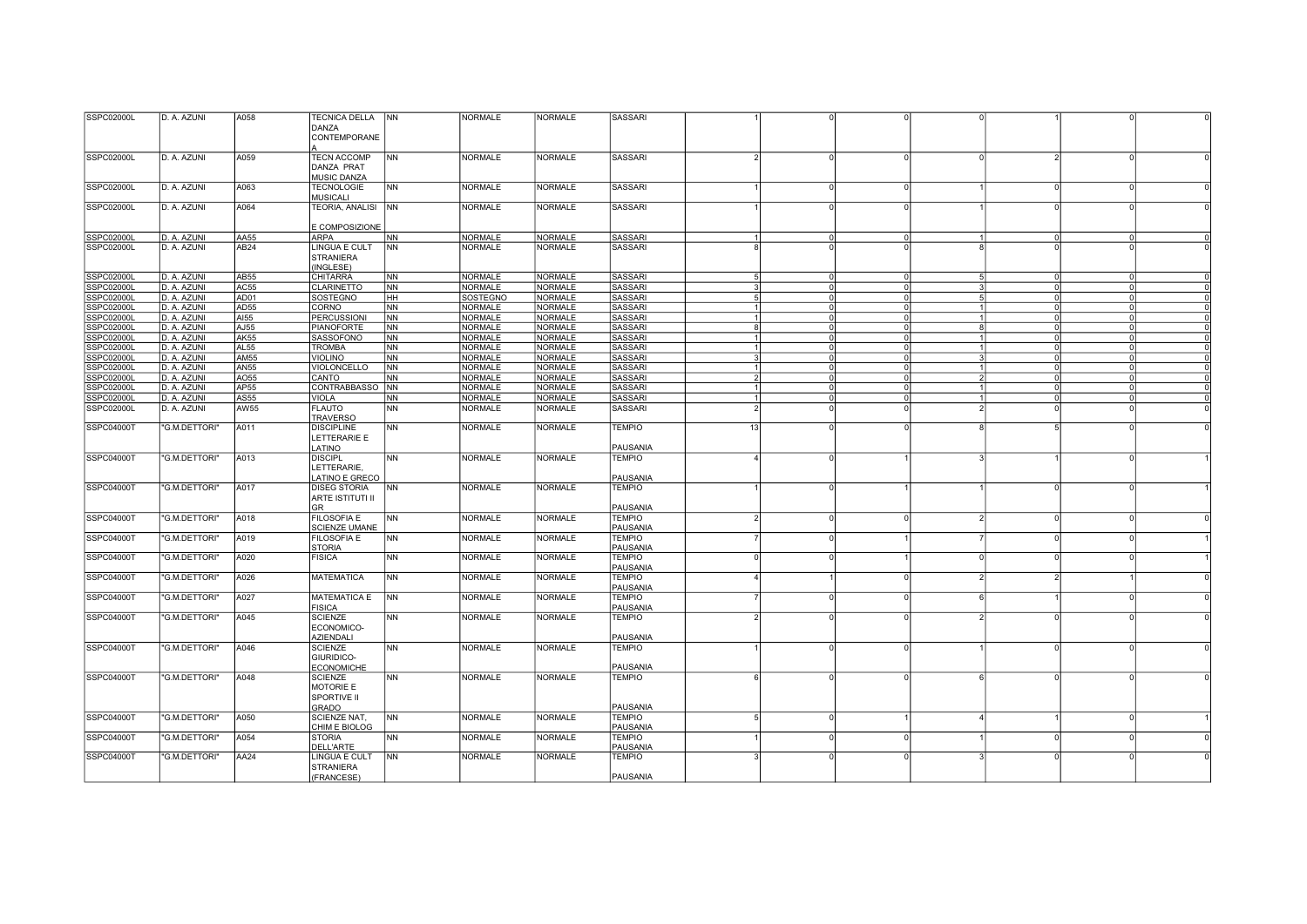| SSPC02000L        | D. A. AZUNI   | A058             | TECNICA DELLA NN     |                | <b>NORMALE</b> | NORMALE        | SASSARI         |                 |          |          |                |                            |  |
|-------------------|---------------|------------------|----------------------|----------------|----------------|----------------|-----------------|-----------------|----------|----------|----------------|----------------------------|--|
|                   |               |                  | DANZA                |                |                |                |                 |                 |          |          |                |                            |  |
|                   |               |                  | CONTEMPORANE         |                |                |                |                 |                 |          |          |                |                            |  |
|                   |               |                  |                      |                |                |                |                 |                 |          |          |                |                            |  |
|                   |               |                  |                      |                |                |                |                 |                 |          |          |                |                            |  |
| SSPC02000L        | D. A. AZUNI   | A059             | <b>TECN ACCOMP</b>   | <b>NN</b>      | <b>NORMALE</b> | <b>NORMALE</b> | SASSARI         |                 |          |          | $\Omega$       |                            |  |
|                   |               |                  | <b>DANZA PRAT</b>    |                |                |                |                 |                 |          |          |                |                            |  |
|                   |               |                  | <b>MUSIC DANZA</b>   |                |                |                |                 |                 |          |          |                |                            |  |
| SSPC02000L        | D. A. AZUNI   | A063             | <b>TECNOLOGIE</b>    | <b>NN</b>      | <b>NORMALE</b> | <b>NORMALE</b> | SASSARI         |                 |          | $\Omega$ |                | $\Omega$<br>$\Omega$       |  |
|                   |               |                  | <b>MUSICALI</b>      |                |                |                |                 |                 |          |          |                |                            |  |
| SSPC02000L        | D. A. AZUNI   | A064             | TEORIA, ANALISI   NN |                | <b>NORMALE</b> | <b>NORMALE</b> | <b>SASSARI</b>  |                 |          |          |                | $\Omega$                   |  |
|                   |               |                  |                      |                |                |                |                 |                 |          |          |                |                            |  |
|                   |               |                  |                      |                |                |                |                 |                 |          |          |                |                            |  |
|                   |               |                  | E COMPOSIZIONE       |                |                |                |                 |                 |          |          |                |                            |  |
| SSPC02000L        | D. A. AZUNI   | AA55             | <b>ARPA</b>          | <b>NN</b>      | <b>NORMALE</b> | <b>NORMALE</b> | <b>SASSARI</b>  |                 |          |          |                | $\Omega$                   |  |
| SSPC02000L        | D. A. AZUNI   | AB24             | LINGUA E CULT        | N <sub>N</sub> | <b>NORMALE</b> | NORMALE        | SASSARI         | 8               |          |          |                |                            |  |
|                   |               |                  | <b>STRANIERA</b>     |                |                |                |                 |                 |          |          |                |                            |  |
|                   |               |                  | (INGLESE)            |                |                |                |                 |                 |          |          |                |                            |  |
| <b>SSPC02000L</b> | D. A. AZUNI   | AB55             | <b>CHITARRA</b>      | <b>NN</b>      | <b>NORMALE</b> | <b>NORMALE</b> | <b>SASSARI</b>  | $5 \frac{1}{2}$ |          |          |                | $\Omega$                   |  |
| SSPC02000L        | D. A. AZUNI   | AC55             | <b>CLARINETTO</b>    | N <sub>N</sub> | <b>NORMALE</b> | <b>NORMALE</b> | SASSARI         | $\mathbf{B}$    | $\Omega$ | $\Omega$ |                | $\Omega$<br>$\Omega$       |  |
|                   |               |                  |                      |                |                |                |                 |                 |          |          |                |                            |  |
| SSPC02000L        | D. A. AZUNI   | AD01             | SOSTEGNO             | HH             | SOSTEGNO       | <b>NORMALE</b> | <b>SASSARI</b>  | 5               | $\Omega$ | $\Omega$ |                | $\circ$<br>$\Omega$        |  |
| <b>SSPC02000L</b> | D. A. AZUNI   | AD55             | CORNO                | NN             | <b>NORMALE</b> | <b>NORMALE</b> | <b>SASSARI</b>  | $\vert$         |          | $\Omega$ |                | $\overline{0}$<br>$\Omega$ |  |
| SSPC02000L        | D. A. AZUNI   | A <sub>155</sub> | PERCUSSIONI          | <b>INN</b>     | NORMALE        | NORMALE        | <b>SASSARI</b>  | $\overline{1}$  | $\Omega$ | $\Omega$ |                | $\Omega$<br>$\Omega$       |  |
| SSPC02000L        | D. A. AZUNI   | AJ55             | <b>PIANOFORTE</b>    | N <sub>N</sub> | <b>NORMALE</b> | <b>NORMALE</b> | <b>SASSARI</b>  | 8               | $\Omega$ | $\Omega$ | $\mathsf{R}$   | $\Omega$<br>$\Omega$       |  |
| SSPC02000L        | D. A. AZUNI   | AK55             | SASSOFONO            | <b>NN</b>      | <b>NORMALE</b> | NORMALE        | <b>SASSARI</b>  | 1               | $\Omega$ | $\Omega$ | $\overline{1}$ | $\Omega$<br>$\Omega$       |  |
| SSPC02000L        | D. A. AZUNI   | AL55             | <b>TROMBA</b>        | N <sub>N</sub> | <b>NORMALE</b> | <b>NORMALE</b> | SASSARI         | $\vert$         | $\Omega$ | $\Omega$ |                | $\Omega$<br>$\Omega$       |  |
|                   |               | AM <sub>55</sub> |                      |                |                |                |                 |                 | $\Omega$ | $\Omega$ |                | $\Omega$                   |  |
| <b>SSPC02000L</b> | D. A. AZUNI   |                  | <b>VIOLINO</b>       | N <sub>N</sub> | <b>NORMALE</b> | <b>NORMALE</b> | SASSARI         | $\overline{3}$  |          |          |                | $\circ$                    |  |
| SSPC02000         | D. A. AZUNI   | <b>AN55</b>      | VIOLONCELLO          | <b>NN</b>      | <b>NORMALE</b> | <b>NORMALE</b> | <b>SASSARI</b>  | -1              | $\Omega$ |          |                | $\Omega$                   |  |
| SSPC02000L        | D. A. AZUNI   | AO55             | CANTO                | <b>NN</b>      | <b>NORMALE</b> | <b>NORMALE</b> | <b>SASSARI</b>  | $\overline{2}$  | $\Omega$ | $\Omega$ | 2              | $\Omega$<br>$\Omega$       |  |
| <b>SSPC02000L</b> | D. A. AZUNI   | AP <sub>55</sub> | CONTRABBASSO NN      |                | <b>NORMALE</b> | <b>NORMALE</b> | <b>SASSARI</b>  | 1               | $\Omega$ | $\Omega$ |                | $\Omega$<br>$\Omega$       |  |
| SSPC02000L        | D. A. AZUNI   | <b>AS55</b>      | <b>VIOLA</b>         | <b>NN</b>      | <b>NORMALE</b> | <b>NORMALE</b> | SASSARI         | $\vert$         | $\Omega$ | $\Omega$ |                | $\Omega$<br>$\Omega$       |  |
| SSPC02000L        | D. A. AZUNI   | AW55             | <b>FLAUTO</b>        | N <sub>N</sub> | NORMALE        | NORMALE        | SASSARI         | 2 <sup>1</sup>  |          |          |                |                            |  |
|                   |               |                  | <b>TRAVERSO</b>      |                |                |                |                 |                 |          |          |                |                            |  |
| SSPC04000T        | "G.M.DETTORI" | A011             | <b>DISCIPLINE</b>    | N <sub>N</sub> | <b>NORMALE</b> | <b>NORMALE</b> | <b>TEMPIO</b>   | 13              |          |          |                | 5                          |  |
|                   |               |                  |                      |                |                |                |                 |                 |          |          |                |                            |  |
|                   |               |                  | LETTERARIE E         |                |                |                |                 |                 |          |          |                |                            |  |
|                   |               |                  | LATINO               |                |                |                | PAUSANIA        |                 |          |          |                |                            |  |
| SSPC04000T        | 'G.M.DETTORI' | A013             | <b>DISCIPL</b>       | ${\sf NN}$     | <b>NORMALE</b> | <b>NORMALE</b> | <b>TEMPIO</b>   | $\Delta$        |          |          |                |                            |  |
|                   |               |                  | LETTERARIE,          |                |                |                |                 |                 |          |          |                |                            |  |
|                   |               |                  | LATINO E GRECO       |                |                |                | PAUSANIA        |                 |          |          |                |                            |  |
| <b>SSPC04000T</b> | "G.M.DETTORI" | A017             | <b>DISEG STORIA</b>  | <b>NN</b>      | <b>NORMALE</b> | <b>NORMALE</b> | <b>TEMPIO</b>   |                 |          |          |                | $\Omega$                   |  |
|                   |               |                  | ARTE ISTITUTI II     |                |                |                |                 |                 |          |          |                |                            |  |
|                   |               |                  |                      |                |                |                |                 |                 |          |          |                |                            |  |
|                   |               |                  | GR                   |                |                |                | PAUSANIA        |                 |          |          |                |                            |  |
| SSPC04000T        | "G.M.DETTORI" | A018             | <b>FILOSOFIA E</b>   | N <sub>N</sub> | <b>NORMALE</b> | <b>NORMALE</b> | <b>TEMPIO</b>   | $\mathcal{P}$   |          | $\Omega$ |                | $\Omega$                   |  |
|                   |               |                  | <b>SCIENZE UMANE</b> |                |                |                | PAUSANIA        |                 |          |          |                |                            |  |
| SSPC04000T        | "G.M.DETTORI" | A019             | <b>FILOSOFIA E</b>   | N <sub>N</sub> | <b>NORMALE</b> | <b>NORMALE</b> | <b>TEMPIO</b>   |                 |          |          |                | $\Omega$                   |  |
|                   |               |                  | <b>STORIA</b>        |                |                |                | PAUSANIA        |                 |          |          |                |                            |  |
| SSPC04000T        | "G.M.DETTORI" | A020             | <b>FISICA</b>        | <b>INN</b>     | <b>NORMALE</b> | <b>NORMALE</b> | TEMPIO          | $\Omega$        |          |          | $\Omega$       | $\Omega$                   |  |
|                   |               |                  |                      |                |                |                | PAUSANIA        |                 |          |          |                |                            |  |
|                   |               |                  |                      |                |                |                |                 |                 |          |          |                | $\mathcal{D}$              |  |
| SSPC04000T        | "G.M.DETTORI" | A026             | <b>MATEMATICA</b>    | <b>NN</b>      | <b>NORMALE</b> | <b>NORMALE</b> | <b>TEMPIO</b>   | 4               |          |          |                |                            |  |
|                   |               |                  |                      |                |                |                | PAUSANIA        |                 |          |          |                |                            |  |
| SSPC04000T        | "G.M.DETTORI" | A027             | <b>MATEMATICA E</b>  | N <sub>N</sub> | <b>NORMALE</b> | <b>NORMALE</b> | <b>TEMPIO</b>   |                 |          | $\Omega$ | 6              |                            |  |
|                   |               |                  | <b>FISICA</b>        |                |                |                | PAUSANIA        |                 |          |          |                |                            |  |
| SSPC04000T        | 'G.M.DETTORI' | A045             | <b>SCIENZE</b>       | N <sub>N</sub> | NORMALE        | <b>NORMALE</b> | <b>TEMPIO</b>   |                 |          |          |                |                            |  |
|                   |               |                  | ECONOMICO-           |                |                |                |                 |                 |          |          |                |                            |  |
|                   |               |                  | <b>AZIENDALI</b>     |                |                |                | <b>PAUSANIA</b> |                 |          |          |                |                            |  |
| SSPC04000T        | "G.M.DETTORI" | A046             | <b>SCIENZE</b>       | N <sub>N</sub> | <b>NORMALE</b> | <b>NORMALE</b> | <b>TEMPIO</b>   |                 |          | $\Omega$ |                | $\Omega$                   |  |
|                   |               |                  |                      |                |                |                |                 |                 |          |          |                |                            |  |
|                   |               |                  | GIURIDICO-           |                |                |                |                 |                 |          |          |                |                            |  |
|                   |               |                  | <b>ECONOMICHE</b>    |                |                |                | PAUSANIA        |                 |          |          |                |                            |  |
| SSPC04000T        | "G.M.DETTORI" | A048             | <b>SCIENZE</b>       | N <sub>N</sub> | <b>NORMALE</b> | <b>NORMALE</b> | <b>TEMPIO</b>   | $\epsilon$      |          |          |                | $\Omega$                   |  |
|                   |               |                  | <b>MOTORIE E</b>     |                |                |                |                 |                 |          |          |                |                            |  |
|                   |               |                  | SPORTIVE II          |                |                |                |                 |                 |          |          |                |                            |  |
|                   |               |                  | GRADO                |                |                |                | PAUSANIA        |                 |          |          |                |                            |  |
| SSPC04000T        | "G.M.DETTORI" | A050             | SCIENZE NAT,         | <b>NN</b>      | NORMALE        | <b>NORMALE</b> | TEMPIO          | $5 \frac{1}{2}$ |          |          |                | $\Omega$                   |  |
|                   |               |                  |                      |                |                |                |                 |                 |          |          |                |                            |  |
|                   |               |                  | CHIM E BIOLOG        |                |                |                | PAUSANIA        |                 |          |          |                |                            |  |
| SSPC04000T        | "G.M.DETTORI" | A054             | <b>STORIA</b>        | <b>NN</b>      | <b>NORMALE</b> | <b>NORMALE</b> | TEMPIO          |                 |          | $\Omega$ |                | $\Omega$                   |  |
|                   |               |                  | <b>DELL'ARTE</b>     |                |                |                | PAUSANIA        |                 |          |          |                |                            |  |
| SSPC04000T        | "G.M.DETTORI" | AA24             | LINGUA E CULT        | N <sub>N</sub> | <b>NORMALE</b> | <b>NORMALE</b> | <b>TEMPIO</b>   |                 |          |          |                |                            |  |
|                   |               |                  |                      |                |                |                |                 |                 |          |          |                |                            |  |
|                   |               |                  | <b>STRANIERA</b>     |                |                |                |                 |                 |          |          |                |                            |  |
|                   |               |                  | (FRANCESE)           |                |                |                | PAUSANIA        |                 |          |          |                |                            |  |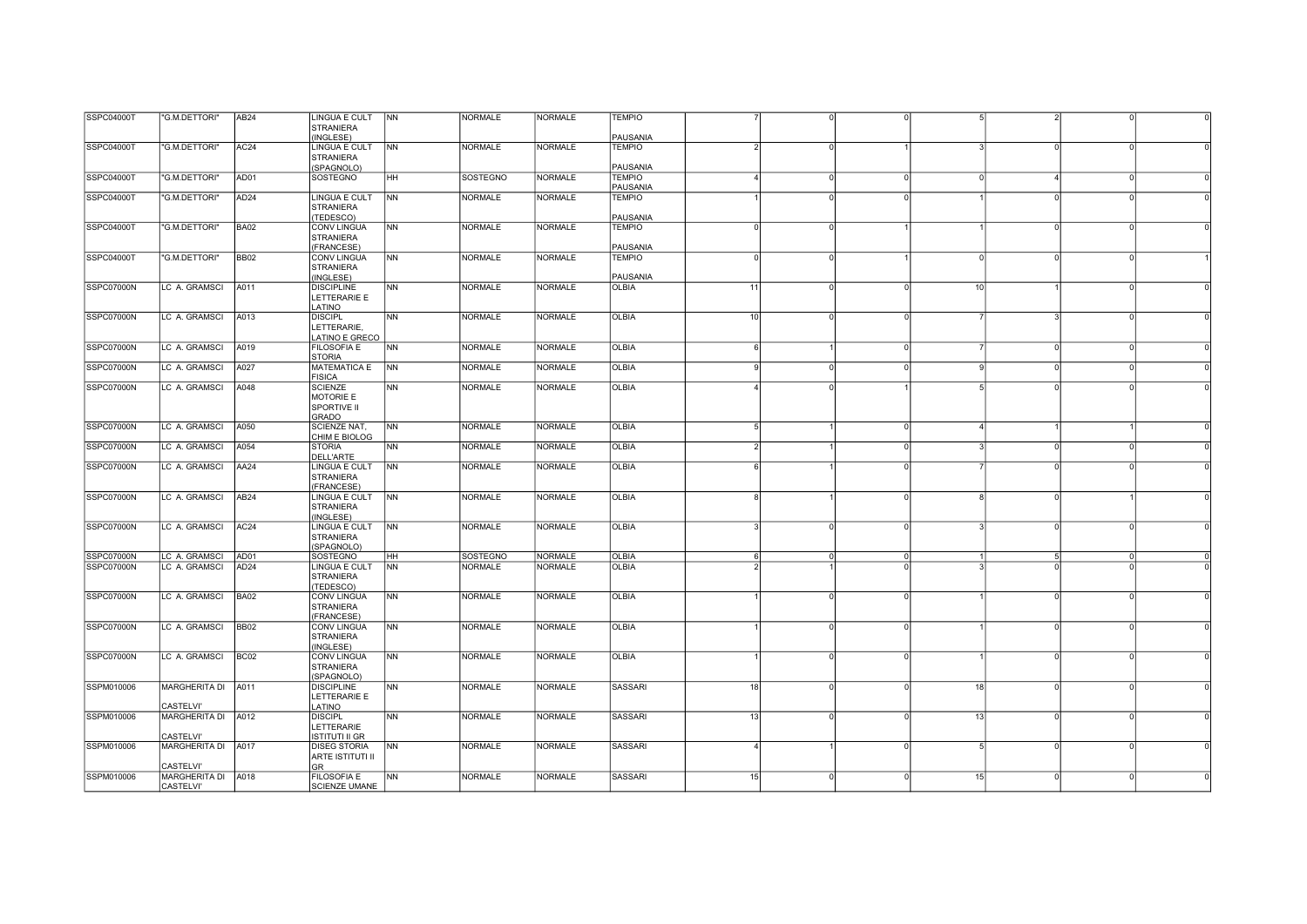| SSPC04000T        | "G.M.DETTORI"                          | AB <sub>24</sub> | <b>LINGUA E CULT</b>                            | <b>NN</b>      | <b>NORMALE</b> | <b>NORMALE</b> | <b>TEMPIO</b>             |                       |          |          |    |                |          |  |
|-------------------|----------------------------------------|------------------|-------------------------------------------------|----------------|----------------|----------------|---------------------------|-----------------------|----------|----------|----|----------------|----------|--|
|                   |                                        |                  | <b>STRANIERA</b><br>(INGLESE)                   |                |                |                | PAUSANIA                  |                       |          |          |    |                |          |  |
| SSPC04000T        | "G.M.DETTORI"                          | AC <sub>24</sub> | <b>LINGUA E CULT</b><br><b>STRANIERA</b>        | <b>NN</b>      | <b>NORMALE</b> | <b>NORMALE</b> | <b>TEMPIO</b>             |                       |          |          |    | $\Omega$       |          |  |
|                   |                                        |                  | (SPAGNOLO)                                      |                |                |                | PAUSANIA                  |                       |          |          |    |                |          |  |
| SSPC04000T        | "G.M.DETTORI"                          | AD01             | <b>SOSTEGNO</b>                                 | <b>IHH</b>     | SOSTEGNO       | <b>NORMALE</b> | <b>TEMPIO</b><br>PAUSANIA |                       |          |          |    |                |          |  |
| SSPC04000T        | "G.M.DETTORI"                          | AD <sub>24</sub> | <b>LINGUA E CULT</b><br><b>STRANIERA</b>        | <b>NN</b>      | <b>NORMALE</b> | <b>NORMALE</b> | <b>TEMPIO</b>             |                       |          | O        |    | $\Omega$       |          |  |
|                   |                                        |                  | (TEDESCO)                                       |                |                |                | PAUSANIA                  |                       |          |          |    |                |          |  |
| SSPC04000T        | "G.M.DETTORI"                          | <b>BA02</b>      | <b>CONV LINGUA</b><br><b>STRANIERA</b>          | N <sub>N</sub> | <b>NORMALE</b> | <b>NORMALE</b> | <b>TEMPIO</b>             |                       |          |          |    | $\Omega$       |          |  |
|                   |                                        |                  | (FRANCESE)                                      |                |                |                | PAUSANIA                  |                       |          |          |    |                |          |  |
| SSPC04000T        | "G.M.DETTORI"                          | <b>BB02</b>      | <b>CONV LINGUA</b><br><b>STRANIERA</b>          | <b>NN</b>      | <b>NORMALE</b> | <b>NORMALE</b> | <b>TEMPIO</b>             |                       |          |          |    | $\Omega$       |          |  |
|                   |                                        |                  | (INGLESE)                                       |                |                |                | PAUSANIA                  |                       |          |          |    |                |          |  |
| SSPC07000N        | LC A. GRAMSCI                          | A011             | <b>DISCIPLINE</b><br>LETTERARIE E<br>LATINO     | <b>NN</b>      | <b>NORMALE</b> | <b>NORMALE</b> | <b>OLBIA</b>              | 11                    |          |          | 10 |                |          |  |
| SSPC07000N        | LC A. GRAMSCI                          | A013             | <b>DISCIPL</b>                                  | <b>NN</b>      | <b>NORMALE</b> | <b>NORMALE</b> | <b>OLBIA</b>              | 10                    | O        |          |    |                |          |  |
|                   |                                        |                  | LETTERARIE,<br>LATINO E GRECO                   |                |                |                |                           |                       |          |          |    |                |          |  |
| SSPC07000N        | LC A. GRAMSCI                          | A019             | <b>FILOSOFIA E</b><br><b>STORIA</b>             | <b>NN</b>      | <b>NORMALE</b> | NORMALE        | <b>OLBIA</b>              | 6                     |          | U        |    | $\Omega$       |          |  |
| SSPC07000N        | LC A. GRAMSCI                          | A027             | <b>MATEMATICA E</b><br><b>FISICA</b>            | N <sub>N</sub> | <b>NORMALE</b> | <b>NORMALE</b> | <b>OLBIA</b>              |                       | n        | 0        |    | $\circ$        |          |  |
| SSPC07000N        | LC A. GRAMSCI                          | A048             | <b>SCIENZE</b>                                  | <b>NN</b>      | <b>NORMALE</b> | <b>NORMALE</b> | <b>OLBIA</b>              |                       |          |          |    |                |          |  |
|                   |                                        |                  | MOTORIE E<br>SPORTIVE II                        |                |                |                |                           |                       |          |          |    |                |          |  |
| SSPC07000N        | LC A. GRAMSCI                          | A050             | <b>GRADO</b><br>SCIENZE NAT,                    | <b>NN</b>      | <b>NORMALE</b> | <b>NORMALE</b> | <b>OLBIA</b>              | 5                     |          | $\Omega$ |    |                |          |  |
| SSPC07000N        | LC A. GRAMSCI                          | A054             | CHIM E BIOLOG<br><b>STORIA</b>                  | <b>NN</b>      | <b>NORMALE</b> | <b>NORMALE</b> | <b>OLBIA</b>              |                       |          |          |    | $\cap$         |          |  |
| SSPC07000N        | LC A. GRAMSCI                          | AA24             | DELL'ARTE<br>LINGUA E CULT                      | <b>NN</b>      | <b>NORMALE</b> | <b>NORMALE</b> | <b>OLBIA</b>              |                       |          |          |    | $\Omega$       |          |  |
|                   |                                        |                  | <b>STRANIERA</b><br>(FRANCESE)                  |                |                |                |                           |                       |          |          |    |                |          |  |
| SSPC07000N        | LC A. GRAMSCI                          | AB <sub>24</sub> | LINGUA E CULT<br><b>STRANIERA</b>               | N <sub>N</sub> | <b>NORMALE</b> | <b>NORMALE</b> | <b>OLBIA</b>              |                       |          |          |    |                |          |  |
|                   |                                        |                  | (INGLESE)                                       |                |                |                |                           |                       |          |          |    |                |          |  |
| <b>SSPC07000N</b> | LC A. GRAMSCI                          | AC24             | LINGUA E CULT<br><b>STRANIERA</b><br>(SPAGNOLO) | <b>NN</b>      | <b>NORMALE</b> | <b>NORMALE</b> | <b>OLBIA</b>              |                       |          |          |    | $\Omega$       |          |  |
| SSPC07000N        | LC A. GRAMSCI                          | AD01             | SOSTEGNO                                        | HH             | SOSTEGNO       | NORMALE        | <b>OLBIA</b>              | 6                     | $\Omega$ | $\Omega$ |    | 5 <sub>1</sub> | $\Omega$ |  |
| SSPC07000N        | LC A. GRAMSCI                          | AD <sub>24</sub> | <b>LINGUA E CULT</b>                            | <b>NN</b>      | <b>NORMALE</b> | <b>NORMALE</b> | <b>OLBIA</b>              |                       |          | n        |    |                |          |  |
|                   |                                        |                  | <b>STRANIERA</b><br>(TEDESCO)                   |                |                |                |                           |                       |          |          |    |                |          |  |
| SSPC07000N        | LC A. GRAMSCI                          | <b>BA02</b>      | <b>CONV LINGUA</b><br><b>STRANIERA</b>          | <b>NN</b>      | <b>NORMALE</b> | <b>NORMALE</b> | <b>OLBIA</b>              |                       |          | $\Omega$ |    | $\Omega$       |          |  |
|                   |                                        |                  | (FRANCESE)                                      |                |                |                |                           |                       |          |          |    |                |          |  |
| SSPC07000N        | LC A. GRAMSCI                          | <b>BB02</b>      | <b>CONV LINGUA</b><br><b>STRANIERA</b>          | <b>NN</b>      | <b>NORMALE</b> | <b>NORMALE</b> | <b>OLBIA</b>              |                       |          | $\Omega$ |    | $\Omega$       |          |  |
| SSPC07000N        | LC A. GRAMSCI                          | BC02             | (INGLESE)<br><b>CONV LINGUA</b>                 | <b>NN</b>      | <b>NORMALE</b> | <b>NORMALE</b> | <b>OLBIA</b>              |                       |          |          |    | $\Omega$       |          |  |
|                   |                                        |                  | <b>STRANIERA</b><br>(SPAGNOLO)                  |                |                |                |                           |                       |          |          |    |                |          |  |
| SSPM010006        | <b>MARGHERITA DI</b>                   | A011             | <b>DISCIPLINE</b>                               | <b>NN</b>      | <b>NORMALE</b> | <b>NORMALE</b> | <b>SASSARI</b>            | 18                    |          |          | 18 | $\Omega$       |          |  |
|                   | <b>CASTELVI'</b>                       |                  | LETTERARIE E<br>LATINO                          |                |                |                |                           |                       |          |          |    |                |          |  |
| SSPM010006        | MARGHERITA DI A012                     |                  | <b>DISCIPL</b><br>LETTERARIE                    | <b>NN</b>      | <b>NORMALE</b> | <b>NORMALE</b> | <b>SASSARI</b>            | 13                    |          |          | 13 |                |          |  |
|                   | <b>CASTELVI'</b>                       |                  | <b>ISTITUTI II GR</b>                           |                |                |                |                           |                       |          |          |    |                |          |  |
| SSPM010006        | MARGHERITA DI A017                     |                  | <b>DISEG STORIA</b><br><b>ARTE ISTITUTI II</b>  | <b>NN</b>      | <b>NORMALE</b> | <b>NORMALE</b> | <b>SASSARI</b>            | $\boldsymbol{\Delta}$ |          |          |    | $\Omega$       |          |  |
|                   | <b>CASTELVI'</b>                       |                  | <b>GR</b>                                       |                |                |                |                           |                       |          |          |    |                |          |  |
| SSPM010006        | MARGHERITA DI A018<br><b>CASTELVI'</b> |                  | FILOSOFIA E<br>SCIENZE UMANE                    | <b>NN</b>      | <b>NORMALE</b> | <b>NORMALE</b> | <b>SASSARI</b>            | 15                    |          |          | 15 | $\Omega$       |          |  |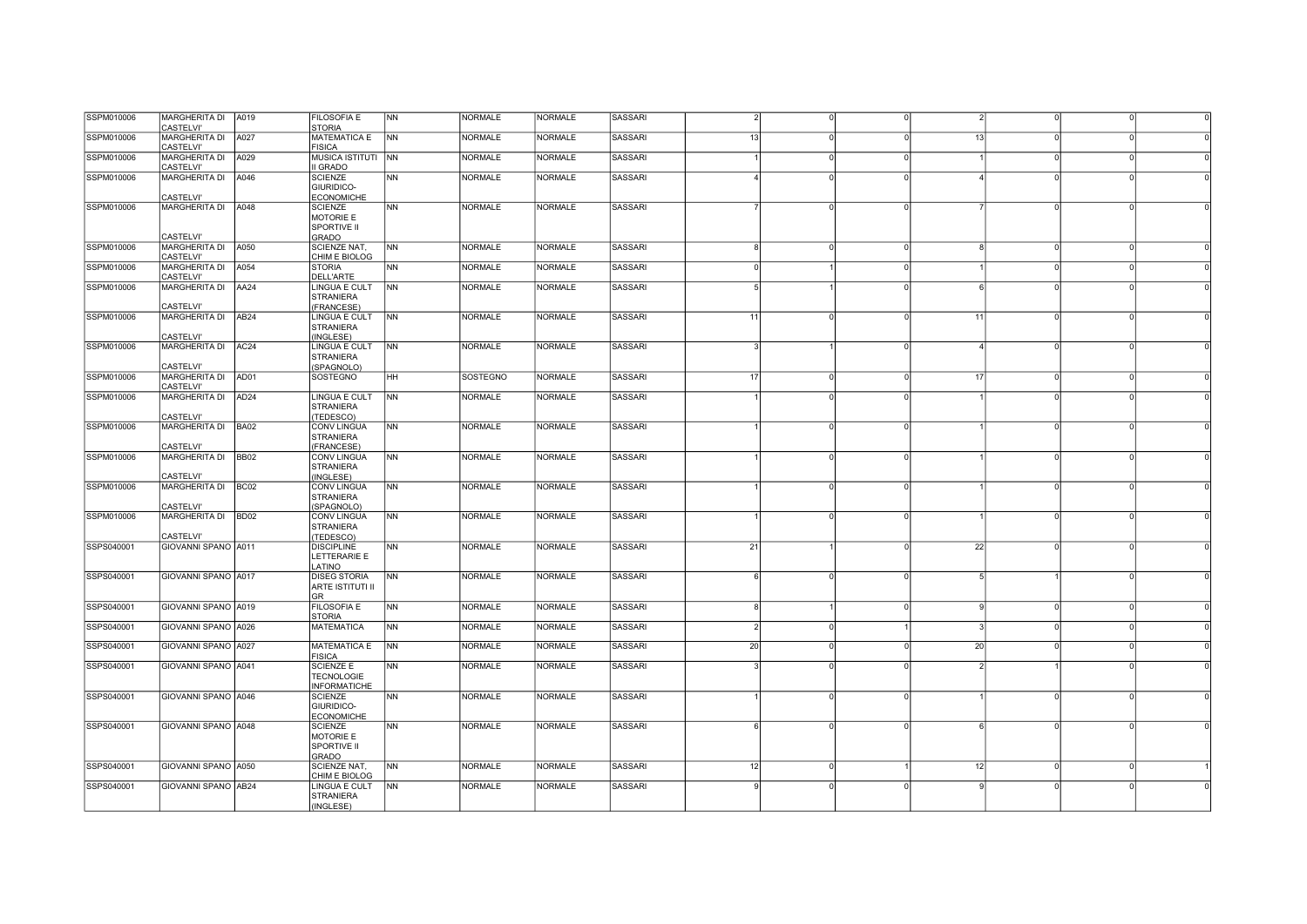| SSPM010006<br>SSPM010006<br>SSPM010006 | MARGHERITA DI A019<br><b>CASTELVI'</b><br><b>MARGHERITA DI</b><br>CASTELVI' | A027             | <b>FILOSOFIA E</b><br><b>STORIA</b><br><b>MATEMATICA E</b>        | <b>NN</b> | <b>NORMALE</b>  | <b>NORMALE</b> | SASSARI        |               |              |          |    |          |  |
|----------------------------------------|-----------------------------------------------------------------------------|------------------|-------------------------------------------------------------------|-----------|-----------------|----------------|----------------|---------------|--------------|----------|----|----------|--|
|                                        |                                                                             |                  |                                                                   |           |                 |                |                |               |              |          |    |          |  |
|                                        |                                                                             |                  | <b>FISICA</b>                                                     | <b>NN</b> | <b>NORMALE</b>  | <b>NORMALE</b> | <b>SASSARI</b> | 13            |              | U        | 13 | $\Omega$ |  |
|                                        | MARGHERITA DI   A029<br>CASTELVI'                                           |                  | MUSICA ISTITUTI   NN<br>II GRADO                                  |           | <b>NORMALE</b>  | <b>NORMALE</b> | SASSARI        |               | <sup>0</sup> | $\Omega$ |    | $\Omega$ |  |
| SSPM010006                             | <b>MARGHERITA DI</b><br><b>CASTELVI'</b>                                    | A046             | <b>SCIENZE</b><br>GIURIDICO-<br><b>ECONOMICHE</b>                 | <b>NN</b> | <b>NORMALE</b>  | <b>NORMALE</b> | <b>SASSARI</b> |               |              |          |    |          |  |
| SSPM010006                             | MARGHERITA DI A048<br><b>CASTELVI'</b>                                      |                  | <b>SCIENZE</b><br>MOTORIE E<br>SPORTIVE II<br><b>GRADO</b>        | <b>NN</b> | <b>NORMALE</b>  | <b>NORMALE</b> | <b>SASSARI</b> |               |              |          |    |          |  |
| SSPM010006                             | MARGHERITA DI A050<br><b>CASTELVI'</b>                                      |                  | SCIENZE NAT,<br>CHIM E BIOLOG                                     | <b>NN</b> | <b>NORMALE</b>  | <b>NORMALE</b> | SASSARI        |               | O            | $\Omega$ |    | $\Omega$ |  |
| SSPM010006                             | MARGHERITA DI<br><b>CASTELVI'</b>                                           | A054             | <b>STORIA</b><br>DELL'ARTE                                        | <b>NN</b> | <b>NORMALE</b>  | <b>NORMALE</b> | <b>SASSARI</b> |               |              |          |    | $\Omega$ |  |
| SSPM010006                             | MARGHERITA DI<br><b>CASTELVI'</b>                                           | AA24             | LINGUA E CULT<br><b>STRANIERA</b><br>(FRANCESE)                   | NN        | <b>NORMALE</b>  | <b>NORMALE</b> | <b>SASSARI</b> |               |              |          |    | $\Omega$ |  |
| SSPM010006                             | <b>MARGHERITA DI</b><br><b>CASTELVI'</b>                                    | AB <sub>24</sub> | <b>LINGUA E CULT</b><br><b>STRANIERA</b><br>INGLESE)              | <b>NN</b> | <b>NORMALE</b>  | <b>NORMALE</b> | <b>SASSARI</b> | 11            | $\Omega$     | $\Omega$ | 11 | $\Omega$ |  |
| SSPM010006                             | MARGHERITA DI<br><b>CASTELVI'</b>                                           | AC <sub>24</sub> | LINGUA E CULT<br><b>STRANIERA</b><br>(SPAGNOLO)                   | <b>NN</b> | <b>NORMALE</b>  | <b>NORMALE</b> | <b>SASSARI</b> |               |              |          |    | $\Omega$ |  |
| SSPM010006                             | MARGHERITA DI AD01<br><b>CASTELVI'</b>                                      |                  | <b>SOSTEGNO</b>                                                   | HH        | <b>SOSTEGNO</b> | <b>NORMALE</b> | <b>SASSARI</b> | 17            |              | $\Omega$ | 17 | $\Omega$ |  |
| SSPM010006                             | MARGHERITA DI AD24<br><b>CASTELVI'</b>                                      |                  | <b>LINGUA E CULT</b><br><b>STRANIERA</b><br>(TEDESCO)             | <b>NN</b> | <b>NORMALE</b>  | <b>NORMALE</b> | <b>SASSARI</b> |               |              | U        |    | $\Omega$ |  |
| SSPM010006                             | MARGHERITA DI BA02<br><b>CASTELVI'</b>                                      |                  | <b>CONV LINGUA</b><br><b>STRANIERA</b><br>(FRANCESE)              | <b>NN</b> | <b>NORMALE</b>  | <b>NORMALE</b> | SASSARI        |               |              |          |    | $\Omega$ |  |
| SSPM010006                             | MARGHERITA DI BB02<br><b>CASTELVI'</b>                                      |                  | <b>CONV LINGUA</b><br><b>STRANIERA</b><br>(INGLESE)               | <b>NN</b> | <b>NORMALE</b>  | <b>NORMALE</b> | <b>SASSARI</b> |               | $\Omega$     | $\Omega$ |    | $\Omega$ |  |
| SSPM010006                             | MARGHERITA DI<br>CASTELVI'                                                  | BC <sub>02</sub> | <b>CONV LINGUA</b><br><b>STRANIERA</b><br>(SPAGNOLO)              | <b>NN</b> | <b>NORMALE</b>  | <b>NORMALE</b> | <b>SASSARI</b> |               | O            | $\Omega$ |    | $\circ$  |  |
| SSPM010006                             | MARGHERITA DI<br>CASTELVI'                                                  | BD <sub>02</sub> | <b>CONV LINGUA</b><br><b>STRANIERA</b><br>(TEDESCO)               | <b>NN</b> | <b>NORMALE</b>  | <b>NORMALE</b> | <b>SASSARI</b> |               |              |          |    |          |  |
| SSPS040001                             | GIOVANNI SPANO A011                                                         |                  | <b>DISCIPLINE</b><br>LETTERARIE E<br>LATINO                       | <b>NN</b> | <b>NORMALE</b>  | <b>NORMALE</b> | <b>SASSARI</b> | 21            |              | $\Omega$ | 22 | $\Omega$ |  |
| SSPS040001                             | GIOVANNI SPANO A017                                                         |                  | <b>DISEG STORIA</b><br><b>ARTE ISTITUTI II</b><br><b>GR</b>       | <b>NN</b> | <b>NORMALE</b>  | <b>NORMALE</b> | <b>SASSARI</b> | 6             | O            | $\Omega$ |    |          |  |
| SSPS040001                             | GIOVANNI SPANO A019                                                         |                  | <b>FILOSOFIA E</b><br><b>STORIA</b>                               | <b>NN</b> | <b>NORMALE</b>  | <b>NORMALE</b> | SASSARI        |               |              |          |    | $\Omega$ |  |
| SSPS040001                             | GIOVANNI SPANO A026                                                         |                  | <b>MATEMATICA</b>                                                 | <b>NN</b> | <b>NORMALE</b>  | <b>NORMALE</b> | <b>SASSARI</b> | $\mathcal{P}$ | $\Omega$     |          |    | $\circ$  |  |
| SSPS040001                             | GIOVANNI SPANO A027                                                         |                  | <b>MATEMATICA E</b><br><b>FISICA</b>                              | <b>NN</b> | NORMALE         | <b>NORMALE</b> | SASSARI        | 20            | O            | $\Omega$ | 20 | $\circ$  |  |
| SSPS040001                             | GIOVANNI SPANO A041                                                         |                  | <b>SCIENZE E</b><br><b>TECNOLOGIE</b><br><b>INFORMATICHE</b>      | <b>NN</b> | <b>NORMALE</b>  | <b>NORMALE</b> | SASSARI        |               |              |          |    |          |  |
| SSPS040001                             | GIOVANNI SPANO A046                                                         |                  | <b>SCIENZE</b><br>GIURIDICO-<br><b>ECONOMICHE</b>                 | <b>NN</b> | <b>NORMALE</b>  | <b>NORMALE</b> | <b>SASSARI</b> |               |              |          |    |          |  |
| SSPS040001                             | GIOVANNI SPANO A048                                                         |                  | <b>SCIENZE</b><br>MOTORIE E<br><b>SPORTIVE II</b><br><b>GRADO</b> | <b>NN</b> | <b>NORMALE</b>  | <b>NORMALE</b> | <b>SASSARI</b> |               |              |          |    |          |  |
| SSPS040001                             | GIOVANNI SPANO A050                                                         |                  | SCIENZE NAT,<br>CHIM E BIOLOG                                     | <b>NN</b> | <b>NORMALE</b>  | <b>NORMALE</b> | <b>SASSARI</b> | 12            |              |          | 12 | $\Omega$ |  |
| SSPS040001                             | GIOVANNI SPANO AB24                                                         |                  | <b>LINGUA E CULT</b><br><b>STRANIERA</b><br>(INGLESE)             | <b>NN</b> | <b>NORMALE</b>  | <b>NORMALE</b> | SASSARI        |               |              |          |    |          |  |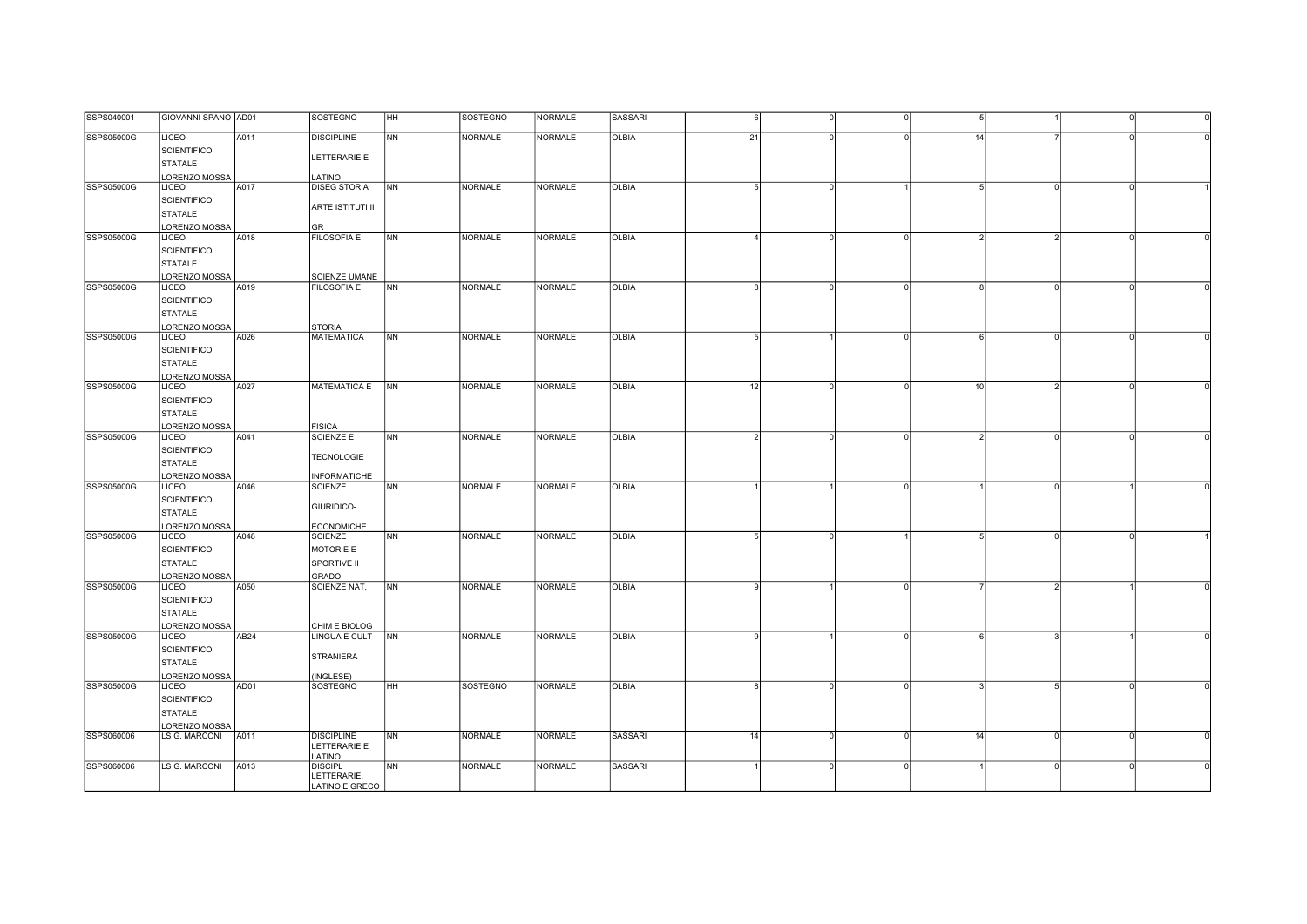| SSPS040001 | GIOVANNI SPANO AD01           |      | <b>SOSTEGNO</b>                       | <b>HH</b>      | <b>SOSTEGNO</b> | <b>NORMALE</b> | <b>SASSARI</b> |    |          |          |                |  |
|------------|-------------------------------|------|---------------------------------------|----------------|-----------------|----------------|----------------|----|----------|----------|----------------|--|
| SSPS05000G | LICEO                         | A011 | <b>DISCIPLINE</b>                     | <b>NN</b>      | <b>NORMALE</b>  | <b>NORMALE</b> | OLBIA          | 21 |          | 14       |                |  |
|            | <b>SCIENTIFICO</b>            |      |                                       |                |                 |                |                |    |          |          |                |  |
|            | STATALE                       |      | LETTERARIE E                          |                |                 |                |                |    |          |          |                |  |
|            | LORENZO MOSSA                 |      | LATINO                                |                |                 |                |                |    |          |          |                |  |
| SSPS05000G | LICEO                         | A017 | <b>DISEG STORIA</b>                   | <b>NN</b>      | <b>NORMALE</b>  | <b>NORMALE</b> | <b>OLBIA</b>   | 5  |          |          | $\Omega$       |  |
|            | <b>SCIENTIFICO</b>            |      |                                       |                |                 |                |                |    |          |          |                |  |
|            | STATALE                       |      | ARTE ISTITUTI II                      |                |                 |                |                |    |          |          |                |  |
|            | LORENZO MOSSA                 |      | GR                                    |                |                 |                |                |    |          |          |                |  |
| SSPS05000G | LICEO                         | A018 | <b>FILOSOFIA E</b>                    | <b>NN</b>      | <b>NORMALE</b>  | <b>NORMALE</b> | <b>OLBIA</b>   |    |          | $\Omega$ | $\overline{2}$ |  |
|            | <b>SCIENTIFICO</b>            |      |                                       |                |                 |                |                |    |          |          |                |  |
|            | STATALE                       |      |                                       |                |                 |                |                |    |          |          |                |  |
|            | LORENZO MOSSA                 |      | SCIENZE UMANE                         |                |                 |                |                |    |          |          |                |  |
| SSPS05000G | <b>LICEO</b>                  | A019 | <b>FILOSOFIA E</b>                    | <b>NN</b>      | <b>NORMALE</b>  | <b>NORMALE</b> | <b>OLBIA</b>   |    |          | U        |                |  |
|            | <b>SCIENTIFICO</b>            |      |                                       |                |                 |                |                |    |          |          |                |  |
|            | STATALE                       |      |                                       |                |                 |                |                |    |          |          |                |  |
|            | LORENZO MOSSA                 |      | <b>STORIA</b>                         |                |                 |                |                |    |          |          |                |  |
| SSPS05000G | LICEO                         | A026 | <b>MATEMATICA</b>                     | <b>NN</b>      | <b>NORMALE</b>  | <b>NORMALE</b> | <b>OLBIA</b>   |    |          | O        | $\Omega$       |  |
|            | SCIENTIFICO                   |      |                                       |                |                 |                |                |    |          |          |                |  |
|            | STATALE                       |      |                                       |                |                 |                |                |    |          |          |                |  |
|            | LORENZO MOSSA                 |      |                                       |                |                 |                |                |    |          |          |                |  |
| SSPS05000G | LICEO                         | A027 | MATEMATICA E NN                       |                | <b>NORMALE</b>  | <b>NORMALE</b> | OLBIA          | 12 | $\Omega$ | 10<br>n  | $\mathcal{D}$  |  |
|            | <b>SCIENTIFICO</b>            |      |                                       |                |                 |                |                |    |          |          |                |  |
|            | STATALE                       |      |                                       |                |                 |                |                |    |          |          |                |  |
|            |                               |      |                                       |                |                 |                |                |    |          |          |                |  |
| SSPS05000G | LORENZO MOSSA<br><b>LICEO</b> | A041 | <b>FISICA</b><br><b>SCIENZE E</b>     | NN             | <b>NORMALE</b>  | NORMALE        | <b>OLBIA</b>   |    |          |          | $\Omega$       |  |
|            | <b>SCIENTIFICO</b>            |      |                                       |                |                 |                |                |    |          |          |                |  |
|            | STATALE                       |      | <b>TECNOLOGIE</b>                     |                |                 |                |                |    |          |          |                |  |
|            |                               |      |                                       |                |                 |                |                |    |          |          |                |  |
| SSPS05000G | LORENZO MOSSA<br><b>LICEO</b> | A046 | <b>INFORMATICHE</b><br><b>SCIENZE</b> | <b>NN</b>      | <b>NORMALE</b>  | <b>NORMALE</b> | <b>OLBIA</b>   |    |          |          |                |  |
|            | <b>SCIENTIFICO</b>            |      |                                       |                |                 |                |                |    |          |          |                |  |
|            | STATALE                       |      | GIURIDICO-                            |                |                 |                |                |    |          |          |                |  |
|            | LORENZO MOSSA                 |      | <b>ECONOMICHE</b>                     |                |                 |                |                |    |          |          |                |  |
| SSPS05000G | <b>LICEO</b>                  | A048 | <b>SCIENZE</b>                        | <b>NN</b>      | <b>NORMALE</b>  | <b>NORMALE</b> | <b>OLBIA</b>   |    |          |          |                |  |
|            | <b>SCIENTIFICO</b>            |      | MOTORIE E                             |                |                 |                |                |    |          |          |                |  |
|            | STATALE                       |      | <b>SPORTIVE II</b>                    |                |                 |                |                |    |          |          |                |  |
|            | LORENZO MOSSA                 |      | GRADO                                 |                |                 |                |                |    |          |          |                |  |
| SSPS05000G | <b>LICEO</b>                  | A050 | SCIENZE NAT,                          | NN             | <b>NORMALE</b>  | <b>NORMALE</b> | <b>OLBIA</b>   |    |          |          |                |  |
|            | <b>SCIENTIFICO</b>            |      |                                       |                |                 |                |                |    |          |          |                |  |
|            | STATALE                       |      |                                       |                |                 |                |                |    |          |          |                |  |
|            | LORENZO MOSSA                 |      | CHIM E BIOLOG                         |                |                 |                |                |    |          |          |                |  |
| SSPS05000G | LICEO                         | AB24 | LINGUA E CULT                         | <b>NN</b>      | <b>NORMALE</b>  | NORMALE        | <b>OLBIA</b>   |    |          |          |                |  |
|            | <b>SCIENTIFICO</b>            |      |                                       |                |                 |                |                |    |          |          |                |  |
|            | STATALE                       |      | <b>STRANIERA</b>                      |                |                 |                |                |    |          |          |                |  |
|            | LORENZO MOSSA                 |      | INGLESE)                              |                |                 |                |                |    |          |          |                |  |
| SSPS05000G | LICEO                         | AD01 | SOSTEGNO                              | HH             | SOSTEGNO        | <b>NORMALE</b> | OLBIA          |    |          |          | $\sqrt{2}$     |  |
|            | <b>SCIENTIFICO</b>            |      |                                       |                |                 |                |                |    |          |          |                |  |
|            | STATALE                       |      |                                       |                |                 |                |                |    |          |          |                |  |
|            | LORENZO MOSSA                 |      |                                       |                |                 |                |                |    |          |          |                |  |
| SSPS060006 | LS G. MARCONI                 | A011 | <b>DISCIPLINE</b>                     | N <sub>N</sub> | <b>NORMALE</b>  | <b>NORMALE</b> | SASSARI        | 14 | $\Omega$ | 14       | $\Omega$       |  |
|            |                               |      | LETTERARIE E                          |                |                 |                |                |    |          |          |                |  |
|            |                               |      | LATINO                                |                |                 |                |                |    |          |          |                |  |
| SSPS060006 | LS G. MARCONI                 | A013 | <b>DISCIPL</b><br>LETTERARIE,         | <b>NN</b>      | <b>NORMALE</b>  | <b>NORMALE</b> | SASSARI        |    |          | U        | $\Omega$       |  |
|            |                               |      | LATINO E GRECO                        |                |                 |                |                |    |          |          |                |  |
|            |                               |      |                                       |                |                 |                |                |    |          |          |                |  |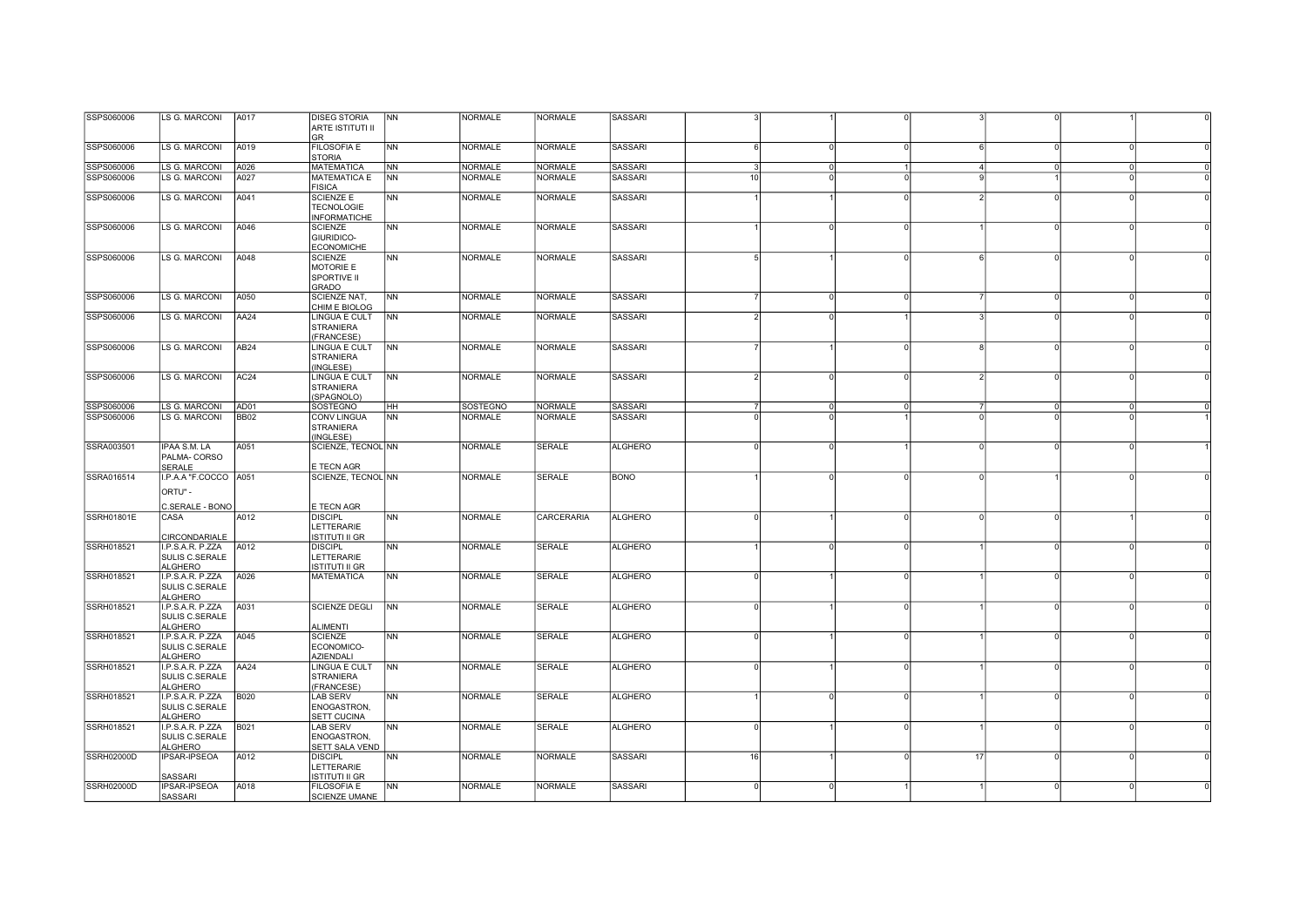| SSPS060006        | LS G. MARCONI                      | A017             | <b>DISEG STORIA</b>                    | N <sub>N</sub>         | <b>NORMALE</b> | <b>NORMALE</b>    | SASSARI        |                              |          |          |            |          |          |  |
|-------------------|------------------------------------|------------------|----------------------------------------|------------------------|----------------|-------------------|----------------|------------------------------|----------|----------|------------|----------|----------|--|
|                   |                                    |                  | ARTE ISTITUTI II                       |                        |                |                   |                |                              |          |          |            |          |          |  |
|                   |                                    |                  | <b>GR</b>                              |                        |                |                   |                |                              |          |          |            |          |          |  |
| SSPS060006        | <b>LS G. MARCONI</b>               | A019             | <b>FILOSOFIA E</b>                     | N <sub>N</sub>         | <b>NORMALE</b> | <b>NORMALE</b>    | <b>SASSARI</b> | $6 \mid$                     | U        | $\Omega$ | $\epsilon$ | $\Omega$ |          |  |
|                   |                                    |                  | <b>STORIA</b>                          |                        |                |                   |                |                              |          |          |            |          |          |  |
| SSPS060006        | <b>LS G. MARCONI</b>               | A026             | <b>MATEMATICA</b>                      | <b>NN</b><br><b>NN</b> | <b>NORMALE</b> | <b>NORMALE</b>    | <b>SASSARI</b> | $3 \cdot$<br>10 <sup>1</sup> | $\Omega$ |          | $\Delta$   | $\circ$  | $\Omega$ |  |
| SSPS060006        | LS G. MARCONI                      | A027             | <b>MATEMATICA E</b><br><b>FISICA</b>   |                        | <b>NORMALE</b> | <b>NORMALE</b>    | <b>SASSARI</b> |                              |          |          |            |          |          |  |
| SSPS060006        | <b>LS G. MARCONI</b>               | A041             | <b>SCIENZE E</b>                       | N <sub>N</sub>         | <b>NORMALE</b> | <b>NORMALE</b>    | <b>SASSARI</b> |                              |          |          |            |          |          |  |
|                   |                                    |                  | <b>TECNOLOGIE</b>                      |                        |                |                   |                |                              |          |          |            |          |          |  |
|                   |                                    |                  | <b>INFORMATICHE</b>                    |                        |                |                   |                |                              |          |          |            |          |          |  |
| SSPS060006        | LS G. MARCONI                      | A046             | <b>SCIENZE</b>                         | N <sub>N</sub>         | <b>NORMALE</b> | <b>NORMALE</b>    | SASSARI        |                              |          | $\Omega$ |            | $\Omega$ |          |  |
|                   |                                    |                  | <b>GIURIDICO-</b>                      |                        |                |                   |                |                              |          |          |            |          |          |  |
|                   |                                    |                  | <b>ECONOMICHE</b>                      |                        |                |                   |                |                              |          |          |            |          |          |  |
| SSPS060006        | LS G. MARCONI                      | A048             | <b>SCIENZE</b>                         | N <sub>N</sub>         | <b>NORMALE</b> | <b>NORMALE</b>    | SASSARI        | $5 \frac{1}{2}$              |          | $\Omega$ | ĥ          | $\Omega$ | $\Omega$ |  |
|                   |                                    |                  | MOTORIE E                              |                        |                |                   |                |                              |          |          |            |          |          |  |
|                   |                                    |                  | SPORTIVE II                            |                        |                |                   |                |                              |          |          |            |          |          |  |
|                   |                                    |                  | <b>GRADO</b>                           |                        |                |                   |                |                              |          |          |            |          |          |  |
| SSPS060006        | LS G. MARCONI                      | A050             | SCIENZE NAT,                           | <b>INN</b>             | <b>NORMALE</b> | <b>NORMALE</b>    | <b>SASSARI</b> |                              |          | $\Omega$ |            | $\Omega$ | $\Omega$ |  |
| SSPS060006        | <b>LS G. MARCONI</b>               | AA24             | CHIM E BIOLOG<br><b>LINGUA E CULT</b>  | <b>NN</b>              | <b>NORMALE</b> | <b>NORMALE</b>    | <b>SASSARI</b> |                              |          |          |            |          |          |  |
|                   |                                    |                  | <b>STRANIERA</b>                       |                        |                |                   |                |                              |          |          |            |          |          |  |
|                   |                                    |                  | (FRANCESE)                             |                        |                |                   |                |                              |          |          |            |          |          |  |
| SSPS060006        | <b>LS G. MARCONI</b>               | AB <sub>24</sub> | LINGUA E CULT                          | N <sub>N</sub>         | <b>NORMALE</b> | <b>NORMALE</b>    | <b>SASSARI</b> |                              |          | $\Omega$ |            | $\Omega$ |          |  |
|                   |                                    |                  | <b>STRANIERA</b>                       |                        |                |                   |                |                              |          |          |            |          |          |  |
|                   |                                    |                  | (INGLESE)                              |                        |                |                   |                |                              |          |          |            |          |          |  |
| SSPS060006        | LS G. MARCONI                      | AC24             | LINGUA E CULT                          | N <sub>N</sub>         | <b>NORMALE</b> | <b>NORMALE</b>    | SASSARI        | $\overline{2}$               |          |          |            | $\Omega$ |          |  |
|                   |                                    |                  | <b>STRANIERA</b>                       |                        |                |                   |                |                              |          |          |            |          |          |  |
|                   |                                    |                  | (SPAGNOLO)                             |                        |                |                   |                |                              |          |          |            |          |          |  |
| SSPS060006        | <b>LS G. MARCONI</b>               | AD01             | SOSTEGNO                               | HH                     | SOSTEGNO       | <b>NORMALE</b>    | SASSARI        | $\overline{7}$               | $\Omega$ | $\Omega$ |            | $\circ$  |          |  |
| SSPS060006        | <b>LS G. MARCONI</b>               | <b>BB02</b>      | <b>CONV LINGUA</b><br><b>STRANIERA</b> | <b>NN</b>              | <b>NORMALE</b> | <b>NORMALE</b>    | SASSARI        | $\Omega$                     | U        |          | $\Omega$   | $\Omega$ |          |  |
|                   |                                    |                  | (INGLESE)                              |                        |                |                   |                |                              |          |          |            |          |          |  |
| SSRA003501        | IPAA S.M. LA                       | A051             | SCIENZE, TECNOL NN                     |                        | <b>NORMALE</b> | <b>SERALE</b>     | <b>ALGHERO</b> | $\Omega$                     |          |          |            |          |          |  |
|                   | PALMA-CORSO                        |                  |                                        |                        |                |                   |                |                              |          |          |            |          |          |  |
|                   | SERALE                             |                  | E TECN AGR                             |                        |                |                   |                |                              |          |          |            |          |          |  |
| SSRA016514        | I.P.A.A "F.COCCO A051              |                  | SCIENZE, TECNOL NN                     |                        | <b>NORMALE</b> | <b>SERALE</b>     | <b>BONO</b>    |                              |          |          |            |          |          |  |
|                   | ORTU" -                            |                  |                                        |                        |                |                   |                |                              |          |          |            |          |          |  |
|                   |                                    |                  |                                        |                        |                |                   |                |                              |          |          |            |          |          |  |
|                   | C.SERALE - BONO                    |                  | E TECN AGR                             |                        |                |                   |                |                              |          |          |            |          |          |  |
| <b>SSRH01801E</b> | CASA                               | A012             | <b>DISCIPL</b><br>LETTERARIE           | NN                     | <b>NORMALE</b> | <b>CARCERARIA</b> | <b>ALGHERO</b> | $\Omega$                     |          | $\Omega$ |            |          |          |  |
|                   | CIRCONDARIALE                      |                  | ISTITUTI II GR                         |                        |                |                   |                |                              |          |          |            |          |          |  |
| SSRH018521        | I.P.S.A.R. P.ZZA                   | A012             | <b>DISCIPL</b>                         | N <sub>N</sub>         | <b>NORMALE</b> | SERALE            | <b>ALGHERO</b> |                              |          |          |            | $\Omega$ |          |  |
|                   | <b>SULIS C.SERALE</b>              |                  | LETTERARIE                             |                        |                |                   |                |                              |          |          |            |          |          |  |
|                   | <b>ALGHERO</b>                     |                  | ISTITUTI II GR                         |                        |                |                   |                |                              |          |          |            |          |          |  |
| SSRH018521        | I.P.S.A.R. P.ZZA                   | A026             | <b>MATEMATICA</b>                      | N <sub>N</sub>         | <b>NORMALE</b> | <b>SERALE</b>     | <b>ALGHERO</b> | $\Omega$                     |          |          |            | $\cap$   |          |  |
|                   | SULIS C.SERALE                     |                  |                                        |                        |                |                   |                |                              |          |          |            |          |          |  |
|                   | <b>ALGHERO</b>                     |                  |                                        |                        |                |                   |                |                              |          |          |            |          |          |  |
| SSRH018521        | I.P.S.A.R. P.ZZA                   | A031             | <b>SCIENZE DEGLI</b>                   | <b>NN</b>              | <b>NORMALE</b> | <b>SERALE</b>     | <b>ALGHERO</b> | $\Omega$                     |          | $\Omega$ |            | $\Omega$ |          |  |
|                   | SULIS C.SERALE                     |                  |                                        |                        |                |                   |                |                              |          |          |            |          |          |  |
| SSRH018521        | <b>ALGHERO</b><br>I.P.S.A.R. P.ZZA | A045             | <b>ALIMENTI</b><br><b>SCIENZE</b>      | NN                     | <b>NORMALE</b> | <b>SERALE</b>     | <b>ALGHERO</b> | $\Omega$                     |          |          |            | $\Omega$ |          |  |
|                   | SULIS C.SERALE                     |                  | ECONOMICO-                             |                        |                |                   |                |                              |          |          |            |          |          |  |
|                   | <b>ALGHERO</b>                     |                  | <b>AZIENDALI</b>                       |                        |                |                   |                |                              |          |          |            |          |          |  |
| SSRH018521        | I.P.S.A.R. P.ZZA                   | AA24             | <b>LINGUA E CULT</b>                   | <b>NN</b>              | <b>NORMALE</b> | <b>SERALE</b>     | <b>ALGHERO</b> | $\Omega$                     |          | $\Omega$ |            | $\Omega$ |          |  |
|                   | SULIS C.SERALE                     |                  | <b>STRANIERA</b>                       |                        |                |                   |                |                              |          |          |            |          |          |  |
|                   | <b>ALGHERO</b>                     |                  | (FRANCESE)                             |                        |                |                   |                |                              |          |          |            |          |          |  |
| SSRH018521        | I.P.S.A.R. P.ZZA                   | <b>B020</b>      | LAB SERV                               | N <sub>N</sub>         | <b>NORMALE</b> | <b>SERALE</b>     | <b>ALGHERO</b> |                              |          |          |            |          |          |  |
|                   | SULIS C.SERALE                     |                  | ENOGASTRON,                            |                        |                |                   |                |                              |          |          |            |          |          |  |
|                   | <b>ALGHERO</b>                     |                  | SETT CUCINA                            |                        |                |                   |                |                              |          |          |            |          |          |  |
| SSRH018521        | I.P.S.A.R. P.ZZA<br>SULIS C.SERALE | B021             | LAB SERV<br><b>ENOGASTRON,</b>         | N <sub>N</sub>         | <b>NORMALE</b> | <b>SERALE</b>     | <b>ALGHERO</b> | $\Omega$                     |          |          |            |          |          |  |
|                   | <b>ALGHERO</b>                     |                  | SETT SALA VEND                         |                        |                |                   |                |                              |          |          |            |          |          |  |
| <b>SSRH02000D</b> | IPSAR-IPSEOA                       | A012             | <b>DISCIPL</b>                         | N <sub>N</sub>         | <b>NORMALE</b> | <b>NORMALE</b>    | SASSARI        | 16                           |          |          | 17         | $\Omega$ |          |  |
|                   |                                    |                  | LETTERARIE                             |                        |                |                   |                |                              |          |          |            |          |          |  |
|                   | SASSARI                            |                  | ISTITUTI II GR                         |                        |                |                   |                |                              |          |          |            |          |          |  |
| <b>SSRH02000D</b> | IPSAR-IPSEOA                       | A018             | <b>FILOSOFIA E</b>                     | <b>NN</b>              | <b>NORMALE</b> | <b>NORMALE</b>    | SASSARI        | $\Omega$                     |          |          |            | $\Omega$ |          |  |
|                   | SASSARI                            |                  | <b>SCIENZE UMANE</b>                   |                        |                |                   |                |                              |          |          |            |          |          |  |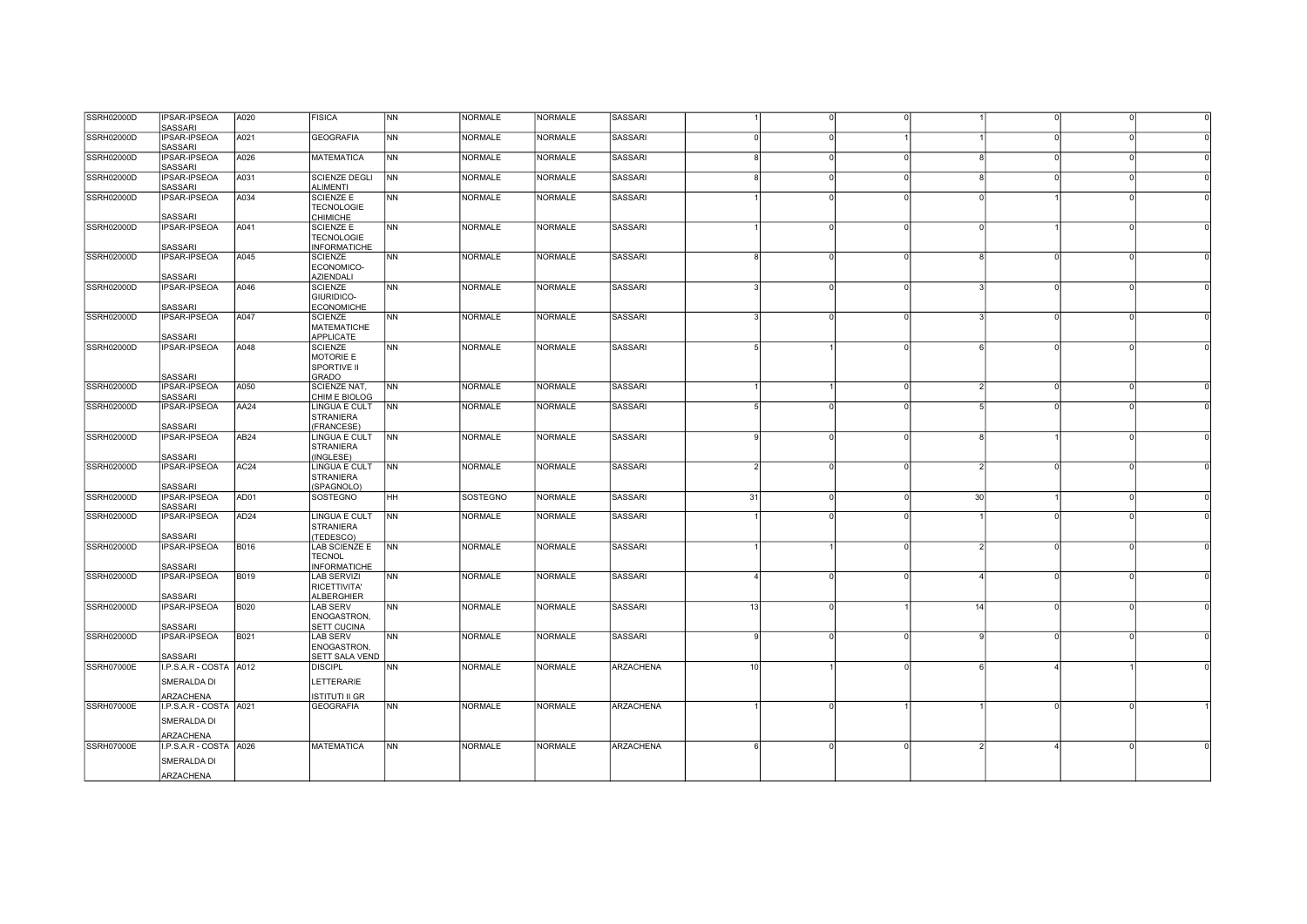| <b>SSRH02000D</b> | <b>IPSAR-IPSEOA</b><br><b>SASSARI</b> | A020             | <b>FISICA</b>                         | NN             | <b>NORMALE</b>  | <b>NORMALE</b> | SASSARI          |    |          |          |    |                        |          |  |
|-------------------|---------------------------------------|------------------|---------------------------------------|----------------|-----------------|----------------|------------------|----|----------|----------|----|------------------------|----------|--|
| <b>SSRH02000D</b> | IPSAR-IPSEOA<br>SASSARI               | A021             | <b>GEOGRAFIA</b>                      | <b>INN</b>     | <b>NORMALE</b>  | <b>NORMALE</b> | <b>SASSARI</b>   |    | $\Omega$ |          |    |                        | $\Omega$ |  |
| <b>SSRH02000D</b> | IPSAR-IPSEOA                          | A026             | <b>MATEMATICA</b>                     | INN.           | <b>NORMALE</b>  | <b>NORMALE</b> | <b>SASSARI</b>   |    | $\Omega$ | $\Omega$ |    | $\Omega$               |          |  |
| <b>SSRH02000D</b> | <b>SASSARI</b><br><b>IPSAR-IPSEOA</b> | A031             | <b>SCIENZE DEGLI</b>                  | <b>NN</b>      | <b>NORMALE</b>  | <b>NORMALE</b> | <b>SASSARI</b>   |    | $\Omega$ | $\Omega$ |    | $\Omega$               |          |  |
| <b>SSRH02000D</b> | SASSARI<br><b>IPSAR-IPSEOA</b>        | A034             | <b>ALIMENTI</b><br><b>SCIENZE E</b>   | N <sub>N</sub> | <b>NORMALE</b>  | <b>NORMALE</b> | <b>SASSARI</b>   |    |          |          |    |                        |          |  |
|                   |                                       |                  | <b>TECNOLOGIE</b>                     |                |                 |                |                  |    |          |          |    |                        |          |  |
|                   | <b>SASSARI</b>                        |                  | CHIMICHE                              |                |                 |                |                  |    |          |          |    |                        |          |  |
| SSRH02000D        | <b>IPSAR-IPSEOA</b>                   | A041             | <b>SCIENZE E</b><br><b>TECNOLOGIE</b> | INN.           | NORMALE         | <b>NORMALE</b> | <b>SASSARI</b>   |    | $\Omega$ | $\Omega$ |    |                        |          |  |
|                   | <b>SASSARI</b>                        |                  | <b>INFORMATICHE</b>                   |                |                 |                |                  |    |          |          |    |                        |          |  |
| <b>SSRH02000D</b> | IPSAR-IPSEOA                          | A045             | <b>SCIENZE</b><br>ECONOMICO-          | <b>NN</b>      | <b>NORMALE</b>  | <b>NORMALE</b> | <b>SASSARI</b>   |    |          |          |    | $\Omega$               |          |  |
| <b>SSRH02000D</b> | <b>SASSARI</b><br><b>IPSAR-IPSEOA</b> | A046             | <b>AZIENDALI</b><br>SCIENZE           | N <sub>N</sub> | <b>NORMALE</b>  | <b>NORMALE</b> | <b>SASSARI</b>   |    | $\Omega$ |          |    | $\Omega$               |          |  |
|                   |                                       |                  | GIURIDICO-                            |                |                 |                |                  |    |          |          |    |                        |          |  |
|                   | <b>SASSARI</b>                        |                  | <b>ECONOMICHE</b>                     |                |                 |                |                  |    |          |          |    |                        |          |  |
| <b>SSRH02000D</b> | IPSAR-IPSEOA                          | A047             | <b>SCIENZE</b>                        | <b>NN</b>      | <b>NORMALE</b>  | <b>NORMALE</b> | <b>SASSARI</b>   |    |          |          |    |                        |          |  |
|                   | <b>SASSARI</b>                        |                  | <b>MATEMATICHE</b><br>APPLICATE       |                |                 |                |                  |    |          |          |    |                        |          |  |
| <b>SSRH02000D</b> | <b>IPSAR-IPSEOA</b>                   | A048             | <b>SCIENZE</b>                        | <b>NN</b>      | <b>NORMALE</b>  | <b>NORMALE</b> | <b>SASSARI</b>   |    |          | $\Omega$ |    | $\Omega$               |          |  |
|                   |                                       |                  | MOTORIE E                             |                |                 |                |                  |    |          |          |    |                        |          |  |
|                   |                                       |                  | <b>SPORTIVE II</b>                    |                |                 |                |                  |    |          |          |    |                        |          |  |
|                   | <b>SASSARI</b>                        |                  | GRADO                                 |                |                 |                |                  |    |          |          |    |                        |          |  |
| <b>SSRH02000D</b> | IPSAR-IPSEOA                          | A050             | SCIENZE NAT,                          | <b>NN</b>      | <b>NORMALE</b>  | <b>NORMALE</b> | <b>SASSARI</b>   |    |          | $\Omega$ |    | $\overline{0}$         | $\Omega$ |  |
|                   | SASSARI                               |                  | CHIM E BIOLOG                         |                |                 |                |                  |    |          |          |    |                        |          |  |
| <b>SSRH02000D</b> | <b>IPSAR-IPSEOA</b>                   | AA24             | LINGUA E CULT<br><b>STRANIERA</b>     | <b>NN</b>      | <b>NORMALE</b>  | <b>NORMALE</b> | <b>SASSARI</b>   |    |          |          |    |                        |          |  |
|                   | SASSARI                               |                  | (FRANCESE)                            |                |                 |                |                  |    |          |          |    |                        |          |  |
| <b>SSRH02000D</b> | <b>IPSAR-IPSEOA</b>                   | AB24             | LINGUA E CULT                         | N <sub>N</sub> | <b>NORMALE</b>  | <b>NORMALE</b> | <b>SASSARI</b>   |    | $\Omega$ | n        |    |                        |          |  |
|                   | <b>SASSARI</b>                        |                  | <b>STRANIERA</b><br>(INGLESE)         |                |                 |                |                  |    |          |          |    |                        |          |  |
| <b>SSRH02000D</b> | <b>IPSAR-IPSEOA</b>                   | AC <sub>24</sub> | LINGUA E CULT                         | <b>NN</b>      | <b>NORMALE</b>  | <b>NORMALE</b> | <b>SASSARI</b>   |    | $\Omega$ |          |    | $\Omega$               |          |  |
|                   |                                       |                  | <b>STRANIERA</b>                      |                |                 |                |                  |    |          |          |    |                        |          |  |
|                   | <b>SASSARI</b>                        |                  | (SPAGNOLO)                            |                |                 |                |                  |    | $\Omega$ |          |    |                        |          |  |
| <b>SSRH02000D</b> | IPSAR-IPSEOA<br><b>SASSARI</b>        | AD01             | <b>SOSTEGNO</b>                       | HH             | <b>SOSTEGNO</b> | <b>NORMALE</b> | <b>SASSARI</b>   | 31 |          |          | 30 |                        |          |  |
| <b>SSRH02000D</b> | IPSAR-IPSEOA                          | AD <sub>24</sub> | LINGUA E CULT                         | <b>NN</b>      | <b>NORMALE</b>  | <b>NORMALE</b> | <b>SASSARI</b>   |    |          |          |    |                        |          |  |
|                   | SASSARI                               |                  | <b>STRANIERA</b><br>(TEDESCO)         |                |                 |                |                  |    |          |          |    |                        |          |  |
| <b>SSRH02000D</b> | <b>IPSAR-IPSEOA</b>                   | <b>B016</b>      | LAB SCIENZE E                         | N <sub>N</sub> | <b>NORMALE</b>  | <b>NORMALE</b> | <b>SASSARI</b>   |    |          |          |    | $\Omega$               |          |  |
|                   |                                       |                  | <b>TECNOL</b>                         |                |                 |                |                  |    |          |          |    |                        |          |  |
|                   | <b>SASSARI</b>                        |                  | <b>INFORMATICHE</b>                   |                |                 |                |                  |    |          |          |    |                        |          |  |
| <b>SSRH02000D</b> | IPSAR-IPSEOA                          | B019             | <b>LAB SERVIZI</b>                    | <b>NN</b>      | <b>NORMALE</b>  | <b>NORMALE</b> | SASSARI          |    | $\Omega$ | $\Omega$ |    | $\Omega$               | $\Omega$ |  |
|                   |                                       |                  | RICETTIVITA'                          |                |                 |                |                  |    |          |          |    |                        |          |  |
|                   | <b>SASSARI</b>                        |                  | <b>ALBERGHIER</b>                     |                |                 |                |                  |    |          |          |    |                        |          |  |
| <b>SSRH02000D</b> | <b>IPSAR-IPSEOA</b>                   | <b>B020</b>      | <b>LAB SERV</b>                       | <b>NN</b>      | <b>NORMALE</b>  | <b>NORMALE</b> | <b>SASSARI</b>   | 13 |          |          | 14 | $\Omega$               |          |  |
|                   |                                       |                  | ENOGASTRON,                           |                |                 |                |                  |    |          |          |    |                        |          |  |
| <b>SSRH02000D</b> | <b>SASSARI</b><br><b>IPSAR-IPSEOA</b> | <b>B021</b>      | SETT CUCINA<br><b>LAB SERV</b>        | N <sub>N</sub> | <b>NORMALE</b>  | <b>NORMALE</b> | <b>SASSARI</b>   |    | $\Omega$ |          |    | $\Omega$               |          |  |
|                   |                                       |                  | ENOGASTRON,                           |                |                 |                |                  |    |          |          |    |                        |          |  |
|                   | <b>SASSARI</b>                        |                  | <b>SETT SALA VEND</b>                 |                |                 |                |                  |    |          |          |    |                        |          |  |
| <b>SSRH07000E</b> | I.P.S.A.R - COSTA A012                |                  | <b>DISCIPL</b>                        | <b>NN</b>      | <b>NORMALE</b>  | <b>NORMALE</b> | <b>ARZACHENA</b> | 10 |          |          |    | $\boldsymbol{\Lambda}$ |          |  |
|                   | SMERALDA DI                           |                  | LETTERARIE                            |                |                 |                |                  |    |          |          |    |                        |          |  |
|                   | ARZACHENA                             |                  | ISTITUTI II GR                        |                |                 |                |                  |    |          |          |    |                        |          |  |
| SSRH07000E        | I.P.S.A.R - COSTA A021                |                  | <b>GEOGRAFIA</b>                      | INN.           | <b>NORMALE</b>  | <b>NORMALE</b> | <b>ARZACHENA</b> |    | $\Omega$ |          |    | $\Omega$               |          |  |
|                   |                                       |                  |                                       |                |                 |                |                  |    |          |          |    |                        |          |  |
|                   | SMERALDA DI<br>ARZACHENA              |                  |                                       |                |                 |                |                  |    |          |          |    |                        |          |  |
| <b>SSRH07000E</b> | I.P.S.A.R - COSTA A026                |                  | <b>MATEMATICA</b>                     | <b>NN</b>      | <b>NORMALE</b>  | <b>NORMALE</b> | <b>ARZACHENA</b> |    | $\Omega$ | $\Omega$ |    |                        |          |  |
|                   |                                       |                  |                                       |                |                 |                |                  |    |          |          |    |                        |          |  |
|                   | SMERALDA DI                           |                  |                                       |                |                 |                |                  |    |          |          |    |                        |          |  |
|                   | ARZACHENA                             |                  |                                       |                |                 |                |                  |    |          |          |    |                        |          |  |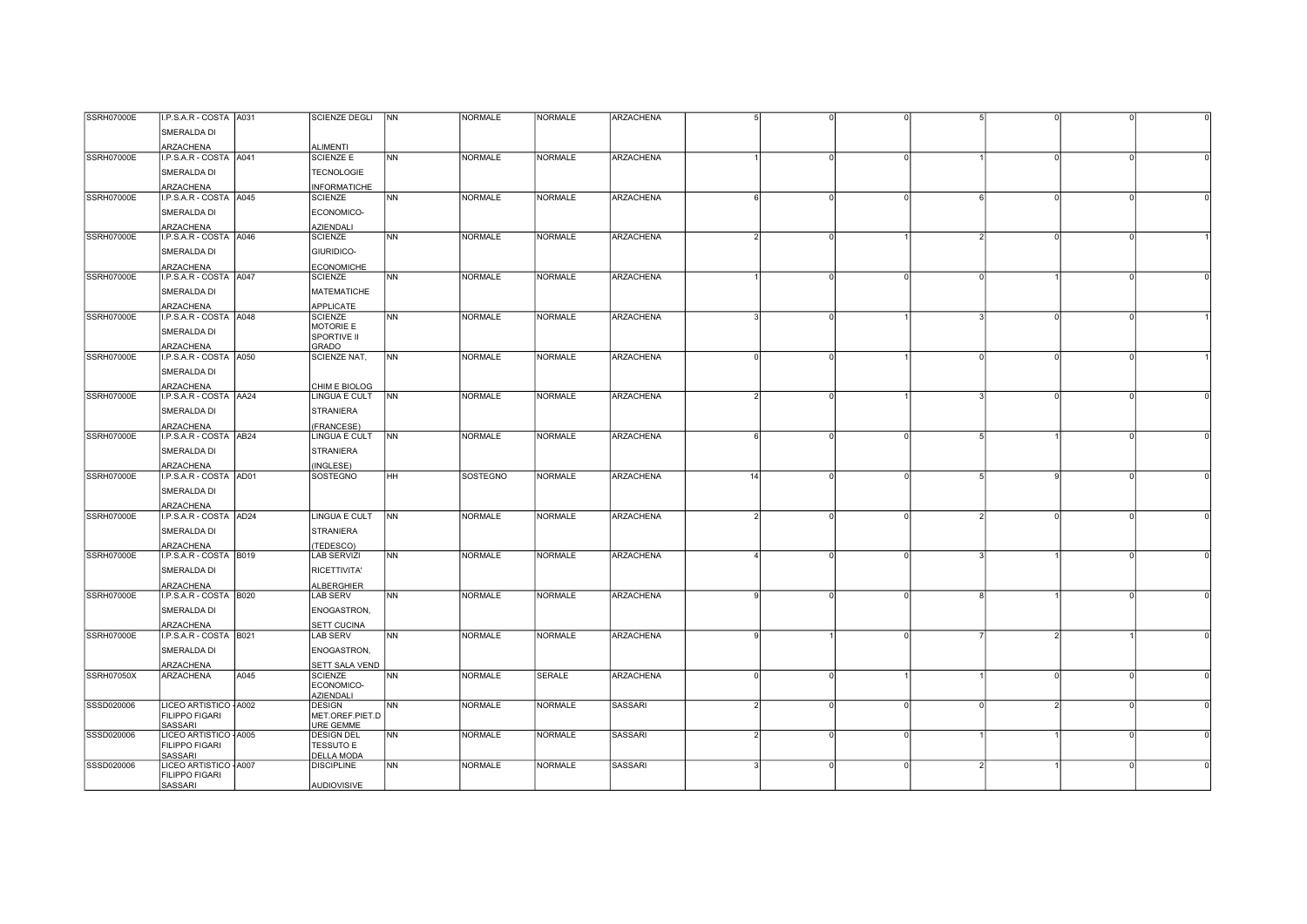| <b>SSRH07000E</b> | I.P.S.A.R - COSTA A031                          |      | <b>SCIENZE DEGLI</b>                  | <b>NN</b>                | <b>NORMALE</b>  | <b>NORMALE</b> | <b>ARZACHENA</b> |                |          |          |               |          |  |
|-------------------|-------------------------------------------------|------|---------------------------------------|--------------------------|-----------------|----------------|------------------|----------------|----------|----------|---------------|----------|--|
|                   | SMERALDA DI                                     |      |                                       |                          |                 |                |                  |                |          |          |               |          |  |
|                   |                                                 |      |                                       |                          |                 |                |                  |                |          |          |               |          |  |
|                   | ARZACHENA                                       |      | <b>ALIMENTI</b>                       |                          |                 |                |                  |                |          |          |               |          |  |
| SSRH07000E        | I.P.S.A.R - COSTA A041                          |      | <b>SCIENZE E</b>                      | <b>INN</b>               | <b>NORMALE</b>  | <b>NORMALE</b> | ARZACHENA        |                |          | $\Omega$ |               |          |  |
|                   | SMERALDA DI                                     |      | <b>TECNOLOGIE</b>                     |                          |                 |                |                  |                |          |          |               |          |  |
|                   | ARZACHENA                                       |      | <b>INFORMATICHE</b>                   |                          |                 |                |                  |                |          |          |               |          |  |
| <b>SSRH07000E</b> | I.P.S.A.R - COSTA A045                          |      | <b>SCIENZE</b>                        | <b>NN</b>                | <b>NORMALE</b>  | <b>NORMALE</b> | <b>ARZACHENA</b> | ĥ              |          |          |               |          |  |
|                   | SMERALDA DI                                     |      | ECONOMICO-                            |                          |                 |                |                  |                |          |          |               |          |  |
|                   |                                                 |      |                                       |                          |                 |                |                  |                |          |          |               |          |  |
| SSRH07000E        | ARZACHENA<br>I.P.S.A.R - COSTA A046             |      | <b>AZIENDALI</b><br><b>SCIENZE</b>    | N <sub>N</sub>           | <b>NORMALE</b>  | <b>NORMALE</b> | ARZACHENA        | $\overline{2}$ |          |          |               | $\Omega$ |  |
|                   |                                                 |      |                                       |                          |                 |                |                  |                |          |          |               |          |  |
|                   | SMERALDA DI                                     |      | GIURIDICO-                            |                          |                 |                |                  |                |          |          |               |          |  |
|                   | ARZACHENA                                       |      | <b>ECONOMICHE</b>                     |                          |                 |                |                  |                |          |          |               |          |  |
| <b>SSRH07000E</b> | I.P.S.A.R - COSTA A047                          |      | <b>SCIENZE</b>                        | <b>NN</b>                | <b>NORMALE</b>  | <b>NORMALE</b> | ARZACHENA        |                |          |          |               |          |  |
|                   | SMERALDA DI                                     |      | <b>MATEMATICHE</b>                    |                          |                 |                |                  |                |          |          |               |          |  |
|                   | ARZACHENA                                       |      | APPLICATE                             |                          |                 |                |                  |                |          |          |               |          |  |
| <b>SSRH07000E</b> | I.P.S.A.R - COSTA A048                          |      | <b>SCIENZE</b>                        | <b>TNN</b>               | <b>NORMALE</b>  | <b>NORMALE</b> | ARZACHENA        |                |          |          |               |          |  |
|                   | SMERALDA DI                                     |      | MOTORIE E                             |                          |                 |                |                  |                |          |          |               |          |  |
|                   | ARZACHENA                                       |      | SPORTIVE II                           |                          |                 |                |                  |                |          |          |               |          |  |
| <b>SSRH07000E</b> | I.P.S.A.R - COSTA A050                          |      | GRADO<br>SCIENZE NAT,                 | <b>NN</b>                | <b>NORMALE</b>  | <b>NORMALE</b> | <b>ARZACHENA</b> | $\Omega$       |          |          | $\Omega$      | $\Omega$ |  |
|                   |                                                 |      |                                       |                          |                 |                |                  |                |          |          |               |          |  |
|                   | SMERALDA DI                                     |      |                                       |                          |                 |                |                  |                |          |          |               |          |  |
|                   | ARZACHENA                                       |      | CHIM E BIOLOG                         |                          |                 |                |                  |                |          |          |               |          |  |
| <b>SSRH07000E</b> | I.P.S.A.R - COSTA AA24                          |      | <b>LINGUA E CULT</b>                  | N <sub>N</sub>           | <b>NORMALE</b>  | <b>NORMALE</b> | <b>ARZACHENA</b> |                |          |          |               |          |  |
|                   | SMERALDA DI                                     |      | <b>STRANIERA</b>                      |                          |                 |                |                  |                |          |          |               |          |  |
|                   | ARZACHENA                                       |      | (FRANCESE)                            |                          |                 |                |                  |                |          |          |               |          |  |
| <b>SSRH07000E</b> | I.P.S.A.R - COSTA AB24                          |      | <b>LINGUA E CULT</b>                  | N <sub>N</sub>           | <b>NORMALE</b>  | <b>NORMALE</b> | ARZACHENA        | 6              |          |          |               |          |  |
|                   | SMERALDA DI                                     |      | <b>STRANIERA</b>                      |                          |                 |                |                  |                |          |          |               |          |  |
|                   | ARZACHENA                                       |      | (INGLESE)                             |                          |                 |                |                  |                |          |          |               |          |  |
| <b>SSRH07000E</b> | I.P.S.A.R - COSTA AD01                          |      | SOSTEGNO                              | HH                       | <b>SOSTEGNO</b> | <b>NORMALE</b> | <b>ARZACHENA</b> | 14             |          |          |               |          |  |
|                   | SMERALDA DI                                     |      |                                       |                          |                 |                |                  |                |          |          |               |          |  |
|                   | ARZACHENA                                       |      |                                       |                          |                 |                |                  |                |          |          |               |          |  |
| <b>SSRH07000E</b> | I.P.S.A.R - COSTA AD24                          |      | <b>LINGUA E CULT</b>                  | $\overline{\mathsf{NN}}$ | <b>NORMALE</b>  | <b>NORMALE</b> | <b>ARZACHENA</b> | $\mathcal{P}$  | $\Omega$ | $\Omega$ | 2             | $\Omega$ |  |
|                   |                                                 |      |                                       |                          |                 |                |                  |                |          |          |               |          |  |
|                   | SMERALDA DI                                     |      | <b>STRANIERA</b>                      |                          |                 |                |                  |                |          |          |               |          |  |
|                   | ARZACHENA                                       |      | (TEDESCO)                             |                          |                 |                |                  |                |          |          |               |          |  |
| SSRH07000E        | I.P.S.A.R - COSTA B019                          |      | <b>LAB SERVIZI</b>                    | <b>NN</b>                | <b>NORMALE</b>  | <b>NORMALE</b> | ARZACHENA        |                |          |          |               |          |  |
|                   | SMERALDA DI                                     |      | RICETTIVITA'                          |                          |                 |                |                  |                |          |          |               |          |  |
|                   | ARZACHENA                                       |      | ALBERGHIER                            |                          |                 |                |                  |                |          |          |               |          |  |
| <b>SSRH07000E</b> | I.P.S.A.R - COSTA B020                          |      | <b>LAB SERV</b>                       | <b>NN</b>                | <b>NORMALE</b>  | <b>NORMALE</b> | <b>ARZACHENA</b> | a              |          |          |               |          |  |
|                   | SMERALDA DI                                     |      | ENOGASTRON,                           |                          |                 |                |                  |                |          |          |               |          |  |
|                   | <b>ARZACHENA</b>                                |      | <b>SETT CUCINA</b>                    |                          |                 |                |                  |                |          |          |               |          |  |
| SSRH07000E        | I.P.S.A.R - COSTA B021                          |      | <b>LAB SERV</b>                       | NN                       | <b>NORMALE</b>  | <b>NORMALE</b> | ARZACHENA        | <b>q</b>       |          |          |               |          |  |
|                   | SMERALDA DI                                     |      | ENOGASTRON,                           |                          |                 |                |                  |                |          |          |               |          |  |
|                   |                                                 |      |                                       |                          |                 |                |                  |                |          |          |               |          |  |
| <b>SSRH07050X</b> | ARZACHENA<br>ARZACHENA                          | A045 | SETT SALA VEND<br><b>SCIENZE</b>      | <b>NN</b>                | <b>NORMALE</b>  | <b>SERALE</b>  | <b>ARZACHENA</b> | $\Omega$       |          |          |               | $\Omega$ |  |
|                   |                                                 |      | ECONOMICO-                            |                          |                 |                |                  |                |          |          |               |          |  |
|                   |                                                 |      | <b>AZIENDALI</b>                      |                          |                 |                |                  |                |          |          |               |          |  |
| SSSD020006        | LICEO ARTISTICO - A002                          |      | <b>DESIGN</b>                         | NN                       | <b>NORMALE</b>  | <b>NORMALE</b> | <b>SASSARI</b>   |                |          |          |               |          |  |
|                   | <b>FILIPPO FIGARI</b>                           |      | MET.OREF.PIET.D                       |                          |                 |                |                  |                |          |          |               |          |  |
|                   | <b>SASSARI</b>                                  |      | <b>URE GEMME</b>                      |                          |                 |                |                  | $\mathcal{P}$  |          |          |               |          |  |
| SSSD020006        | LICEO ARTISTICO - A005<br><b>FILIPPO FIGARI</b> |      | <b>DESIGN DEL</b><br><b>TESSUTO E</b> | <b>NN</b>                | <b>NORMALE</b>  | <b>NORMALE</b> | SASSARI          |                |          |          |               |          |  |
|                   | <b>SASSARI</b>                                  |      | <b>DELLA MODA</b>                     |                          |                 |                |                  |                |          |          |               |          |  |
| SSSD020006        | LICEO ARTISTICO - A007                          |      | <b>DISCIPLINE</b>                     | NN                       | <b>NORMALE</b>  | <b>NORMALE</b> | <b>SASSARI</b>   | $\mathbf{B}$   | n        | $\Omega$ | $\mathcal{P}$ |          |  |
|                   | <b>FILIPPO FIGARI</b>                           |      |                                       |                          |                 |                |                  |                |          |          |               |          |  |
|                   | SASSARI                                         |      | AUDIOVISIVE                           |                          |                 |                |                  |                |          |          |               |          |  |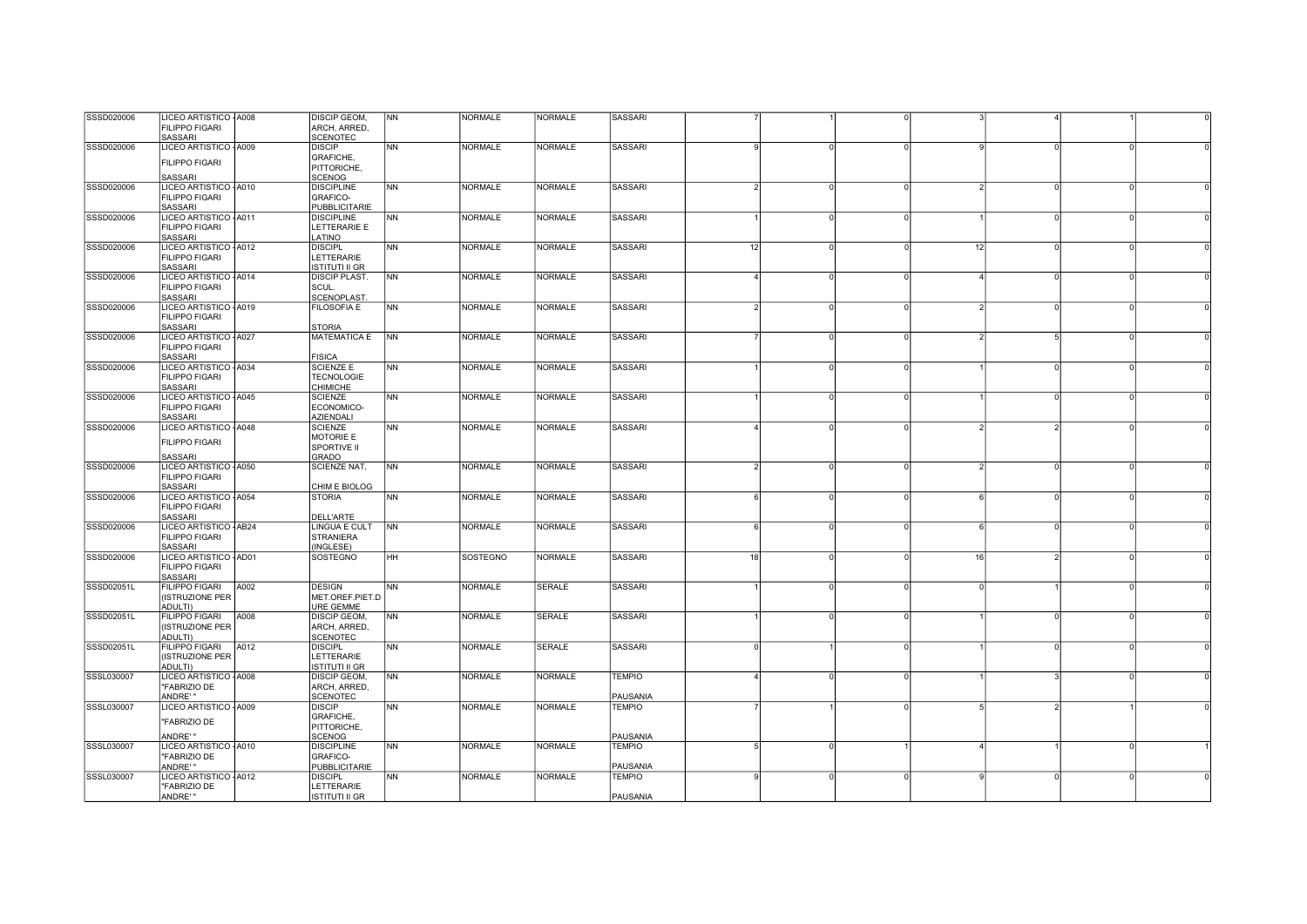| SSSD020006 | LICEO ARTISTICO - A008  |      | <b>DISCIP GEOM,</b>                 | N <sub>N</sub> | <b>NORMALE</b> | <b>NORMALE</b> | <b>SASSARI</b> |                 |          |          |               |          |  |
|------------|-------------------------|------|-------------------------------------|----------------|----------------|----------------|----------------|-----------------|----------|----------|---------------|----------|--|
|            | FILIPPO FIGARI          |      | ARCH, ARRED,                        |                |                |                |                |                 |          |          |               |          |  |
|            | <b>SASSARI</b>          |      | <b>SCENOTEC</b>                     |                |                |                |                |                 |          |          |               |          |  |
|            |                         |      |                                     |                |                |                |                |                 |          |          |               |          |  |
| SSSD020006 | LICEO ARTISTICO - A009  |      | <b>DISCIP</b>                       | N <sub>N</sub> | <b>NORMALE</b> | <b>NORMALE</b> | <b>SASSARI</b> |                 |          |          |               |          |  |
|            | <b>FILIPPO FIGARI</b>   |      | GRAFICHE,                           |                |                |                |                |                 |          |          |               |          |  |
|            |                         |      | PITTORICHE,                         |                |                |                |                |                 |          |          |               |          |  |
|            | <b>SASSARI</b>          |      | <b>SCENOG</b>                       |                |                |                |                |                 |          |          |               |          |  |
| SSSD020006 | LICEO ARTISTICO - A010  |      | <b>DISCIPLINE</b>                   | N <sub>N</sub> | <b>NORMALE</b> | <b>NORMALE</b> | SASSARI        | 2               |          |          |               |          |  |
|            | <b>FILIPPO FIGARI</b>   |      | <b>GRAFICO-</b>                     |                |                |                |                |                 |          |          |               |          |  |
|            | <b>SASSARI</b>          |      | PUBBLICITARIE                       |                |                |                |                |                 |          |          |               |          |  |
|            |                         |      |                                     |                |                |                |                |                 |          |          |               |          |  |
| SSSD020006 | LICEO ARTISTICO - A011  |      | <b>DISCIPLINE</b>                   | <b>NN</b>      | <b>NORMALE</b> | <b>NORMALE</b> | <b>SASSARI</b> |                 |          |          |               | $\Omega$ |  |
|            | <b>FILIPPO FIGARI</b>   |      | LETTERARIE E                        |                |                |                |                |                 |          |          |               |          |  |
|            | <b>SASSARI</b>          |      | LATINO                              |                |                |                |                |                 |          |          |               |          |  |
| SSSD020006 | LICEO ARTISTICO - A012  |      | <b>DISCIPL</b>                      | N <sub>N</sub> | <b>NORMALE</b> | <b>NORMALE</b> | SASSARI        | 12              |          | $\Omega$ | 12            | $\cap$   |  |
|            | <b>FILIPPO FIGARI</b>   |      | LETTERARIE                          |                |                |                |                |                 |          |          |               |          |  |
|            | SASSARI                 |      | <b>ISTITUTI II GR</b>               |                |                |                |                |                 |          |          |               |          |  |
| SSSD020006 | LICEO ARTISTICO - A014  |      | <b>DISCIP PLAST.</b>                | NN             | <b>NORMALE</b> | <b>NORMALE</b> | <b>SASSARI</b> |                 |          |          |               | $\Omega$ |  |
|            |                         |      |                                     |                |                |                |                |                 |          |          |               |          |  |
|            | <b>FILIPPO FIGARI</b>   |      | SCUL.                               |                |                |                |                |                 |          |          |               |          |  |
|            | SASSARI                 |      | <b>SCENOPLAST</b>                   |                |                |                |                |                 |          |          |               |          |  |
| SSSD020006 | LICEO ARTISTICO - A019  |      | FILOSOFIA E                         | <b>NN</b>      | <b>NORMALE</b> | <b>NORMALE</b> | <b>SASSARI</b> |                 |          |          |               |          |  |
|            | FILIPPO FIGARI          |      |                                     |                |                |                |                |                 |          |          |               |          |  |
|            | SASSARI                 |      | <b>STORIA</b>                       |                |                |                |                |                 |          |          |               |          |  |
| SSSD020006 | LICEO ARTISTICO - A027  |      | <b>MATEMATICA E</b>                 | <b>NN</b>      | <b>NORMALE</b> | <b>NORMALE</b> | SASSARI        |                 |          |          |               | 5        |  |
|            | <b>FILIPPO FIGARI</b>   |      |                                     |                |                |                |                |                 |          |          |               |          |  |
|            |                         |      |                                     |                |                |                |                |                 |          |          |               |          |  |
|            | <b>SASSARI</b>          |      | <b>FISICA</b>                       |                |                |                |                |                 |          |          |               |          |  |
| SSSD020006 | LICEO ARTISTICO - A034  |      | <b>SCIENZE E</b>                    | N <sub>N</sub> | <b>NORMALE</b> | <b>NORMALE</b> | <b>SASSARI</b> |                 |          |          |               | $\cap$   |  |
|            | <b>FILIPPO FIGARI</b>   |      | <b>TECNOLOGIE</b>                   |                |                |                |                |                 |          |          |               |          |  |
|            | SASSARI                 |      | <b>CHIMICHE</b>                     |                |                |                |                |                 |          |          |               |          |  |
| SSSD020006 | LICEO ARTISTICO - A045  |      | <b>SCIENZE</b>                      | NN             | <b>NORMALE</b> | <b>NORMALE</b> | SASSARI        |                 |          |          |               | $\Omega$ |  |
|            | <b>FILIPPO FIGARI</b>   |      | ECONOMICO-                          |                |                |                |                |                 |          |          |               |          |  |
|            | SASSARI                 |      | <b>AZIENDALI</b>                    |                |                |                |                |                 |          |          |               |          |  |
| SSSD020006 | LICEO ARTISTICO - A048  |      | <b>SCIENZE</b>                      | NN             | <b>NORMALE</b> | <b>NORMALE</b> | <b>SASSARI</b> |                 |          |          |               |          |  |
|            |                         |      | MOTORIE E                           |                |                |                |                |                 |          |          |               |          |  |
|            | <b>FILIPPO FIGARI</b>   |      |                                     |                |                |                |                |                 |          |          |               |          |  |
|            |                         |      | SPORTIVE II                         |                |                |                |                |                 |          |          |               |          |  |
|            | <b>SASSARI</b>          |      | GRADO                               |                |                |                |                |                 |          |          |               |          |  |
| SSSD020006 | LICEO ARTISTICO - A050  |      | SCIENZE NAT,                        | N <sub>N</sub> | <b>NORMALE</b> | <b>NORMALE</b> | <b>SASSARI</b> | $\overline{2}$  | $\Omega$ | U        | $\mathcal{P}$ | $\Omega$ |  |
|            | <b>FILIPPO FIGARI</b>   |      |                                     |                |                |                |                |                 |          |          |               |          |  |
|            | SASSARI                 |      | CHIM E BIOLOG                       |                |                |                |                |                 |          |          |               |          |  |
| SSSD020006 | LICEO ARTISTICO - A054  |      | <b>STORIA</b>                       | N <sub>N</sub> | <b>NORMALE</b> | <b>NORMALE</b> | SASSARI        | 6               |          | $\Omega$ |               | $\cap$   |  |
|            | <b>FILIPPO FIGARI</b>   |      |                                     |                |                |                |                |                 |          |          |               |          |  |
|            | <b>SASSARI</b>          |      | <b>DELL'ARTE</b>                    |                |                |                |                |                 |          |          |               |          |  |
|            |                         |      |                                     |                |                |                |                |                 |          |          |               |          |  |
| SSSD020006 | LICEO ARTISTICO - AB24  |      | LINGUA E CULT                       | <b>NN</b>      | <b>NORMALE</b> | <b>NORMALE</b> | <b>SASSARI</b> | 6               |          |          |               | $\cap$   |  |
|            | <b>FILIPPO FIGARI</b>   |      | <b>STRANIERA</b>                    |                |                |                |                |                 |          |          |               |          |  |
|            | <b>SASSARI</b>          |      | (INGLESE)                           |                |                |                |                |                 |          |          |               |          |  |
| SSSD020006 | LICEO ARTISTICO - AD01  |      | SOSTEGNO                            | HH             | SOSTEGNO       | <b>NORMALE</b> | SASSARI        | 18              |          |          | 16            |          |  |
|            | <b>FILIPPO FIGARI</b>   |      |                                     |                |                |                |                |                 |          |          |               |          |  |
|            | <b>SASSARI</b>          |      |                                     |                |                |                |                |                 |          |          |               |          |  |
| SSSD02051L | <b>FILIPPO FIGARI</b>   | A002 | <b>DESIGN</b>                       | N <sub>N</sub> | <b>NORMALE</b> | <b>SERALE</b>  | <b>SASSARI</b> |                 |          |          | $\Omega$      |          |  |
|            |                         |      |                                     |                |                |                |                |                 |          |          |               |          |  |
|            | (ISTRUZIONE PER         |      | MET.OREF.PIET.D                     |                |                |                |                |                 |          |          |               |          |  |
|            | ADULTI)                 |      | URE GEMME                           |                |                |                |                |                 |          |          |               |          |  |
| SSSD02051L | FILIPPO FIGARI          | A008 | <b>DISCIP GEOM,</b>                 | <b>NN</b>      | <b>NORMALE</b> | <b>SERALE</b>  | SASSARI        |                 |          |          |               | $\cap$   |  |
|            | (ISTRUZIONE PER         |      | ARCH, ARRED,                        |                |                |                |                |                 |          |          |               |          |  |
|            | ADULTI)                 |      | <b>SCENOTEC</b>                     |                |                |                |                |                 |          |          |               |          |  |
| SSSD02051L | <b>FILIPPO FIGARI</b>   | A012 | <b>DISCIPL</b>                      | N <sub>N</sub> | <b>NORMALE</b> | SERALE         | <b>SASSARI</b> | n               |          |          |               | $\Omega$ |  |
|            | (ISTRUZIONE PER         |      | LETTERARIE                          |                |                |                |                |                 |          |          |               |          |  |
|            | ADULTI)                 |      | <b>ISTITUTI II GR</b>               |                |                |                |                |                 |          |          |               |          |  |
|            |                         |      |                                     |                |                |                |                |                 |          |          |               |          |  |
| SSSL030007 | LICEO ARTISTICO - A008  |      | <b>DISCIP GEOM,</b>                 | NN             | <b>NORMALE</b> | <b>NORMALE</b> | <b>TEMPIO</b>  |                 |          |          |               |          |  |
|            | "FABRIZIO DE            |      | ARCH, ARRED,                        |                |                |                |                |                 |          |          |               |          |  |
|            | ANDRE'"                 |      | <b>SCENOTEC</b>                     |                |                |                | PAUSANIA       |                 |          |          |               |          |  |
| SSSL030007 | LICEO ARTISTICO - A009  |      | <b>DISCIP</b>                       | <b>NN</b>      | <b>NORMALE</b> | <b>NORMALE</b> | <b>TEMPIO</b>  |                 |          |          |               |          |  |
|            |                         |      | GRAFICHE,                           |                |                |                |                |                 |          |          |               |          |  |
|            | "FABRIZIO DE            |      | PITTORICHE,                         |                |                |                |                |                 |          |          |               |          |  |
|            | ANDRE'"                 |      | <b>SCENOG</b>                       |                |                |                | PAUSANIA       |                 |          |          |               |          |  |
| SSSL030007 | LICEO ARTISTICO - A010  |      | <b>DISCIPLINE</b>                   | N <sub>N</sub> | <b>NORMALE</b> | <b>NORMALE</b> | <b>TEMPIO</b>  | $5 \frac{1}{2}$ |          |          |               |          |  |
|            |                         |      |                                     |                |                |                |                |                 |          |          |               |          |  |
|            | "FABRIZIO DE            |      | GRAFICO-                            |                |                |                |                |                 |          |          |               |          |  |
|            | ANDRE'"                 |      | <b>PUBBLICITARIE</b>                |                |                |                | PAUSANIA       |                 |          |          |               |          |  |
| SSSL030007 |                         |      | <b>DISCIPL</b>                      | <b>NN</b>      | <b>NORMALE</b> | <b>NORMALE</b> | <b>TEMPIO</b>  | 9               | $\Omega$ | $\Omega$ | $\mathbf{Q}$  | $\Omega$ |  |
|            | LICEO ARTISTICO - A012  |      |                                     |                |                |                |                |                 |          |          |               |          |  |
|            | "FABRIZIO DE<br>ANDRE'" |      | LETTERARIE<br><b>ISTITUTI II GR</b> |                |                |                | PAUSANIA       |                 |          |          |               |          |  |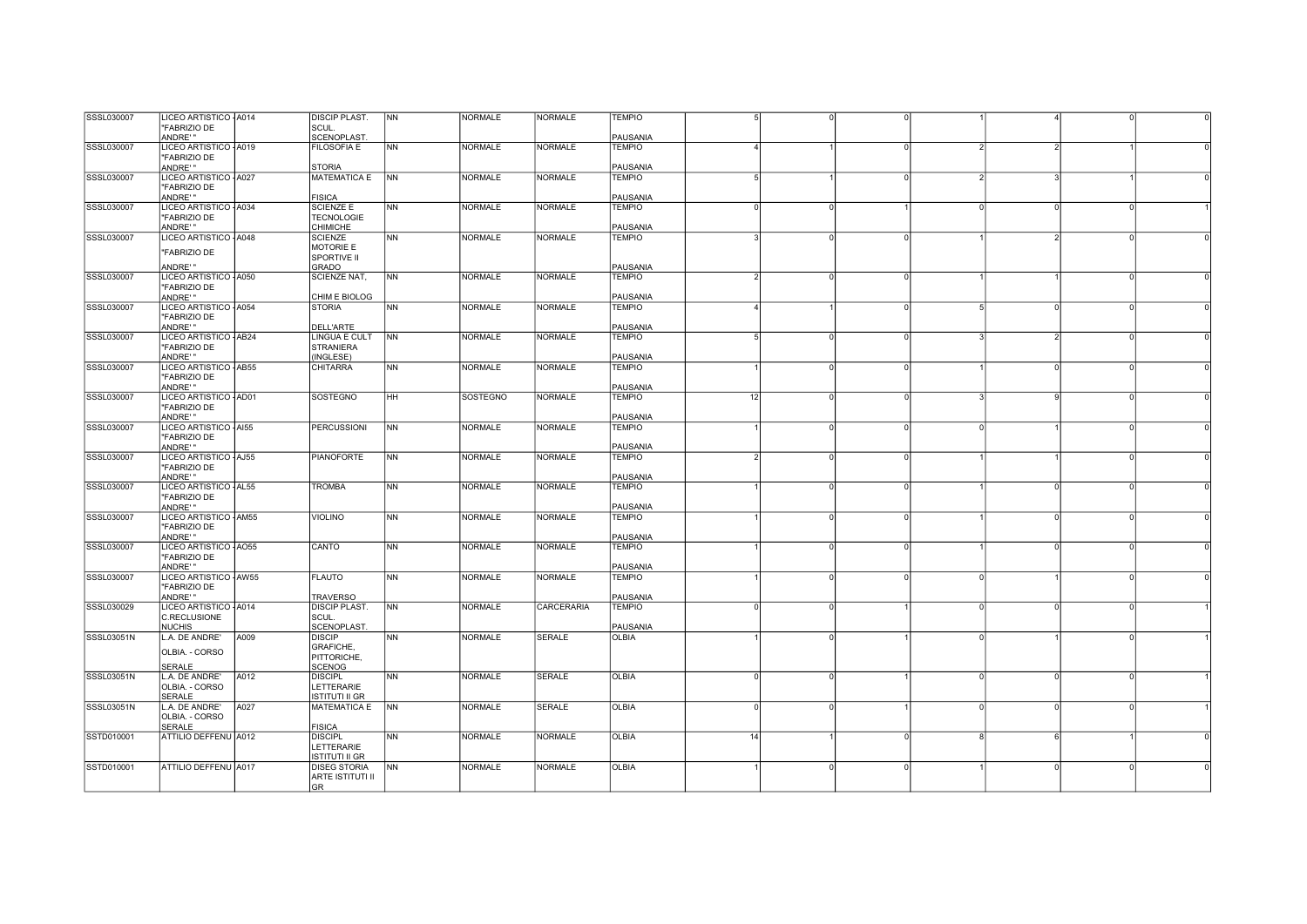| SSSL030007 | LICEO ARTISTICO - A014 |      | <b>DISCIP PLAST.</b>   | <b>NN</b>                | <b>NORMALE</b>  | <b>NORMALE</b>    | <b>TEMPIO</b> |                          |   |          |          |                |          |  |
|------------|------------------------|------|------------------------|--------------------------|-----------------|-------------------|---------------|--------------------------|---|----------|----------|----------------|----------|--|
|            |                        |      |                        |                          |                 |                   |               |                          |   |          |          |                |          |  |
|            | "FABRIZIO DE           |      | SCUL.                  |                          |                 |                   |               |                          |   |          |          |                |          |  |
|            | ANDRE'"                |      | <b>SCENOPLAST</b>      |                          |                 |                   | PAUSANIA      |                          |   |          |          |                |          |  |
| SSSL030007 | LICEO ARTISTICO - A019 |      | <b>FILOSOFIA E</b>     | N <sub>N</sub>           | <b>NORMALE</b>  | <b>NORMALE</b>    | <b>TEMPIO</b> | $\overline{4}$           |   | $\Omega$ |          | $\overline{2}$ |          |  |
|            |                        |      |                        |                          |                 |                   |               |                          |   |          |          |                |          |  |
|            | "FABRIZIO DE           |      |                        |                          |                 |                   |               |                          |   |          |          |                |          |  |
|            | ANDRE'"                |      | <b>STORIA</b>          |                          |                 |                   | PAUSANIA      |                          |   |          |          |                |          |  |
| SSSL030007 | LICEO ARTISTICO - A027 |      | <b>MATEMATICA E</b>    | $\overline{\mathsf{NN}}$ | <b>NORMALE</b>  | <b>NORMALE</b>    | <b>TEMPIO</b> | $5 \frac{1}{2}$          |   | $\Omega$ |          |                |          |  |
|            | "FABRIZIO DE           |      |                        |                          |                 |                   |               |                          |   |          |          |                |          |  |
|            |                        |      |                        |                          |                 |                   |               |                          |   |          |          |                |          |  |
|            | ANDRE'"                |      | <b>FISICA</b>          |                          |                 |                   | PAUSANIA      |                          |   |          |          |                |          |  |
| SSSL030007 | LICEO ARTISTICO - A034 |      | <b>SCIENZE E</b>       | N <sub>N</sub>           | <b>NORMALE</b>  | <b>NORMALE</b>    | <b>TEMPIO</b> | $\Omega$                 |   |          |          | $\Omega$       |          |  |
|            | "FABRIZIO DE           |      | <b>TECNOLOGIE</b>      |                          |                 |                   |               |                          |   |          |          |                |          |  |
|            | ANDRE'"                |      | <b>CHIMICHE</b>        |                          |                 |                   | PAUSANIA      |                          |   |          |          |                |          |  |
|            |                        |      |                        |                          |                 |                   |               |                          |   |          |          |                |          |  |
| SSSL030007 | LICEO ARTISTICO - A048 |      | <b>SCIENZE</b>         | NN                       | <b>NORMALE</b>  | <b>NORMALE</b>    | <b>TEMPIO</b> |                          |   |          |          | $\mathcal{P}$  |          |  |
|            |                        |      | <b>MOTORIE E</b>       |                          |                 |                   |               |                          |   |          |          |                |          |  |
|            | "FABRIZIO DE           |      | SPORTIVE II            |                          |                 |                   |               |                          |   |          |          |                |          |  |
|            |                        |      |                        |                          |                 |                   |               |                          |   |          |          |                |          |  |
|            | ANDRE'"                |      | GRADO                  |                          |                 |                   | PAUSANIA      |                          |   |          |          |                |          |  |
| SSSL030007 | LICEO ARTISTICO - A050 |      | SCIENZE NAT,           | N <sub>N</sub>           | <b>NORMALE</b>  | <b>NORMALE</b>    | <b>TEMPIO</b> | $\mathcal{P}$            |   | $\Omega$ |          |                |          |  |
|            | "FABRIZIO DE           |      |                        |                          |                 |                   |               |                          |   |          |          |                |          |  |
|            | ANDRE'"                |      | CHIM E BIOLOG          |                          |                 |                   | PAUSANIA      |                          |   |          |          |                |          |  |
|            |                        |      |                        |                          |                 |                   |               |                          |   |          |          |                |          |  |
| SSSL030007 | LICEO ARTISTICO - A054 |      | <b>STORIA</b>          | <b>NN</b>                | <b>NORMALE</b>  | <b>NORMALE</b>    | <b>TEMPIO</b> | $\overline{a}$           |   | $\Omega$ |          | $\Omega$       |          |  |
|            | "FABRIZIO DE           |      |                        |                          |                 |                   |               |                          |   |          |          |                |          |  |
|            | ANDRE'"                |      | <b>DELL'ARTE</b>       |                          |                 |                   | PAUSANIA      |                          |   |          |          |                |          |  |
| SSSL030007 | LICEO ARTISTICO - AB24 |      | LINGUA E CULT          | <b>NN</b>                | <b>NORMALE</b>  | <b>NORMALE</b>    | <b>TEMPIO</b> | 5                        |   | $\Omega$ |          | $\mathcal{D}$  |          |  |
|            |                        |      |                        |                          |                 |                   |               |                          |   |          |          |                |          |  |
|            | "FABRIZIO DE           |      | <b>STRANIERA</b>       |                          |                 |                   |               |                          |   |          |          |                |          |  |
|            | ANDRE'"                |      | (INGLESE)              |                          |                 |                   | PAUSANIA      |                          |   |          |          |                |          |  |
| SSSL030007 | LICEO ARTISTICO - AB55 |      | <b>CHITARRA</b>        | <b>NN</b>                | <b>NORMALE</b>  | <b>NORMALE</b>    | <b>TEMPIO</b> |                          |   |          |          |                |          |  |
|            | "FABRIZIO DE           |      |                        |                          |                 |                   |               |                          |   |          |          |                |          |  |
|            |                        |      |                        |                          |                 |                   |               |                          |   |          |          |                |          |  |
|            | ANDRE'"                |      |                        |                          |                 |                   | PAUSANIA      |                          |   |          |          |                |          |  |
| SSSL030007 | LICEO ARTISTICO - AD01 |      | <b>SOSTEGNO</b>        | HH                       | <b>SOSTEGNO</b> | <b>NORMALE</b>    | <b>TEMPIO</b> | 12                       |   |          |          |                |          |  |
|            | "FABRIZIO DE           |      |                        |                          |                 |                   |               |                          |   |          |          |                |          |  |
|            | ANDRE' "               |      |                        |                          |                 |                   | PAUSANIA      |                          |   |          |          |                |          |  |
|            |                        |      |                        |                          |                 |                   |               |                          |   |          |          |                |          |  |
| SSSL030007 | LICEO ARTISTICO - AI55 |      | <b>PERCUSSIONI</b>     | <b>NN</b>                | <b>NORMALE</b>  | <b>NORMALE</b>    | <b>TEMPIO</b> |                          |   |          |          |                |          |  |
|            | "FABRIZIO DE           |      |                        |                          |                 |                   |               |                          |   |          |          |                |          |  |
|            | ANDRE'"                |      |                        |                          |                 |                   | PAUSANIA      |                          |   |          |          |                |          |  |
|            |                        |      | <b>PIANOFORTE</b>      |                          | <b>NORMALE</b>  | <b>NORMALE</b>    |               |                          |   | $\Omega$ |          |                |          |  |
| SSSL030007 | LICEO ARTISTICO - AJ55 |      |                        | N <sub>N</sub>           |                 |                   | <b>TEMPIO</b> | $\overline{\phantom{a}}$ |   |          |          |                |          |  |
|            |                        |      |                        |                          |                 |                   |               |                          |   |          |          |                |          |  |
|            | "FABRIZIO DE           |      |                        |                          |                 |                   |               |                          |   |          |          |                |          |  |
|            |                        |      |                        |                          |                 |                   |               |                          |   |          |          |                |          |  |
|            | ANDRE'"                |      |                        |                          |                 |                   | PAUSANIA      |                          |   | $\Omega$ |          | $\Omega$       | $\Omega$ |  |
| SSSL030007 | LICEO ARTISTICO - AL55 |      | <b>TROMBA</b>          | <b>NN</b>                | <b>NORMALE</b>  | <b>NORMALE</b>    | <b>TEMPIO</b> |                          |   |          |          |                |          |  |
|            | "FABRIZIO DE           |      |                        |                          |                 |                   |               |                          |   |          |          |                |          |  |
|            | ANDRE'"                |      |                        |                          |                 |                   | PAUSANIA      |                          |   |          |          |                |          |  |
|            |                        |      |                        |                          | <b>NORMALE</b>  | <b>NORMALE</b>    | <b>TEMPIO</b> |                          |   |          |          |                |          |  |
| SSSL030007 | LICEO ARTISTICO - AM55 |      | <b>VIOLINO</b>         | <b>NN</b>                |                 |                   |               |                          |   |          |          |                |          |  |
|            | "FABRIZIO DE           |      |                        |                          |                 |                   |               |                          |   |          |          |                |          |  |
|            | ANDRE'"                |      |                        |                          |                 |                   | PAUSANIA      |                          |   |          |          |                |          |  |
| SSSL030007 | LICEO ARTISTICO - AO55 |      | CANTO                  | <b>NN</b>                | <b>NORMALE</b>  | <b>NORMALE</b>    | <b>TEMPIO</b> |                          |   |          |          |                |          |  |
|            |                        |      |                        |                          |                 |                   |               |                          |   |          |          |                |          |  |
|            | "FABRIZIO DE           |      |                        |                          |                 |                   |               |                          |   |          |          |                |          |  |
|            | ANDRE'"                |      |                        |                          |                 |                   | PAUSANIA      |                          |   |          |          |                |          |  |
| SSSL030007 | LICEO ARTISTICO - AW55 |      | <b>FLAUTO</b>          | <b>INN</b>               | <b>NORMALE</b>  | <b>NORMALE</b>    | <b>TEMPIO</b> |                          |   |          |          |                |          |  |
|            | "FABRIZIO DE           |      |                        |                          |                 |                   |               |                          |   |          |          |                |          |  |
|            | ANDRE'"                |      | <b>TRAVERSO</b>        |                          |                 |                   | PAUSANIA      |                          |   |          |          |                |          |  |
|            |                        |      |                        |                          |                 |                   |               | $\Omega$                 |   |          | $\Omega$ |                |          |  |
| SSSL030029 | LICEO ARTISTICO - A014 |      | <b>DISCIP PLAST.</b>   | NN                       | <b>NORMALE</b>  | <b>CARCERARIA</b> | <b>TEMPIO</b> |                          |   |          |          |                |          |  |
|            | <b>C.RECLUSIONE</b>    |      | SCUL.                  |                          |                 |                   |               |                          |   |          |          |                |          |  |
|            | <b>NUCHIS</b>          |      | SCENOPLAST.            |                          |                 |                   | PAUSANIA      |                          |   |          |          |                |          |  |
| SSSL03051N | L.A. DE ANDRE'         | A009 | <b>DISCIP</b>          | N <sub>N</sub>           | <b>NORMALE</b>  | <b>SERALE</b>     | <b>OLBIA</b>  |                          |   |          |          |                |          |  |
|            |                        |      |                        |                          |                 |                   |               |                          |   |          |          |                |          |  |
|            | OLBIA. - CORSO         |      | GRAFICHE,              |                          |                 |                   |               |                          |   |          |          |                |          |  |
|            |                        |      | PITTORICHE,            |                          |                 |                   |               |                          |   |          |          |                |          |  |
|            | <b>SERALE</b>          |      | <b>SCENOG</b>          |                          |                 |                   |               |                          |   |          |          |                |          |  |
| SSSL03051N | L.A. DE ANDRE'         | A012 | <b>DISCIPL</b>         | N <sub>N</sub>           | <b>NORMALE</b>  | SERALE            | <b>OLBIA</b>  | $\Omega$                 |   |          |          | $\Omega$       |          |  |
|            |                        |      |                        |                          |                 |                   |               |                          |   |          |          |                |          |  |
|            | OLBIA. - CORSO         |      | LETTERARIE             |                          |                 |                   |               |                          |   |          |          |                |          |  |
|            | <b>SERALE</b>          |      | ISTITUTI II GR         |                          |                 |                   |               |                          |   |          |          |                |          |  |
| SSSL03051N | L.A. DE ANDRE'         | A027 | <b>MATEMATICA E</b>    | <b>NN</b>                | <b>NORMALE</b>  | <b>SERALE</b>     | <b>OLBIA</b>  | $\Omega$                 |   |          |          |                |          |  |
|            | OLBIA. - CORSO         |      |                        |                          |                 |                   |               |                          |   |          |          |                |          |  |
|            |                        |      |                        |                          |                 |                   |               |                          |   |          |          |                |          |  |
|            | <b>SERALE</b>          |      | <b>FISICA</b>          |                          |                 |                   |               |                          |   |          |          |                |          |  |
| SSTD010001 | ATTILIO DEFFENU A012   |      | <b>DISCIPL</b>         | N <sub>N</sub>           | <b>NORMALE</b>  | <b>NORMALE</b>    | <b>OLBIA</b>  | 14                       |   |          |          | <b>6</b>       |          |  |
|            |                        |      | LETTERARIE             |                          |                 |                   |               |                          |   |          |          |                |          |  |
|            |                        |      | ISTITUTI II GR         |                          |                 |                   |               |                          |   |          |          |                |          |  |
|            |                        |      |                        |                          |                 |                   |               |                          | n | $\Omega$ |          | $\Omega$       |          |  |
| SSTD010001 | ATTILIO DEFFENU A017   |      | <b>DISEG STORIA</b>    | NN                       | <b>NORMALE</b>  | <b>NORMALE</b>    | <b>OLBIA</b>  |                          |   |          |          |                |          |  |
|            |                        |      | ARTE ISTITUTI II<br>GR |                          |                 |                   |               |                          |   |          |          |                |          |  |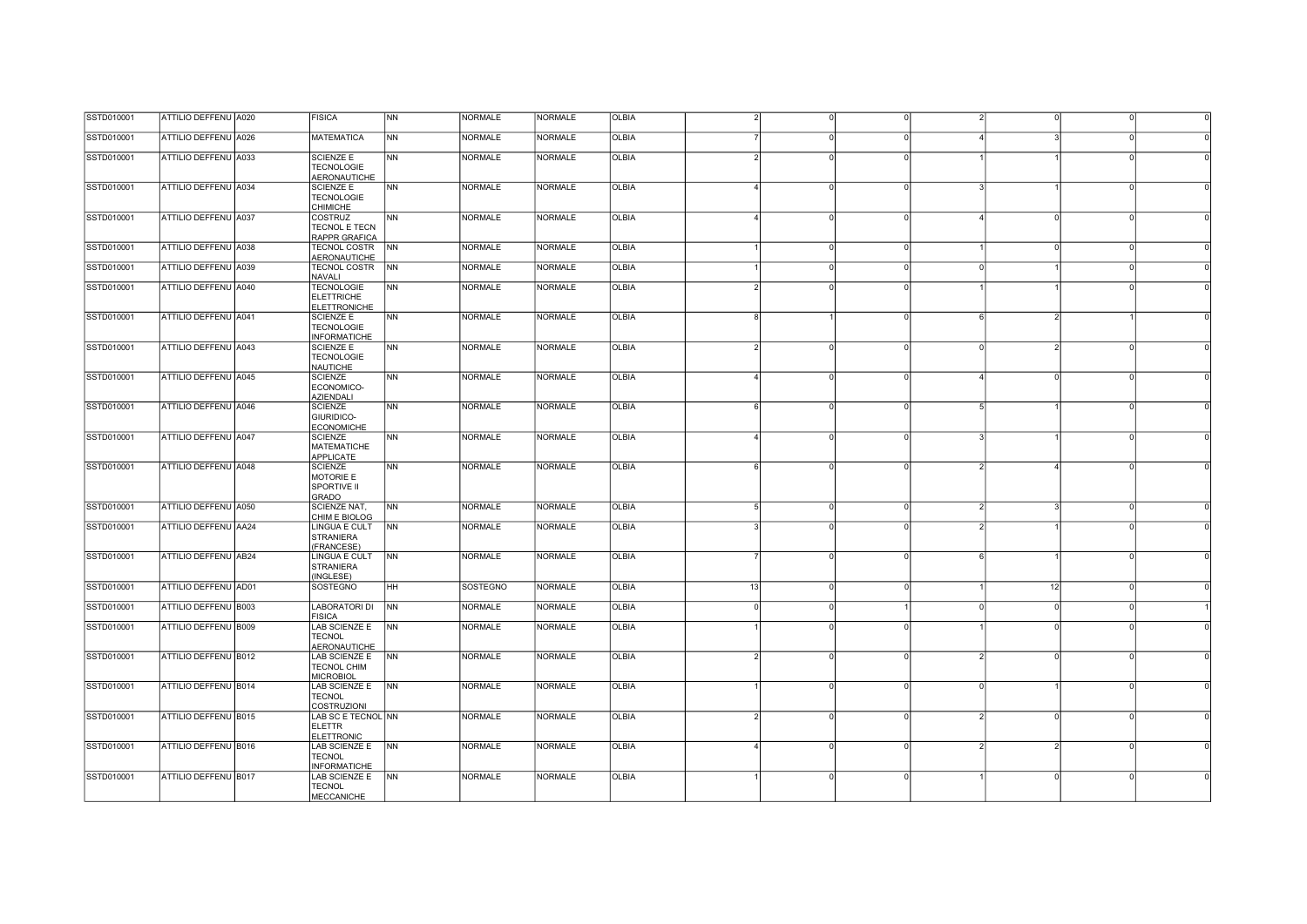| SSTD010001 | ATTILIO DEFFENU A020 | <b>FISICA</b>                                                 | <b>NN</b>      | <b>NORMALE</b>  | <b>NORMALE</b> | <b>OLBIA</b> |          |          |                |               |                |          |  |
|------------|----------------------|---------------------------------------------------------------|----------------|-----------------|----------------|--------------|----------|----------|----------------|---------------|----------------|----------|--|
| SSTD010001 | ATTILIO DEFFENU A026 | <b>MATEMATICA</b>                                             | <b>NN</b>      | <b>NORMALE</b>  | <b>NORMALE</b> | <b>OLBIA</b> |          | $\Omega$ | U              |               |                |          |  |
| SSTD010001 | ATTILIO DEFFENU A033 | <b>SCIENZE E</b><br><b>TECNOLOGIE</b><br><b>AERONAUTICHE</b>  | <b>NN</b>      | <b>NORMALE</b>  | <b>NORMALE</b> | <b>OLBIA</b> |          |          |                |               |                |          |  |
| SSTD010001 | ATTILIO DEFFENU A034 | <b>SCIENZE E</b><br><b>TECNOLOGIE</b><br><b>CHIMICHE</b>      | <b>NN</b>      | <b>NORMALE</b>  | <b>NORMALE</b> | <b>OLBIA</b> |          |          |                |               |                |          |  |
| SSTD010001 | ATTILIO DEFFENU A037 | COSTRUZ<br>TECNOL E TECN<br><b>RAPPR GRAFICA</b>              | N <sub>N</sub> | <b>NORMALE</b>  | <b>NORMALE</b> | <b>OLBIA</b> |          |          | O              |               | $\Omega$       |          |  |
| SSTD010001 | ATTILIO DEFFENU A038 | TECNOL COSTR<br>AERONAUTICHE                                  | <b>NN</b>      | <b>NORMALE</b>  | <b>NORMALE</b> | <b>OLBIA</b> |          | $\Omega$ | $\Omega$       |               | $\circ$        |          |  |
| SSTD010001 | ATTILIO DEFFENU A039 | <b>TECNOL COSTR</b><br>NAVALI                                 | <b>NN</b>      | <b>NORMALE</b>  | <b>NORMALE</b> | OLBIA        |          | O        | $\Omega$       |               |                |          |  |
| SSTD010001 | ATTILIO DEFFENU A040 | <b>TECNOLOGIE</b><br><b>ELETTRICHE</b><br><b>ELETTRONICHE</b> | N <sub>N</sub> | <b>NORMALE</b>  | <b>NORMALE</b> | <b>OLBIA</b> |          |          |                |               |                |          |  |
| SSTD010001 | ATTILIO DEFFENU A041 | <b>SCIENZE E</b><br><b>TECNOLOGIE</b><br><b>INFORMATICHE</b>  | <b>NN</b>      | <b>NORMALE</b>  | <b>NORMALE</b> | <b>OLBIA</b> |          |          | O              |               |                |          |  |
| SSTD010001 | ATTILIO DEFFENU A043 | <b>SCIENZE E</b><br><b>TECNOLOGIE</b><br><b>NAUTICHE</b>      | <b>NN</b>      | NORMALE         | NORMALE        | <b>OLBIA</b> |          |          | $\Omega$       |               | $\overline{2}$ |          |  |
| SSTD010001 | ATTILIO DEFFENU A045 | <b>SCIENZE</b><br>ECONOMICO-<br><b>AZIENDALI</b>              | <b>NN</b>      | <b>NORMALE</b>  | <b>NORMALE</b> | <b>OLBIA</b> |          | $\Omega$ | $\Omega$       |               | $\Omega$       |          |  |
| SSTD010001 | ATTILIO DEFFENU A046 | <b>SCIENZE</b><br>GIURIDICO-<br><b>ECONOMICHE</b>             | <b>NN</b>      | <b>NORMALE</b>  | <b>NORMALE</b> | <b>OLBIA</b> |          | $\Omega$ | $\Omega$       |               |                |          |  |
| SSTD010001 | ATTILIO DEFFENU A047 | <b>SCIENZE</b><br><b>MATEMATICHE</b><br>APPLICATE             | <b>NN</b>      | <b>NORMALE</b>  | <b>NORMALE</b> | <b>OLBIA</b> |          |          | U              |               |                |          |  |
| SSTD010001 | ATTILIO DEFFENU A048 | <b>SCIENZE</b><br>MOTORIE E<br>SPORTIVE II<br><b>GRADO</b>    | <b>NN</b>      | <b>NORMALE</b>  | <b>NORMALE</b> | <b>OLBIA</b> |          |          |                |               |                |          |  |
| SSTD010001 | ATTILIO DEFFENU A050 | <b>SCIENZE NAT,</b><br>CHIM E BIOLOG                          | <b>NN</b>      | <b>NORMALE</b>  | <b>NORMALE</b> | <b>OLBIA</b> | 5        | $\Omega$ | $\overline{0}$ | $\mathcal{P}$ | $\mathbf{B}$   | $\Omega$ |  |
| SSTD010001 | ATTILIO DEFFENU AA24 | LINGUA E CULT<br><b>STRANIERA</b><br>(FRANCESE)               | <b>NN</b>      | NORMALE         | <b>NORMALE</b> | OLBIA        |          |          |                |               |                |          |  |
| SSTD010001 | ATTILIO DEFFENU AB24 | LINGUA E CULT<br>STRANIERA<br>(INGLESE)                       | <b>NN</b>      | <b>NORMALE</b>  | <b>NORMALE</b> | OLBIA        |          |          |                |               |                |          |  |
| SSTD010001 | ATTILIO DEFFENU AD01 | <b>SOSTEGNO</b>                                               | <b>HH</b>      | <b>SOSTEGNO</b> | <b>NORMALE</b> | <b>OLBIA</b> | 13       |          | <sub>0</sub>   |               | 12             |          |  |
| SSTD010001 | ATTILIO DEFFENU B003 | <b>LABORATORI DI</b><br><b>FISICA</b>                         | N <sub>N</sub> | <b>NORMALE</b>  | <b>NORMALE</b> | <b>OLBIA</b> | $\Omega$ | $\Omega$ |                |               | $\circ$        |          |  |
| SSTD010001 | ATTILIO DEFFENU B009 | LAB SCIENZE E<br><b>TECNOL</b><br><b>AERONAUTICHE</b>         | N <sub>N</sub> | <b>NORMALE</b>  | <b>NORMALE</b> | <b>OLBIA</b> |          |          |                |               |                |          |  |
| SSTD010001 | ATTILIO DEFFENU B012 | LAB SCIENZE E<br><b>TECNOL CHIM</b><br><b>MICROBIOL</b>       | <b>NN</b>      | <b>NORMALE</b>  | <b>NORMALE</b> | <b>OLBIA</b> |          |          | O              |               | $\Omega$       |          |  |
| SSTD010001 | ATTILIO DEFFENU B014 | LAB SCIENZE E<br><b>TECNOL</b><br><b>COSTRUZIONI</b>          | <b>NN</b>      | <b>NORMALE</b>  | <b>NORMALE</b> | <b>OLBIA</b> |          |          |                |               |                |          |  |
| SSTD010001 | ATTILIO DEFFENU B015 | LAB SC E TECNOL NN<br><b>ELETTR</b><br><b>ELETTRONIC</b>      |                | <b>NORMALE</b>  | <b>NORMALE</b> | <b>OLBIA</b> |          |          |                |               |                |          |  |
| SSTD010001 | ATTILIO DEFFENU B016 | LAB SCIENZE E<br><b>TECNOL</b><br><b>INFORMATICHE</b>         | <b>NN</b>      | <b>NORMALE</b>  | <b>NORMALE</b> | OLBIA        |          |          | $\Omega$       |               | $\mathcal{P}$  |          |  |
| SSTD010001 | ATTILIO DEFFENU B017 | LAB SCIENZE E<br><b>TECNOL</b><br><b>MECCANICHE</b>           | <b>NN</b>      | <b>NORMALE</b>  | <b>NORMALE</b> | <b>OLBIA</b> |          | O        | $\Omega$       |               | $\circ$        |          |  |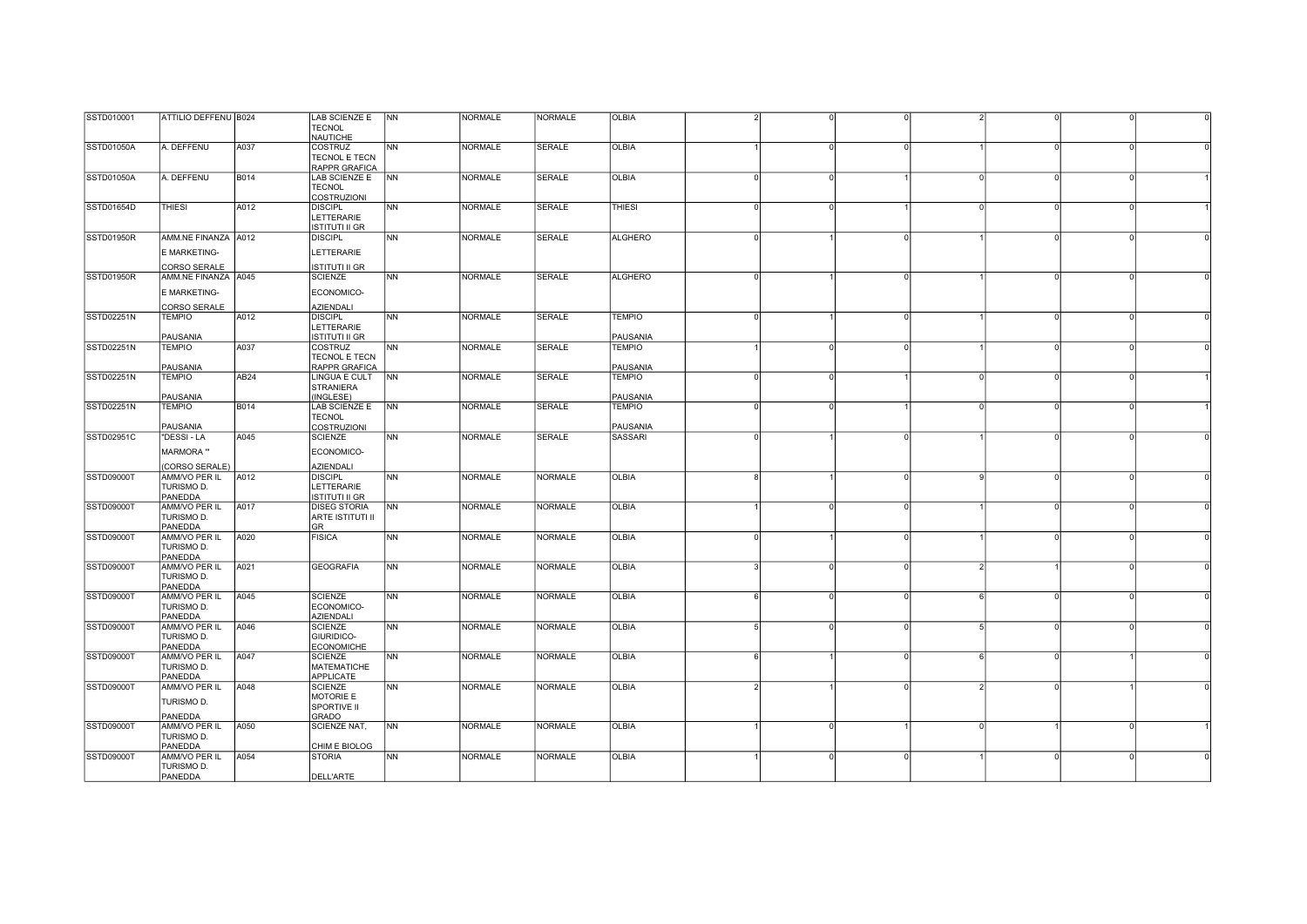| SSTD010001        | ATTILIO DEFFENU B024 |                  | LAB SCIENZE E         | <b>NN</b>      | <b>NORMALE</b> | <b>NORMALE</b> | <b>OLBIA</b>   |          |          |          |  |
|-------------------|----------------------|------------------|-----------------------|----------------|----------------|----------------|----------------|----------|----------|----------|--|
|                   |                      |                  |                       |                |                |                |                |          |          |          |  |
|                   |                      |                  | <b>TECNOL</b>         |                |                |                |                |          |          |          |  |
|                   |                      |                  | <b>NAUTICHE</b>       |                |                |                |                |          |          |          |  |
| <b>SSTD01050A</b> | A. DEFFENU           | A037             | COSTRUZ               | <b>NN</b>      | <b>NORMALE</b> | <b>SERALE</b>  | <b>OLBIA</b>   | O        | U        | $\Omega$ |  |
|                   |                      |                  |                       |                |                |                |                |          |          |          |  |
|                   |                      |                  | TECNOL E TECN         |                |                |                |                |          |          |          |  |
|                   |                      |                  | RAPPR GRAFICA         |                |                |                |                |          |          |          |  |
| SSTD01050A        | A. DEFFENU           | <b>B014</b>      | LAB SCIENZE E NN      |                | <b>NORMALE</b> | <b>SERALE</b>  | <b>OLBIA</b>   |          |          |          |  |
|                   |                      |                  | <b>TECNOL</b>         |                |                |                |                |          |          |          |  |
|                   |                      |                  | <b>COSTRUZIONI</b>    |                |                |                |                |          |          |          |  |
|                   |                      |                  |                       |                |                |                |                |          |          |          |  |
| SSTD01654D        | <b>THIESI</b>        | A012             | <b>DISCIPL</b>        | <b>NN</b>      | <b>NORMALE</b> | <b>SERALE</b>  | <b>THIESI</b>  | $\Omega$ |          | $\Omega$ |  |
|                   |                      |                  | <b>LETTERARIE</b>     |                |                |                |                |          |          |          |  |
|                   |                      |                  | <b>ISTITUTI II GR</b> |                |                |                |                |          |          |          |  |
| <b>SSTD01950R</b> | AMM.NE FINANZA A012  |                  | <b>DISCIPL</b>        | <b>NN</b>      | <b>NORMALE</b> | <b>SERALE</b>  | <b>ALGHERO</b> |          |          | $\Omega$ |  |
|                   |                      |                  |                       |                |                |                |                |          |          |          |  |
|                   | E MARKETING-         |                  | LETTERARIE            |                |                |                |                |          |          |          |  |
|                   |                      |                  |                       |                |                |                |                |          |          |          |  |
|                   | CORSO SERALE         |                  | <b>ISTITUTI II GR</b> |                |                |                |                |          |          |          |  |
| <b>SSTD01950R</b> | AMM.NE FINANZA A045  |                  | <b>SCIENZE</b>        | NN             | <b>NORMALE</b> | <b>SERALE</b>  | <b>ALGHERO</b> |          | U        | $\Omega$ |  |
|                   |                      |                  |                       |                |                |                |                |          |          |          |  |
|                   | E MARKETING-         |                  | ECONOMICO-            |                |                |                |                |          |          |          |  |
|                   |                      |                  |                       |                |                |                |                |          |          |          |  |
|                   | CORSO SERALE         |                  | <b>AZIENDALI</b>      |                |                |                |                |          |          |          |  |
| SSTD02251N        | <b>TEMPIO</b>        | A012             | <b>DISCIPL</b>        | <b>NN</b>      | <b>NORMALE</b> | SERALE         | <b>TEMPIO</b>  |          | $\Omega$ | $\Omega$ |  |
|                   |                      |                  | LETTERARIE            |                |                |                |                |          |          |          |  |
|                   |                      |                  |                       |                |                |                |                |          |          |          |  |
|                   | PAUSANIA             |                  | <b>ISTITUTI II GR</b> |                |                |                | PAUSANIA       |          |          |          |  |
| SSTD02251N        | <b>TEMPIO</b>        | A037             | COSTRUZ               | <b>NN</b>      | <b>NORMALE</b> | <b>SERALE</b>  | <b>TEMPIO</b>  |          | n.       | $\Omega$ |  |
|                   |                      |                  | TECNOL E TECN         |                |                |                |                |          |          |          |  |
|                   | PAUSANIA             |                  | RAPPR GRAFICA         |                |                |                | PAUSANIA       |          |          |          |  |
| SSTD02251N        | <b>TEMPIO</b>        | AB <sub>24</sub> | <b>LINGUA E CULT</b>  | NN             | <b>NORMALE</b> | <b>SERALE</b>  | <b>TEMPIO</b>  |          |          | $\Omega$ |  |
|                   |                      |                  |                       |                |                |                |                |          |          |          |  |
|                   |                      |                  | <b>STRANIERA</b>      |                |                |                |                |          |          |          |  |
|                   | PAUSANIA             |                  | (INGLESE)             |                |                |                | PAUSANIA       |          |          |          |  |
| SSTD02251N        | <b>TEMPIO</b>        | <b>B014</b>      | LAB SCIENZE E         | N <sub>N</sub> | <b>NORMALE</b> | <b>SERALE</b>  | <b>TEMPIO</b>  | $\Omega$ |          | $\Omega$ |  |
|                   |                      |                  | <b>TECNOL</b>         |                |                |                |                |          |          |          |  |
|                   | PAUSANIA             |                  |                       |                |                |                | PAUSANIA       |          |          |          |  |
|                   |                      |                  | <b>COSTRUZIONI</b>    |                |                |                |                |          |          |          |  |
| SSTD02951C        | "DESSI - LA          | A045             | <b>SCIENZE</b>        | <b>NN</b>      | <b>NORMALE</b> | <b>SERALE</b>  | <b>SASSARI</b> |          |          |          |  |
|                   |                      |                  |                       |                |                |                |                |          |          |          |  |
|                   | <b>MARMORA</b> "     |                  | ECONOMICO-            |                |                |                |                |          |          |          |  |
|                   | (CORSO SERALE)       |                  | <b>AZIENDALI</b>      |                |                |                |                |          |          |          |  |
|                   |                      |                  |                       |                |                |                |                |          |          |          |  |
| SSTD09000T        | AMM/VO PER IL        | A012             | <b>DISCIPL</b>        | <b>NN</b>      | <b>NORMALE</b> | <b>NORMALE</b> | <b>OLBIA</b>   |          | n        | $\Omega$ |  |
|                   | TURISMO D.           |                  | LETTERARIE            |                |                |                |                |          |          |          |  |
|                   | PANEDDA              |                  | <b>ISTITUTI II GR</b> |                |                |                |                |          |          |          |  |
| <b>SSTD09000T</b> | AMM/VO PER IL        | A017             | <b>DISEG STORIA</b>   | <b>NN</b>      | <b>NORMALE</b> | <b>NORMALE</b> | <b>OLBIA</b>   |          |          | $\Omega$ |  |
|                   |                      |                  |                       |                |                |                |                |          |          |          |  |
|                   | TURISMO D.           |                  | ARTE ISTITUTI II      |                |                |                |                |          |          |          |  |
|                   | PANEDDA              |                  | GR                    |                |                |                |                |          |          |          |  |
| SSTD09000T        | AMM/VO PER IL        | A020             | <b>FISICA</b>         | <b>NN</b>      | <b>NORMALE</b> | <b>NORMALE</b> | OLBIA          |          | $\Omega$ | $\Omega$ |  |
|                   | TURISMO D.           |                  |                       |                |                |                |                |          |          |          |  |
|                   | PANEDDA              |                  |                       |                |                |                |                |          |          |          |  |
|                   |                      |                  |                       |                |                |                |                |          |          |          |  |
| <b>SSTD09000T</b> | AMM/VO PER IL        | A021             | <b>GEOGRAFIA</b>      | <b>NN</b>      | <b>NORMALE</b> | <b>NORMALE</b> | <b>OLBIA</b>   |          | $\Omega$ |          |  |
|                   | TURISMO D.           |                  |                       |                |                |                |                |          |          |          |  |
|                   | PANEDDA              |                  |                       |                |                |                |                |          |          |          |  |
| SSTD09000T        | AMM/VO PER IL        | A045             | <b>SCIENZE</b>        | <b>NN</b>      | <b>NORMALE</b> | <b>NORMALE</b> | <b>OLBIA</b>   |          |          | $\Omega$ |  |
|                   |                      |                  |                       |                |                |                |                |          |          |          |  |
|                   | TURISMO D.           |                  | ECONOMICO-            |                |                |                |                |          |          |          |  |
|                   | PANEDDA              |                  | <b>AZIENDALI</b>      |                |                |                |                |          |          |          |  |
| <b>SSTD09000T</b> | AMM/VO PER IL        | A046             | <b>SCIENZE</b>        | <b>NN</b>      | <b>NORMALE</b> | <b>NORMALE</b> | <b>OLBIA</b>   | $\Omega$ | $\Omega$ | $\Omega$ |  |
|                   | TURISMO D.           |                  | GIURIDICO-            |                |                |                |                |          |          |          |  |
|                   | PANEDDA              |                  | <b>ECONOMICHE</b>     |                |                |                |                |          |          |          |  |
|                   |                      |                  |                       |                |                |                |                |          |          |          |  |
| SSTD09000T        | AMM/VO PER IL        | A047             | <b>SCIENZE</b>        | <b>NN</b>      | <b>NORMALE</b> | <b>NORMALE</b> | OLBIA          |          |          | $\Omega$ |  |
|                   | TURISMO D.           |                  | <b>MATEMATICHE</b>    |                |                |                |                |          |          |          |  |
|                   | PANEDDA              |                  | APPLICATE             |                |                |                |                |          |          |          |  |
| SSTD09000T        | AMM/VO PER IL        | A048             | <b>SCIENZE</b>        | <b>NN</b>      | <b>NORMALE</b> | <b>NORMALE</b> | <b>OLBIA</b>   |          |          |          |  |
|                   |                      |                  |                       |                |                |                |                |          |          |          |  |
|                   | TURISMO D.           |                  | <b>MOTORIE E</b>      |                |                |                |                |          |          |          |  |
|                   |                      |                  | SPORTIVE II           |                |                |                |                |          |          |          |  |
|                   | PANEDDA              |                  | <b>GRADO</b>          |                |                |                |                |          |          |          |  |
| <b>SSTD09000T</b> | AMM/VO PER IL        | A050             | SCIENZE NAT,          | N <sub>N</sub> | <b>NORMALE</b> | <b>NORMALE</b> | OLBIA          |          |          |          |  |
|                   | TURISMO D.           |                  |                       |                |                |                |                |          |          |          |  |
|                   |                      |                  |                       |                |                |                |                |          |          |          |  |
|                   | PANEDDA              |                  | CHIM E BIOLOG         |                |                |                |                |          |          |          |  |
| SSTD09000T        | AMM/VO PER IL        | A054             | <b>STORIA</b>         | <b>NN</b>      | <b>NORMALE</b> | <b>NORMALE</b> | <b>OLBIA</b>   |          | $\Omega$ |          |  |
|                   | TURISMO D.           |                  |                       |                |                |                |                |          |          |          |  |
|                   | PANEDDA              |                  | DELL'ARTE             |                |                |                |                |          |          |          |  |
|                   |                      |                  |                       |                |                |                |                |          |          |          |  |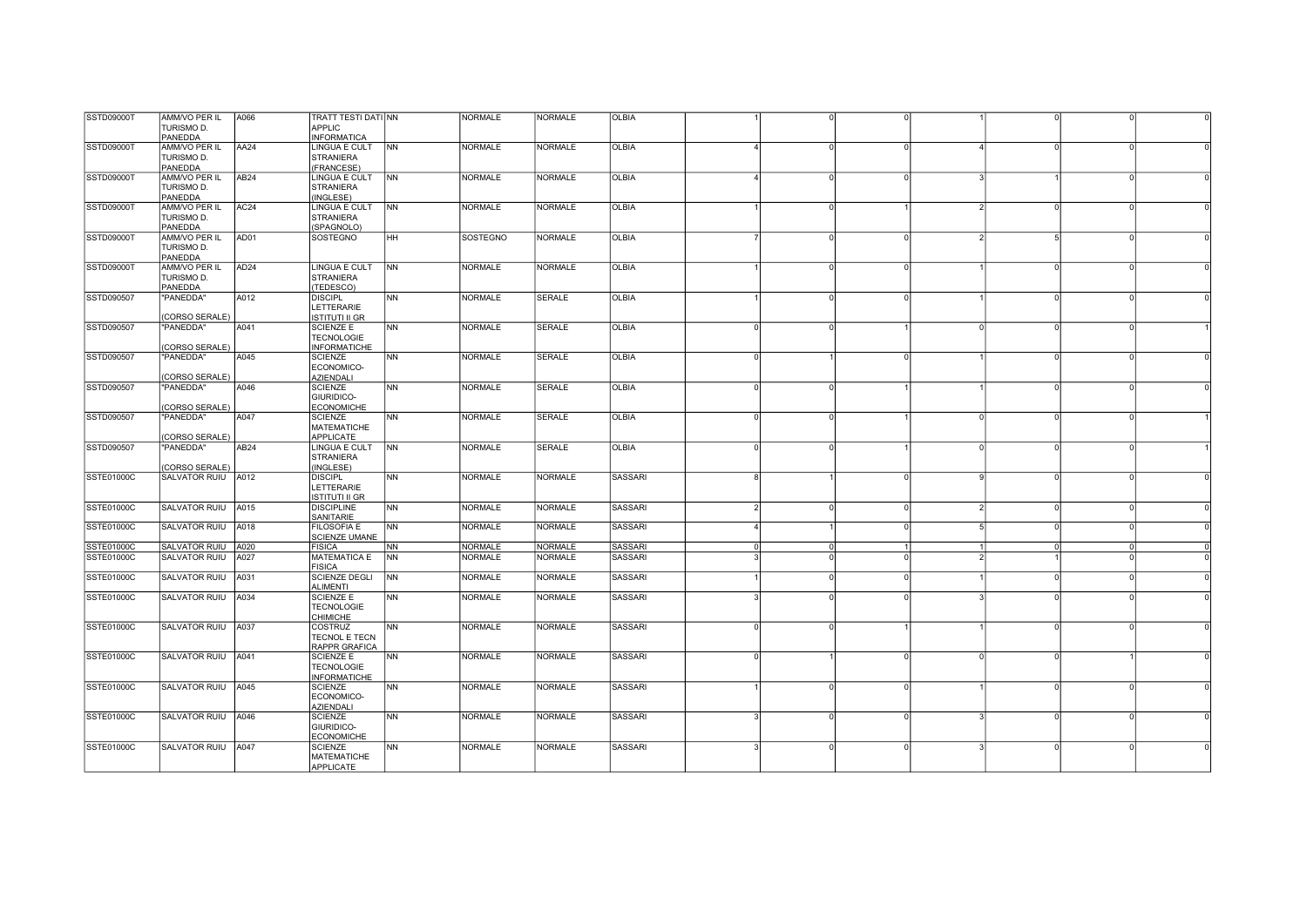| SSTD09000T        | AMM/VO PER IL        | A066             | TRATT TESTI DATI NN                    |                | <b>NORMALE</b> | <b>NORMALE</b> | <b>OLBIA</b>   |                |   |          |               |            |          |  |
|-------------------|----------------------|------------------|----------------------------------------|----------------|----------------|----------------|----------------|----------------|---|----------|---------------|------------|----------|--|
|                   | TURISMO D.           |                  | <b>APPLIC</b>                          |                |                |                |                |                |   |          |               |            |          |  |
|                   | PANEDDA              |                  | <b>INFORMATICA</b>                     |                |                |                |                |                |   |          |               |            |          |  |
| SSTD09000T        | <b>AMM/VO PER IL</b> | AA24             | <b>LINGUA E CULT</b>                   | <b>NN</b>      | <b>NORMALE</b> | <b>NORMALE</b> | <b>OLBIA</b>   |                |   |          |               |            |          |  |
|                   |                      |                  |                                        |                |                |                |                |                |   |          |               |            |          |  |
|                   | TURISMO D.           |                  | <b>STRANIERA</b>                       |                |                |                |                |                |   |          |               |            |          |  |
|                   | PANEDDA              |                  | (FRANCESE)                             |                |                |                |                |                |   |          |               |            |          |  |
| <b>SSTD09000T</b> | AMM/VO PER IL        | AB24             | LINGUA E CULT                          | N <sub>N</sub> | <b>NORMALE</b> | <b>NORMALE</b> | <b>OLBIA</b>   |                |   |          |               |            |          |  |
|                   | TURISMO D.           |                  | <b>STRANIERA</b>                       |                |                |                |                |                |   |          |               |            |          |  |
|                   | PANEDDA              |                  | (INGLESE)                              |                |                |                |                |                |   |          |               |            |          |  |
| SSTD09000T        | AMM/VO PER IL        | AC <sub>24</sub> | LINGUA E CULT                          | <b>NN</b>      | NORMALE        | <b>NORMALE</b> | <b>OLBIA</b>   |                |   |          | $\mathcal{D}$ | $\cap$     | $\Omega$ |  |
|                   | TURISMO D.           |                  | <b>STRANIERA</b>                       |                |                |                |                |                |   |          |               |            |          |  |
|                   |                      |                  |                                        |                |                |                |                |                |   |          |               |            |          |  |
|                   | PANEDDA              |                  | (SPAGNOLO)                             |                |                |                |                |                |   |          |               |            |          |  |
| <b>SSTD09000T</b> | AMM/VO PER IL        | AD01             | SOSTEGNO                               | Інн            | SOSTEGNO       | <b>NORMALE</b> | <b>OLBIA</b>   |                |   |          |               | $\sqrt{2}$ |          |  |
|                   | TURISMO D.           |                  |                                        |                |                |                |                |                |   |          |               |            |          |  |
|                   | PANEDDA              |                  |                                        |                |                |                |                |                |   |          |               |            |          |  |
| <b>SSTD09000T</b> | AMM/VO PER IL        | AD <sub>24</sub> | <b>LINGUA E CULT</b>                   | N <sub>N</sub> | <b>NORMALE</b> | <b>NORMALE</b> | <b>OLBIA</b>   |                |   |          |               |            |          |  |
|                   | TURISMO D.           |                  | <b>STRANIERA</b>                       |                |                |                |                |                |   |          |               |            |          |  |
|                   |                      |                  |                                        |                |                |                |                |                |   |          |               |            |          |  |
|                   | PANEDDA              |                  | (TEDESCO)                              |                |                |                |                |                |   |          |               |            |          |  |
| SSTD090507        | "PANEDDA"            | A012             | <b>DISCIPL</b>                         | N <sub>N</sub> | <b>NORMALE</b> | <b>SERALE</b>  | <b>OLBIA</b>   |                |   | $\Omega$ |               | $\Omega$   |          |  |
|                   |                      |                  | LETTERARIE                             |                |                |                |                |                |   |          |               |            |          |  |
|                   | (CORSO SERALE)       |                  | <b>ISTITUTI II GR</b>                  |                |                |                |                |                |   |          |               |            |          |  |
| SSTD090507        | "PANEDDA"            | A041             | <b>SCIENZE E</b>                       | N <sub>N</sub> | <b>NORMALE</b> | <b>SERALE</b>  | <b>OLBIA</b>   | $\Omega$       |   |          |               |            |          |  |
|                   |                      |                  | <b>TECNOLOGIE</b>                      |                |                |                |                |                |   |          |               |            |          |  |
|                   |                      |                  |                                        |                |                |                |                |                |   |          |               |            |          |  |
|                   | (CORSO SERALE)       |                  | <b>INFORMATICHE</b>                    |                |                |                |                |                |   |          |               |            |          |  |
| SSTD090507        | "PANEDDA"            | A045             | <b>SCIENZE</b>                         | <b>NN</b>      | <b>NORMALE</b> | <b>SERALE</b>  | <b>OLBIA</b>   | $\Omega$       |   |          |               |            |          |  |
|                   |                      |                  | ECONOMICO-                             |                |                |                |                |                |   |          |               |            |          |  |
|                   | (CORSO SERALE)       |                  | <b>AZIENDALI</b>                       |                |                |                |                |                |   |          |               |            |          |  |
| SSTD090507        | "PANEDDA"            | A046             | <b>SCIENZE</b>                         | NN             | <b>NORMALE</b> | <b>SERALE</b>  | <b>OLBIA</b>   | $\Omega$       |   |          |               |            |          |  |
|                   |                      |                  | GIURIDICO-                             |                |                |                |                |                |   |          |               |            |          |  |
|                   |                      |                  |                                        |                |                |                |                |                |   |          |               |            |          |  |
|                   | (CORSO SERALE)       |                  | <b>ECONOMICHE</b>                      |                |                |                |                |                |   |          |               |            |          |  |
| SSTD090507        | "PANEDDA"            | A047             | <b>SCIENZE</b>                         | N <sub>N</sub> | <b>NORMALE</b> | <b>SERALE</b>  | <b>OLBIA</b>   | $\Omega$       |   |          | $\cap$        | $\Omega$   |          |  |
|                   |                      |                  | <b>MATEMATICHE</b>                     |                |                |                |                |                |   |          |               |            |          |  |
|                   |                      |                  | <b>APPLICATE</b>                       |                |                |                |                |                |   |          |               |            |          |  |
|                   | (CORSO SERALE)       |                  |                                        |                |                |                |                |                |   |          |               |            |          |  |
|                   |                      |                  |                                        |                |                |                |                | ∩              |   |          | $\cap$        | $\cap$     |          |  |
| SSTD090507        | 'PANEDDA"            | AB <sub>24</sub> | LINGUA E CULT                          | <b>NN</b>      | <b>NORMALE</b> | SERALE         | <b>OLBIA</b>   |                |   |          |               |            |          |  |
|                   |                      |                  | <b>STRANIERA</b>                       |                |                |                |                |                |   |          |               |            |          |  |
|                   | (CORSO SERALE)       |                  | (INGLESE)                              |                |                |                |                |                |   |          |               |            |          |  |
| <b>SSTE01000C</b> | SALVATOR RUIU   A012 |                  | <b>DISCIPL</b>                         | <b>NN</b>      | <b>NORMALE</b> | <b>NORMALE</b> | <b>SASSARI</b> | 8              |   |          |               |            |          |  |
|                   |                      |                  | LETTERARIE                             |                |                |                |                |                |   |          |               |            |          |  |
|                   |                      |                  | <b>ISTITUTI II GR</b>                  |                |                |                |                |                |   |          |               |            |          |  |
|                   |                      |                  |                                        |                |                |                |                | $\overline{2}$ |   |          |               | $\Omega$   |          |  |
| <b>SSTE01000C</b> | <b>SALVATOR RUIU</b> | A015             | <b>DISCIPLINE</b>                      | N <sub>N</sub> | <b>NORMALE</b> | NORMALE        | <b>SASSARI</b> |                |   |          |               |            |          |  |
|                   |                      |                  | SANITARIE                              |                |                |                |                |                |   |          |               |            |          |  |
| SSTE01000C        | SALVATOR RUIU A018   |                  | <b>FILOSOFIA E</b>                     | NN             | <b>NORMALE</b> | <b>NORMALE</b> | <b>SASSARI</b> | $\Delta$       |   |          |               | $\Omega$   |          |  |
|                   |                      |                  | <b>SCIENZE UMANE</b>                   |                |                |                |                |                |   |          |               |            |          |  |
| SSTE01000C        | SALVATOR RUIU A020   |                  | <b>FISICA</b>                          | <b>NN</b>      | <b>NORMALE</b> | <b>NORMALE</b> | <b>SASSARI</b> | $\Omega$       |   |          |               | $\Omega$   |          |  |
| SSTE01000C        | <b>SALVATOR RUIU</b> | A027             | <b>MATEMATICA E</b>                    | <b>INN</b>     | <b>NORMALE</b> | <b>NORMALE</b> | SASSARI        |                |   |          |               |            |          |  |
|                   |                      |                  | <b>FISICA</b>                          |                |                |                |                |                |   |          |               |            |          |  |
|                   |                      |                  |                                        |                |                |                |                |                |   |          |               |            |          |  |
| <b>SSTE01000C</b> | <b>SALVATOR RUIU</b> | A031             | <b>SCIENZE DEGLI</b>                   | N <sub>N</sub> | <b>NORMALE</b> | <b>NORMALE</b> | SASSARI        |                |   |          |               |            |          |  |
|                   |                      |                  | <b>ALIMENTI</b>                        |                |                |                |                |                |   |          |               |            |          |  |
| <b>SSTE01000C</b> | <b>SALVATOR RUIU</b> | A034             | <b>SCIENZE E</b>                       | N <sub>N</sub> | <b>NORMALE</b> | <b>NORMALE</b> | <b>SASSARI</b> |                |   |          |               |            |          |  |
|                   |                      |                  | <b>TECNOLOGIE</b>                      |                |                |                |                |                |   |          |               |            |          |  |
|                   |                      |                  | <b>CHIMICHE</b>                        |                |                |                |                |                |   |          |               |            |          |  |
| <b>SSTE01000C</b> | <b>SALVATOR RUIU</b> | A037             | COSTRUZ                                | N <sub>N</sub> | <b>NORMALE</b> | <b>NORMALE</b> | <b>SASSARI</b> | $\Omega$       |   |          |               |            |          |  |
|                   |                      |                  |                                        |                |                |                |                |                |   |          |               |            |          |  |
|                   |                      |                  | TECNOL E TECN                          |                |                |                |                |                |   |          |               |            |          |  |
|                   |                      |                  | RAPPR GRAFICA                          |                |                |                |                |                |   |          |               |            |          |  |
| SSTE01000C        | <b>SALVATOR RUIU</b> | A041             | <b>SCIENZE E</b>                       | <b>NN</b>      | <b>NORMALE</b> | <b>NORMALE</b> | SASSARI        | $\Omega$       |   |          |               |            |          |  |
|                   |                      |                  | <b>TECNOLOGIE</b>                      |                |                |                |                |                |   |          |               |            |          |  |
|                   |                      |                  | <b>INFORMATICHE</b>                    |                |                |                |                |                |   |          |               |            |          |  |
| <b>SSTE01000C</b> | SALVATOR RUIU A045   |                  | <b>SCIENZE</b>                         | <b>INN</b>     | <b>NORMALE</b> | <b>NORMALE</b> | <b>SASSARI</b> |                |   | $\Omega$ |               | $\Omega$   |          |  |
|                   |                      |                  |                                        |                |                |                |                |                |   |          |               |            |          |  |
|                   |                      |                  | ECONOMICO-                             |                |                |                |                |                |   |          |               |            |          |  |
|                   |                      |                  | <b>AZIENDALI</b>                       |                |                |                |                |                |   |          |               |            |          |  |
| <b>SSTE01000C</b> | SALVATOR RUIU A046   |                  | <b>SCIENZE</b>                         | <b>NN</b>      | <b>NORMALE</b> | <b>NORMALE</b> | <b>SASSARI</b> | ર              | U | U        |               | $\Omega$   |          |  |
|                   |                      |                  | GIURIDICO-                             |                |                |                |                |                |   |          |               |            |          |  |
|                   |                      |                  | <b>ECONOMICHE</b>                      |                |                |                |                |                |   |          |               |            |          |  |
| SSTE01000C        | SALVATOR RUIU   A047 |                  | <b>SCIENZE</b>                         | <b>NN</b>      | <b>NORMALE</b> | <b>NORMALE</b> | SASSARI        |                |   |          |               | $\Omega$   |          |  |
|                   |                      |                  |                                        |                |                |                |                |                |   |          |               |            |          |  |
|                   |                      |                  | <b>MATEMATICHE</b><br><b>APPLICATE</b> |                |                |                |                |                |   |          |               |            |          |  |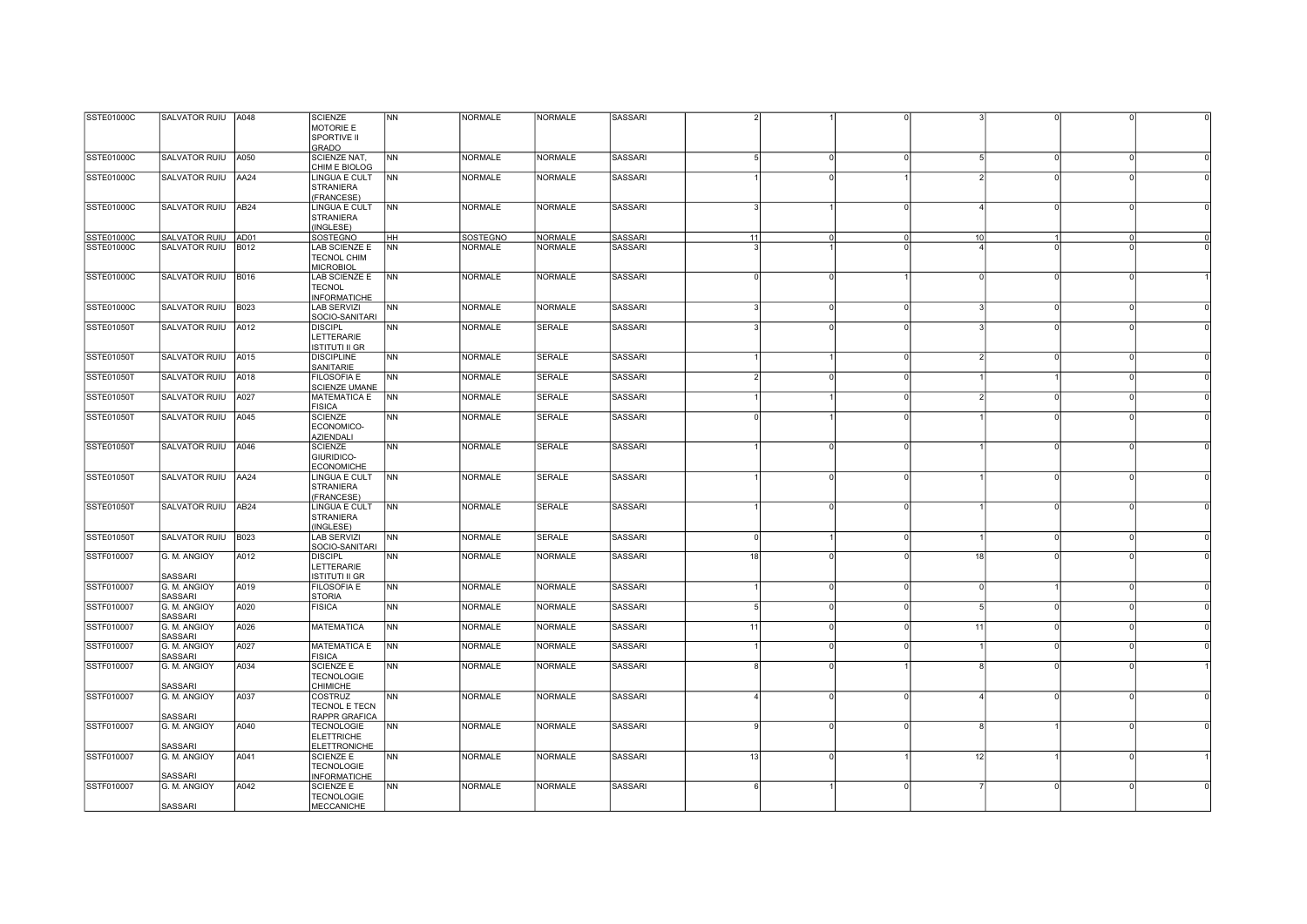| SSTE01000C        | SALVATOR RUIU A048      |                  | <b>SCIENZE</b>        | <b>NN</b>      | <b>NORMALE</b>  | <b>NORMALE</b> | SASSARI        |            |              |                      |          |          |  |
|-------------------|-------------------------|------------------|-----------------------|----------------|-----------------|----------------|----------------|------------|--------------|----------------------|----------|----------|--|
|                   |                         |                  | MOTORIE E             |                |                 |                |                |            |              |                      |          |          |  |
|                   |                         |                  | SPORTIVE II           |                |                 |                |                |            |              |                      |          |          |  |
|                   |                         |                  | <b>GRADO</b>          |                |                 |                |                |            |              |                      |          |          |  |
| <b>SSTE01000C</b> | SALVATOR RUIU A050      |                  | SCIENZE NAT,          | <b>NN</b>      | <b>NORMALE</b>  | <b>NORMALE</b> | <b>SASSARI</b> |            | $\Omega$     | $\Omega$             | $\Omega$ | $\Omega$ |  |
|                   |                         |                  | CHIM E BIOLOG         |                |                 |                |                |            |              |                      |          |          |  |
| <b>SSTE01000C</b> | SALVATOR RUIU AA24      |                  | <b>LINGUA E CULT</b>  | <b>NN</b>      | <b>NORMALE</b>  | <b>NORMALE</b> | <b>SASSARI</b> |            |              |                      | $\Omega$ |          |  |
|                   |                         |                  | <b>STRANIERA</b>      |                |                 |                |                |            |              |                      |          |          |  |
|                   |                         |                  | (FRANCESE)            |                |                 |                |                |            |              |                      |          |          |  |
| SSTE01000C        | SALVATOR RUIU           | AB <sub>24</sub> | LINGUA E CULT         | N <sub>N</sub> | <b>NORMALE</b>  | <b>NORMALE</b> | <b>SASSARI</b> |            |              |                      |          |          |  |
|                   |                         |                  | <b>STRANIERA</b>      |                |                 |                |                |            |              |                      |          |          |  |
|                   |                         |                  | (INGLESE)             |                |                 |                |                |            |              |                      |          |          |  |
| SSTE01000C        | SALVATOR RUIU AD01      |                  | <b>SOSTEGNO</b>       | HH             | <b>SOSTEGNO</b> | <b>NORMALE</b> | <b>SASSARI</b> | 11         |              | 10                   |          |          |  |
| SSTE01000C        | SALVATOR RUIU           | <b>B012</b>      | LAB SCIENZE E         | <b>NN</b>      | <b>NORMALE</b>  | <b>NORMALE</b> | <b>SASSARI</b> |            |              |                      |          |          |  |
|                   |                         |                  | TECNOL CHIM           |                |                 |                |                |            |              |                      |          |          |  |
|                   |                         |                  | <b>MICROBIOL</b>      |                |                 |                |                |            |              |                      |          |          |  |
| <b>SSTE01000C</b> | SALVATOR RUIU B016      |                  | <b>LAB SCIENZE E</b>  | <b>NN</b>      | <b>NORMALE</b>  | <b>NORMALE</b> | <b>SASSARI</b> |            |              |                      | $\Omega$ |          |  |
|                   |                         |                  | <b>TECNOL</b>         |                |                 |                |                |            |              |                      |          |          |  |
|                   |                         |                  | <b>INFORMATICHE</b>   |                |                 |                |                |            |              |                      |          |          |  |
| <b>SSTE01000C</b> | SALVATOR RUIU   B023    |                  | <b>LAB SERVIZI</b>    | <b>NN</b>      | <b>NORMALE</b>  | <b>NORMALE</b> | SASSARI        |            | $\Omega$     | $\Omega$             | $\circ$  |          |  |
|                   |                         |                  | SOCIO-SANITARI        |                |                 |                |                |            |              |                      |          |          |  |
| <b>SSTE01050T</b> | SALVATOR RUIU A012      |                  | <b>DISCIPL</b>        | <b>NN</b>      | <b>NORMALE</b>  | <b>SERALE</b>  | SASSARI        |            |              |                      | $\Omega$ |          |  |
|                   |                         |                  | LETTERARIE            |                |                 |                |                |            |              |                      |          |          |  |
|                   |                         |                  | <b>ISTITUTI II GR</b> |                |                 |                |                |            |              |                      |          |          |  |
| <b>SSTE01050T</b> | SALVATOR RUIU A015      |                  | <b>DISCIPLINE</b>     | <b>NN</b>      | <b>NORMALE</b>  | <b>SERALE</b>  | <b>SASSARI</b> |            |              | $\Omega$             | $\Omega$ |          |  |
|                   |                         |                  | SANITARIE             |                |                 |                |                |            |              |                      |          |          |  |
| <b>SSTE01050T</b> | SALVATOR RUIU A018      |                  | <b>FILOSOFIA E</b>    | <b>NN</b>      | <b>NORMALE</b>  | <b>SERALE</b>  | <b>SASSARI</b> |            |              |                      |          |          |  |
|                   |                         |                  | <b>SCIENZE UMANE</b>  |                |                 |                |                |            |              |                      |          |          |  |
| <b>SSTE01050T</b> | SALVATOR RUIU A027      |                  | <b>MATEMATICA E</b>   | <b>NN</b>      | <b>NORMALE</b>  | <b>SERALE</b>  | <b>SASSARI</b> |            |              | $\Omega$             | $\Omega$ |          |  |
|                   |                         |                  | <b>FISICA</b>         |                |                 |                |                |            |              |                      |          |          |  |
| <b>SSTE01050T</b> | SALVATOR RUIU A045      |                  | <b>SCIENZE</b>        | <b>NN</b>      | <b>NORMALE</b>  | <b>SERALE</b>  | <b>SASSARI</b> |            |              |                      | $\Omega$ |          |  |
|                   |                         |                  | ECONOMICO-            |                |                 |                |                |            |              |                      |          |          |  |
|                   |                         |                  | <b>AZIENDALI</b>      |                |                 |                |                |            |              |                      |          |          |  |
| <b>SSTE01050T</b> | SALVATOR RUIU           | A046             | <b>SCIENZE</b>        | <b>NN</b>      | <b>NORMALE</b>  | <b>SERALE</b>  | <b>SASSARI</b> |            |              |                      | $\Omega$ |          |  |
|                   |                         |                  | GIURIDICO-            |                |                 |                |                |            |              |                      |          |          |  |
|                   |                         |                  | <b>ECONOMICHE</b>     |                |                 |                |                |            |              |                      |          |          |  |
| <b>SSTE01050T</b> | SALVATOR RUIU   AA24    |                  | LINGUA E CULT         | <b>NN</b>      | <b>NORMALE</b>  | <b>SERALE</b>  | <b>SASSARI</b> |            |              | O                    | $\Omega$ |          |  |
|                   |                         |                  | <b>STRANIERA</b>      |                |                 |                |                |            |              |                      |          |          |  |
|                   |                         |                  | (FRANCESE)            |                |                 |                |                |            |              |                      |          |          |  |
| <b>SSTE01050T</b> | SALVATOR RUIU AB24      |                  | LINGUA E CULT         | <b>NN</b>      | <b>NORMALE</b>  | SERALE         | SASSARI        |            | O            | $\Omega$             | $\circ$  |          |  |
|                   |                         |                  | <b>STRANIERA</b>      |                |                 |                |                |            |              |                      |          |          |  |
|                   |                         |                  | (INGLESE)             |                |                 |                |                |            |              |                      |          |          |  |
| <b>SSTE01050T</b> | <b>SALVATOR RUIU</b>    | <b>B023</b>      | <b>LAB SERVIZI</b>    | <b>NN</b>      | <b>NORMALE</b>  | <b>SERALE</b>  | <b>SASSARI</b> | $\sqrt{ }$ |              | U                    | $\cap$   |          |  |
|                   |                         |                  | SOCIO-SANITARI        |                |                 |                |                |            |              |                      |          |          |  |
| SSTF010007        | G. M. ANGIOY            | A012             | <b>DISCIPL</b>        | <b>NN</b>      | <b>NORMALE</b>  | <b>NORMALE</b> | <b>SASSARI</b> | 18         |              | 18                   |          |          |  |
|                   |                         |                  | LETTERARIE            |                |                 |                |                |            |              |                      |          |          |  |
|                   | SASSARI                 |                  | <b>ISTITUTI II GR</b> |                |                 |                |                |            |              |                      |          |          |  |
| SSTF010007        | G. M. ANGIOY            | A019             | <b>FILOSOFIA E</b>    | <b>NN</b>      | <b>NORMALE</b>  | <b>NORMALE</b> | SASSARI        |            | <sup>0</sup> | $\Omega$<br>$\Omega$ |          | $\Omega$ |  |
|                   | SASSARI                 |                  | <b>STORIA</b>         |                | <b>NORMALE</b>  | <b>NORMALE</b> |                | 5          | $\Omega$     |                      | $\Omega$ |          |  |
| SSTF010007        | G. M. ANGIOY            | A020             | <b>FISICA</b>         | <b>NN</b>      |                 |                | <b>SASSARI</b> |            |              |                      |          |          |  |
|                   | SASSARI                 |                  |                       |                |                 | <b>NORMALE</b> |                |            | $\Omega$     |                      |          |          |  |
| SSTF010007        | G. M. ANGIOY<br>SASSARI | A026             | <b>MATEMATICA</b>     | <b>NN</b>      | <b>NORMALE</b>  |                | SASSARI        | 11         |              | 11<br>$\Omega$       | $\circ$  |          |  |
| SSTF010007        | G. M. ANGIOY            | A027             | <b>MATEMATICA E</b>   | <b>NN</b>      | <b>NORMALE</b>  | <b>NORMALE</b> | SASSARI        |            | $\Omega$     | U                    | $\circ$  |          |  |
|                   | SASSARI                 |                  | <b>FISICA</b>         |                |                 |                |                |            |              |                      |          |          |  |
| SSTF010007        | G. M. ANGIOY            | A034             | <b>SCIENZE E</b>      | <b>NN</b>      | <b>NORMALE</b>  | <b>NORMALE</b> | SASSARI        |            |              |                      | $\Omega$ |          |  |
|                   |                         |                  | <b>TECNOLOGIE</b>     |                |                 |                |                |            |              |                      |          |          |  |
|                   | SASSARI                 |                  | <b>CHIMICHE</b>       |                |                 |                |                |            |              |                      |          |          |  |
| SSTF010007        | G. M. ANGIOY            | A037             | COSTRUZ               | <b>NN</b>      | <b>NORMALE</b>  | <b>NORMALE</b> | <b>SASSARI</b> |            |              |                      | $\Omega$ |          |  |
|                   |                         |                  | <b>TECNOL E TECN</b>  |                |                 |                |                |            |              |                      |          |          |  |
|                   | <b>SASSARI</b>          |                  | <b>RAPPR GRAFICA</b>  |                |                 |                |                |            |              |                      |          |          |  |
| SSTF010007        | G. M. ANGIOY            | A040             | <b>TECNOLOGIE</b>     | <b>NN</b>      | <b>NORMALE</b>  | <b>NORMALE</b> | <b>SASSARI</b> |            |              |                      |          |          |  |
|                   |                         |                  | <b>ELETTRICHE</b>     |                |                 |                |                |            |              |                      |          |          |  |
|                   | SASSARI                 |                  | <b>ELETTRONICHE</b>   |                |                 |                |                |            |              |                      |          |          |  |
| SSTF010007        | G. M. ANGIOY            | A041             | SCIENZE E             | <b>NN</b>      | <b>NORMALE</b>  | <b>NORMALE</b> | SASSARI        | 13         |              | 12                   |          |          |  |
|                   |                         |                  | <b>TECNOLOGIE</b>     |                |                 |                |                |            |              |                      |          |          |  |
|                   | SASSARI                 |                  | <b>INFORMATICHE</b>   |                |                 |                |                |            |              |                      |          |          |  |
| SSTF010007        | G. M. ANGIOY            | A042             | <b>SCIENZE E</b>      | <b>NN</b>      | <b>NORMALE</b>  | <b>NORMALE</b> | SASSARI        | $\epsilon$ |              | $\Omega$             | $\Omega$ | $\Omega$ |  |
|                   |                         |                  | <b>TECNOLOGIE</b>     |                |                 |                |                |            |              |                      |          |          |  |
|                   | SASSARI                 |                  | <b>MECCANICHE</b>     |                |                 |                |                |            |              |                      |          |          |  |
|                   |                         |                  |                       |                |                 |                |                |            |              |                      |          |          |  |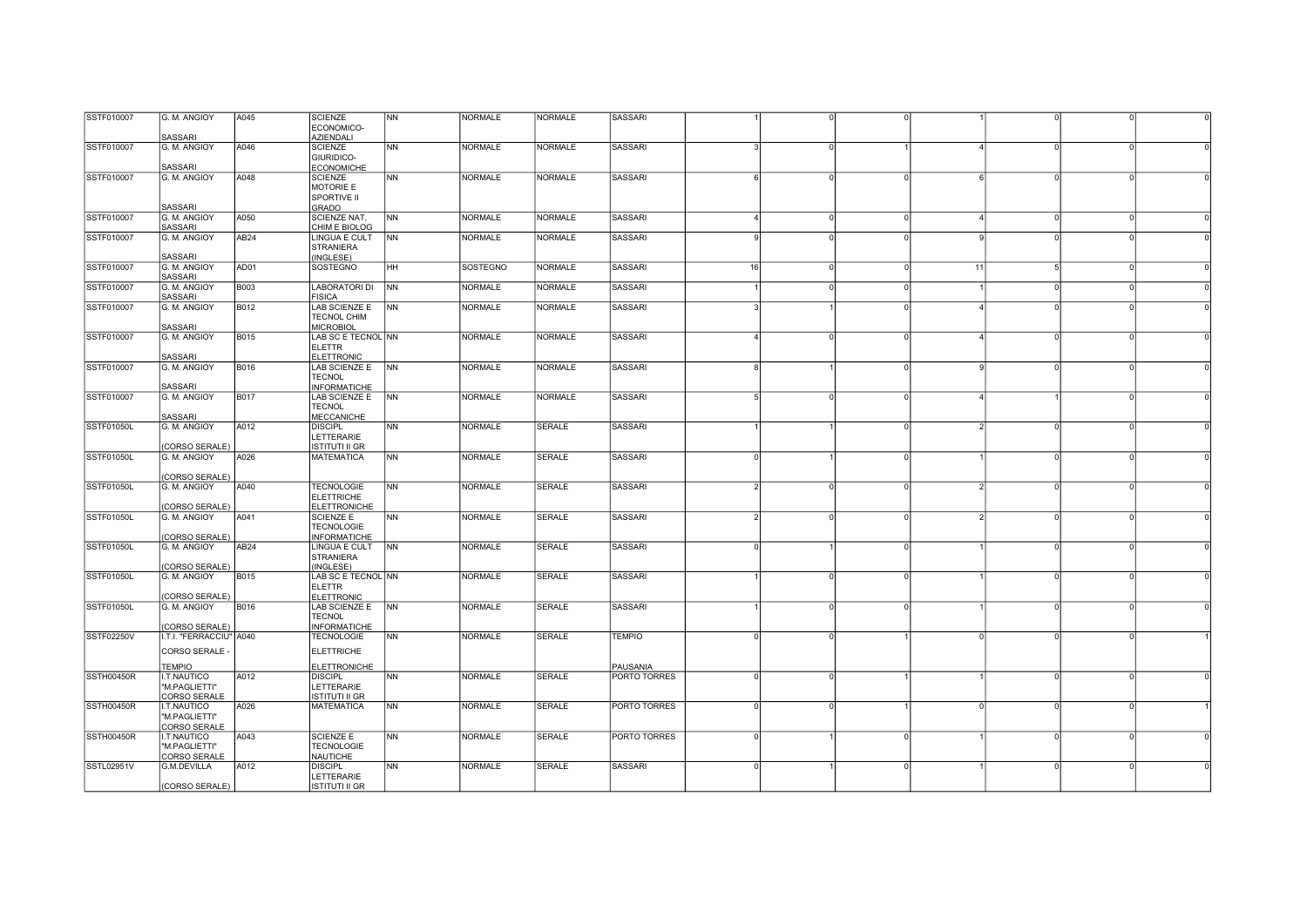| SSTF010007        | G. M. ANGIOY            | A045             | <b>SCIENZE</b>        | <b>NN</b>      | <b>NORMALE</b> | <b>NORMALE</b> | SASSARI        |          |          |          |    |          |          |  |
|-------------------|-------------------------|------------------|-----------------------|----------------|----------------|----------------|----------------|----------|----------|----------|----|----------|----------|--|
|                   |                         |                  | ECONOMICO-            |                |                |                |                |          |          |          |    |          |          |  |
|                   | SASSARI                 |                  | <b>AZIENDALI</b>      |                |                |                |                |          |          |          |    |          |          |  |
| SSTF010007        | G. M. ANGIOY            | A046             | <b>SCIENZE</b>        | <b>NN</b>      | <b>NORMALE</b> | <b>NORMALE</b> | <b>SASSARI</b> |          |          |          |    |          |          |  |
|                   |                         |                  | GIURIDICO-            |                |                |                |                |          |          |          |    |          |          |  |
|                   | SASSARI                 |                  | <b>ECONOMICHE</b>     |                |                |                |                |          |          |          |    |          |          |  |
| SSTF010007        | G. M. ANGIOY            | A048             | <b>SCIENZE</b>        | <b>NN</b>      | <b>NORMALE</b> | <b>NORMALE</b> | <b>SASSARI</b> |          |          |          |    | $\Omega$ |          |  |
|                   |                         |                  |                       |                |                |                |                |          |          |          |    |          |          |  |
|                   |                         |                  | MOTORIE E             |                |                |                |                |          |          |          |    |          |          |  |
|                   |                         |                  | SPORTIVE II           |                |                |                |                |          |          |          |    |          |          |  |
|                   | SASSARI                 |                  | <b>GRADO</b>          |                |                |                |                |          |          |          |    |          |          |  |
| <b>SSTF010007</b> | G. M. ANGIOY            | A050             | SCIENZE NAT.          | <b>NN</b>      | <b>NORMALE</b> | <b>NORMALE</b> | <b>SASSARI</b> | $\Delta$ | O        | $\Omega$ |    | $\Omega$ |          |  |
|                   | SASSARI                 |                  | CHIM E BIOLOG         |                |                |                |                |          |          |          |    |          |          |  |
| SSTF010007        | G. M. ANGIOY            | AB <sub>24</sub> | LINGUA E CULT         | N <sub>N</sub> | <b>NORMALE</b> | <b>NORMALE</b> | <b>SASSARI</b> |          |          |          |    |          |          |  |
|                   |                         |                  | <b>STRANIERA</b>      |                |                |                |                |          |          |          |    |          |          |  |
|                   | SASSARI                 |                  | (INGLESE)             |                |                |                |                |          |          |          |    |          |          |  |
| SSTF010007        | G. M. ANGIOY            | AD01             | SOSTEGNO              | HH             | SOSTEGNO       | <b>NORMALE</b> | SASSARI        | 16       | $\Omega$ | $\Omega$ | 11 | -51      | $\Omega$ |  |
|                   | SASSARI                 |                  |                       |                |                |                |                |          |          |          |    |          |          |  |
| SSTF010007        | G. M. ANGIOY            | <b>B003</b>      | <b>LABORATORI DI</b>  | NN             | <b>NORMALE</b> | <b>NORMALE</b> | <b>SASSARI</b> |          |          |          |    | $\Omega$ |          |  |
|                   | SASSARI                 |                  | <b>FISICA</b>         |                |                |                |                |          |          |          |    |          |          |  |
|                   |                         |                  |                       | <b>NN</b>      |                | <b>NORMALE</b> | <b>SASSARI</b> |          |          |          |    |          |          |  |
| SSTF010007        | G. M. ANGIOY            | <b>B012</b>      | <b>LAB SCIENZE E</b>  |                | <b>NORMALE</b> |                |                |          |          |          |    |          |          |  |
|                   |                         |                  | <b>TECNOL CHIM</b>    |                |                |                |                |          |          |          |    |          |          |  |
|                   | SASSARI                 |                  | <b>MICROBIOL</b>      |                |                |                |                |          |          |          |    |          |          |  |
| SSTF010007        | G. M. ANGIOY            | <b>B015</b>      | LAB SC E TECNOL NN    |                | <b>NORMALE</b> | <b>NORMALE</b> | <b>SASSARI</b> |          | $\Omega$ |          |    | $\Omega$ |          |  |
|                   |                         |                  | <b>ELETTR</b>         |                |                |                |                |          |          |          |    |          |          |  |
|                   | SASSARI                 |                  | <b>ELETTRONIC</b>     |                |                |                |                |          |          |          |    |          |          |  |
| SSTF010007        | G. M. ANGIOY            | <b>B016</b>      | LAB SCIENZE E         | <b>NN</b>      | <b>NORMALE</b> | <b>NORMALE</b> | <b>SASSARI</b> |          |          | U        |    | $\Omega$ |          |  |
|                   |                         |                  | <b>TECNOL</b>         |                |                |                |                |          |          |          |    |          |          |  |
|                   | SASSARI                 |                  | <b>INFORMATICHE</b>   |                |                |                |                |          |          |          |    |          |          |  |
| SSTF010007        | G. M. ANGIOY            | <b>B017</b>      | LAB SCIENZE E         | N <sub>N</sub> | <b>NORMALE</b> | <b>NORMALE</b> | <b>SASSARI</b> |          |          |          |    |          |          |  |
|                   |                         |                  | <b>TECNOL</b>         |                |                |                |                |          |          |          |    |          |          |  |
|                   | SASSARI                 |                  | <b>MECCANICHE</b>     |                |                |                |                |          |          |          |    |          |          |  |
| <b>SSTF01050L</b> | G. M. ANGIOY            | A012             | <b>DISCIPL</b>        | <b>NN</b>      | <b>NORMALE</b> | <b>SERALE</b>  | SASSARI        |          |          | $\Omega$ |    | $\circ$  | $\Omega$ |  |
|                   |                         |                  |                       |                |                |                |                |          |          |          |    |          |          |  |
|                   |                         |                  | LETTERARIE            |                |                |                |                |          |          |          |    |          |          |  |
|                   | CORSO SERALE)           |                  | <b>ISTITUTI II GR</b> |                |                |                |                |          |          |          |    |          |          |  |
| <b>SSTF01050L</b> | G. M. ANGIOY            | A026             | <b>MATEMATICA</b>     | <b>NN</b>      | <b>NORMALE</b> | <b>SERALE</b>  | SASSARI        |          |          | $\Omega$ |    | $\Omega$ |          |  |
|                   |                         |                  |                       |                |                |                |                |          |          |          |    |          |          |  |
|                   | CORSO SERALE)           |                  |                       |                |                |                |                |          |          |          |    |          |          |  |
| <b>SSTF01050L</b> | G. M. ANGIOY            | A040             | <b>TECNOLOGIE</b>     | <b>NN</b>      | <b>NORMALE</b> | <b>SERALE</b>  | SASSARI        |          |          |          |    |          |          |  |
|                   |                         |                  | <b>ELETTRICHE</b>     |                |                |                |                |          |          |          |    |          |          |  |
|                   | CORSO SERALE)           |                  | <b>ELETTRONICHE</b>   |                |                |                |                |          |          |          |    |          |          |  |
| <b>SSTF01050L</b> | G. M. ANGIOY            | A041             | <b>SCIENZE E</b>      | <b>NN</b>      | <b>NORMALE</b> | <b>SERALE</b>  | SASSARI        |          |          |          |    | $\Omega$ |          |  |
|                   |                         |                  | <b>TECNOLOGIE</b>     |                |                |                |                |          |          |          |    |          |          |  |
|                   | (CORSO SERALE)          |                  | <b>INFORMATICHE</b>   |                |                |                |                |          |          |          |    |          |          |  |
| <b>SSTF01050L</b> | G. M. ANGIOY            | AB <sub>24</sub> | LINGUA E CULT         | <b>NN</b>      | <b>NORMALE</b> | <b>SERALE</b>  | <b>SASSARI</b> |          |          |          |    | $\cap$   |          |  |
|                   |                         |                  | <b>STRANIERA</b>      |                |                |                |                |          |          |          |    |          |          |  |
|                   |                         |                  |                       |                |                |                |                |          |          |          |    |          |          |  |
|                   | CORSO SERALE)           |                  | (INGLESE)             |                | <b>NORMALE</b> |                |                |          |          |          |    |          |          |  |
| <b>SSTF01050L</b> | G. M. ANGIOY            | <b>B015</b>      | LAB SC E TECNOL NN    |                |                | SERALE         | SASSARI        |          |          | $\Omega$ |    | $\Omega$ |          |  |
|                   |                         |                  | <b>ELETTR</b>         |                |                |                |                |          |          |          |    |          |          |  |
|                   | (CORSO SERALE)          |                  | <b>ELETTRONIC</b>     |                |                |                |                |          |          |          |    |          |          |  |
| <b>SSTF01050L</b> | G. M. ANGIOY            | <b>B016</b>      | LAB SCIENZE E         | <b>NN</b>      | <b>NORMALE</b> | <b>SERALE</b>  | <b>SASSARI</b> |          |          | n        |    | $\Omega$ |          |  |
|                   |                         |                  | <b>TECNOL</b>         |                |                |                |                |          |          |          |    |          |          |  |
|                   | (CORSO SERALE)          |                  | <b>INFORMATICHE</b>   |                |                |                |                |          |          |          |    |          |          |  |
| <b>SSTF02250V</b> | I.T.I. "FERRACCIU" A040 |                  | <b>TECNOLOGIE</b>     | <b>NN</b>      | <b>NORMALE</b> | <b>SERALE</b>  | <b>TEMPIO</b>  |          |          |          |    |          |          |  |
|                   |                         |                  |                       |                |                |                |                |          |          |          |    |          |          |  |
|                   | CORSO SERALE -          |                  | <b>ELETTRICHE</b>     |                |                |                |                |          |          |          |    |          |          |  |
|                   | <b>TEMPIO</b>           |                  | <b>ELETTRONICHE</b>   |                |                |                | PAUSANIA       |          |          |          |    |          |          |  |
| <b>SSTH00450R</b> | I.T.NAUTICO             | A012             | <b>DISCIPL</b>        | <b>NN</b>      | <b>NORMALE</b> | <b>SERALE</b>  | PORTO TORRES   |          |          |          |    | $\Omega$ |          |  |
|                   | "M.PAGLIETTI"           |                  | LETTERARIE            |                |                |                |                |          |          |          |    |          |          |  |
|                   | CORSO SERALE            |                  | <b>ISTITUTI II GR</b> |                |                |                |                |          |          |          |    |          |          |  |
| <b>SSTH00450R</b> |                         | A026             | <b>MATEMATICA</b>     | <b>NN</b>      | <b>NORMALE</b> | <b>SERALE</b>  | PORTO TORRES   |          |          |          |    | $\Omega$ |          |  |
|                   | I.T.NAUTICO             |                  |                       |                |                |                |                |          |          |          |    |          |          |  |
|                   | "M.PAGLIETTI"           |                  |                       |                |                |                |                |          |          |          |    |          |          |  |
|                   | CORSO SERALE            |                  |                       |                |                |                |                |          |          |          |    |          |          |  |
| <b>SSTH00450R</b> | I.T.NAUTICO             | A043             | <b>SCIENZE E</b>      | <b>NN</b>      | <b>NORMALE</b> | <b>SERALE</b>  | PORTO TORRES   |          |          | 0        |    | $\Omega$ |          |  |
|                   | "M.PAGLIETTI"           |                  | <b>TECNOLOGIE</b>     |                |                |                |                |          |          |          |    |          |          |  |
|                   | CORSO SERALE            |                  | <b>NAUTICHE</b>       |                |                |                |                |          |          |          |    |          |          |  |
| SSTL02951V        | G.M.DEVILLA             | A012             | <b>DISCIPL</b>        | <b>NN</b>      | <b>NORMALE</b> | <b>SERALE</b>  | <b>SASSARI</b> |          |          | $\Omega$ |    | $\Omega$ |          |  |
|                   |                         |                  | LETTERARIE            |                |                |                |                |          |          |          |    |          |          |  |
|                   | (CORSO SERALE)          |                  | <b>ISTITUTI II GR</b> |                |                |                |                |          |          |          |    |          |          |  |
|                   |                         |                  |                       |                |                |                |                |          |          |          |    |          |          |  |